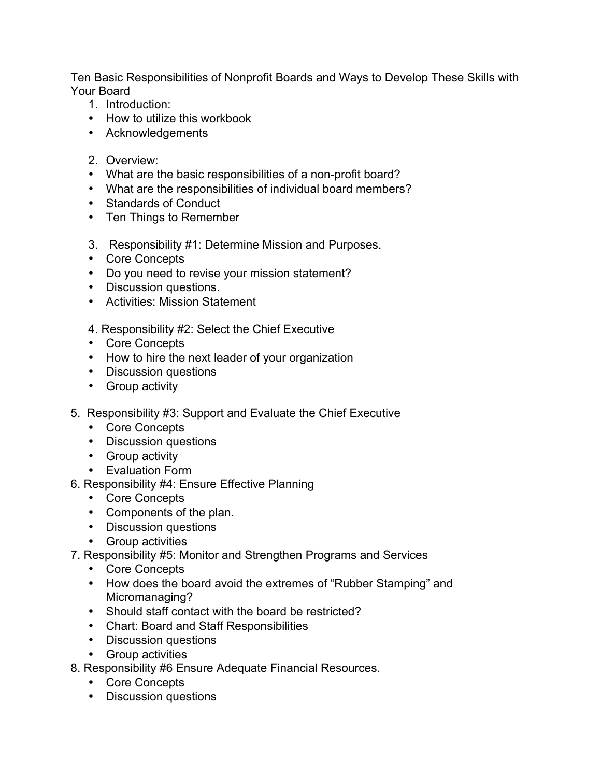Ten Basic Responsibilities of Nonprofit Boards and Ways to Develop These Skills with Your Board

- 1. Introduction:
- How to utilize this workbook
- Acknowledgements
- 2. Overview:
- What are the basic responsibilities of a non-profit board?
- What are the responsibilities of individual board members?
- Standards of Conduct
- Ten Things to Remember
- 3. Responsibility #1: Determine Mission and Purposes.
- Core Concepts
- Do you need to revise your mission statement?
- Discussion questions.
- Activities: Mission Statement
- 4. Responsibility #2: Select the Chief Executive
- Core Concepts
- How to hire the next leader of your organization
- Discussion questions
- Group activity
- 5. Responsibility #3: Support and Evaluate the Chief Executive
	- Core Concepts
	- Discussion questions
	- Group activity
	- Evaluation Form
- 6. Responsibility #4: Ensure Effective Planning
	- Core Concepts
	- Components of the plan.
	- Discussion questions
	- Group activities
- 7. Responsibility #5: Monitor and Strengthen Programs and Services
	- Core Concepts
	- How does the board avoid the extremes of "Rubber Stamping" and Micromanaging?
	- Should staff contact with the board be restricted?
	- Chart: Board and Staff Responsibilities
	- Discussion questions
	- Group activities
- 8. Responsibility #6 Ensure Adequate Financial Resources.
	- Core Concepts
	- Discussion questions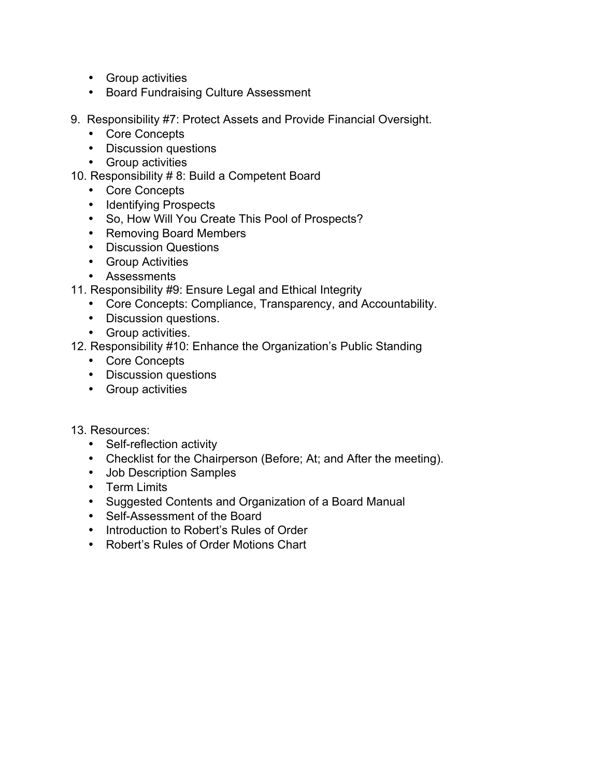- Group activities
- Board Fundraising Culture Assessment
- 9. Responsibility #7: Protect Assets and Provide Financial Oversight.
	- Core Concepts
	- Discussion questions
	- Group activities
- 10. Responsibility # 8: Build a Competent Board
	- Core Concepts
	- Identifying Prospects
	- So, How Will You Create This Pool of Prospects?
	- Removing Board Members
	- Discussion Questions
	- Group Activities
	- Assessments
- 11. Responsibility #9: Ensure Legal and Ethical Integrity
	- Core Concepts: Compliance, Transparency, and Accountability.
	- Discussion questions.
	- Group activities.
- 12. Responsibility #10: Enhance the Organization's Public Standing
	- Core Concepts
	- Discussion questions
	- Group activities
- 13. Resources:
	- Self-reflection activity
	- Checklist for the Chairperson (Before; At; and After the meeting).
	- Job Description Samples
	- Term Limits
	- Suggested Contents and Organization of a Board Manual
	- Self-Assessment of the Board
	- Introduction to Robert's Rules of Order
	- Robert's Rules of Order Motions Chart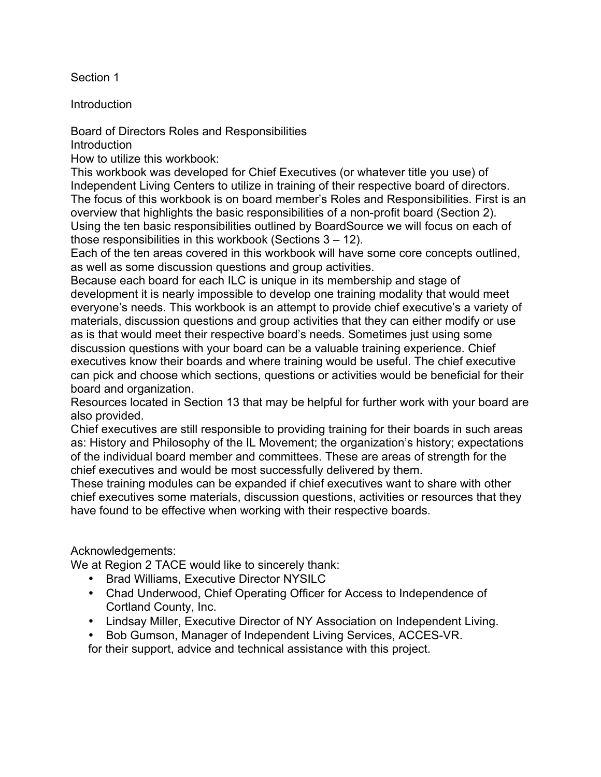Section 1

Introduction

Board of Directors Roles and Responsibilities

**Introduction** 

How to utilize this workbook:

This workbook was developed for Chief Executives (or whatever title you use) of Independent Living Centers to utilize in training of their respective board of directors. The focus of this workbook is on board member's Roles and Responsibilities. First is an overview that highlights the basic responsibilities of a non-profit board (Section 2). Using the ten basic responsibilities outlined by BoardSource we will focus on each of those responsibilities in this workbook (Sections 3 – 12).

Each of the ten areas covered in this workbook will have some core concepts outlined, as well as some discussion questions and group activities.

Because each board for each ILC is unique in its membership and stage of development it is nearly impossible to develop one training modality that would meet everyone's needs. This workbook is an attempt to provide chief executive's a variety of materials, discussion questions and group activities that they can either modify or use as is that would meet their respective board's needs. Sometimes just using some discussion questions with your board can be a valuable training experience. Chief executives know their boards and where training would be useful. The chief executive can pick and choose which sections, questions or activities would be beneficial for their board and organization.

Resources located in Section 13 that may be helpful for further work with your board are also provided.

Chief executives are still responsible to providing training for their boards in such areas as: History and Philosophy of the IL Movement; the organization's history; expectations of the individual board member and committees. These are areas of strength for the chief executives and would be most successfully delivered by them.

These training modules can be expanded if chief executives want to share with other chief executives some materials, discussion questions, activities or resources that they have found to be effective when working with their respective boards.

Acknowledgements:

We at Region 2 TACE would like to sincerely thank:

- Brad Williams, Executive Director NYSILC
- Chad Underwood, Chief Operating Officer for Access to Independence of Cortland County, Inc.
- Lindsay Miller, Executive Director of NY Association on Independent Living.
- Bob Gumson, Manager of Independent Living Services, ACCES-VR.

for their support, advice and technical assistance with this project.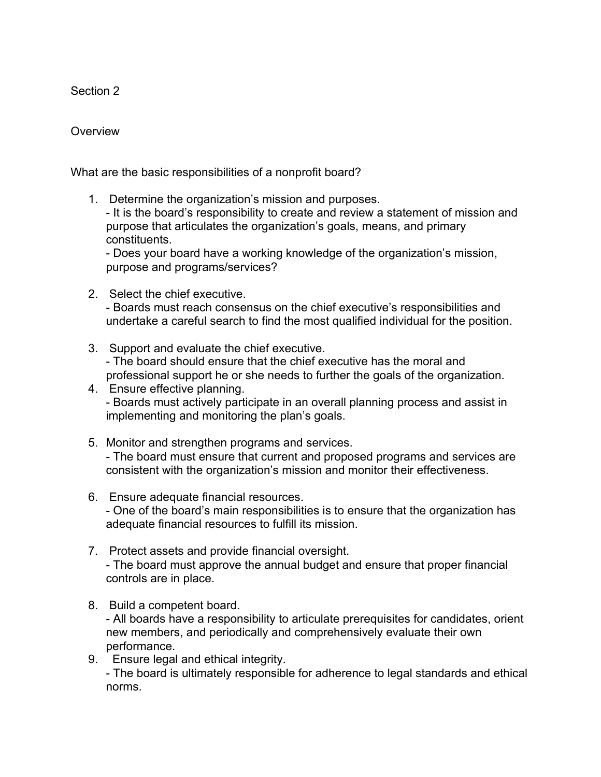Section 2

### **Overview**

What are the basic responsibilities of a nonprofit board?

1. Determine the organization's mission and purposes.

- It is the board's responsibility to create and review a statement of mission and purpose that articulates the organization's goals, means, and primary constituents.

- Does your board have a working knowledge of the organization's mission, purpose and programs/services?

2. Select the chief executive.

- Boards must reach consensus on the chief executive's responsibilities and undertake a careful search to find the most qualified individual for the position.

3. Support and evaluate the chief executive.

- The board should ensure that the chief executive has the moral and professional support he or she needs to further the goals of the organization.

- 4. Ensure effective planning. - Boards must actively participate in an overall planning process and assist in implementing and monitoring the plan's goals.
- 5. Monitor and strengthen programs and services. - The board must ensure that current and proposed programs and services are consistent with the organization's mission and monitor their effectiveness.
- 6. Ensure adequate financial resources.

- One of the board's main responsibilities is to ensure that the organization has adequate financial resources to fulfill its mission.

- 7. Protect assets and provide financial oversight. - The board must approve the annual budget and ensure that proper financial controls are in place.
- 8. Build a competent board.

- All boards have a responsibility to articulate prerequisites for candidates, orient new members, and periodically and comprehensively evaluate their own performance.

9. Ensure legal and ethical integrity.

- The board is ultimately responsible for adherence to legal standards and ethical norms.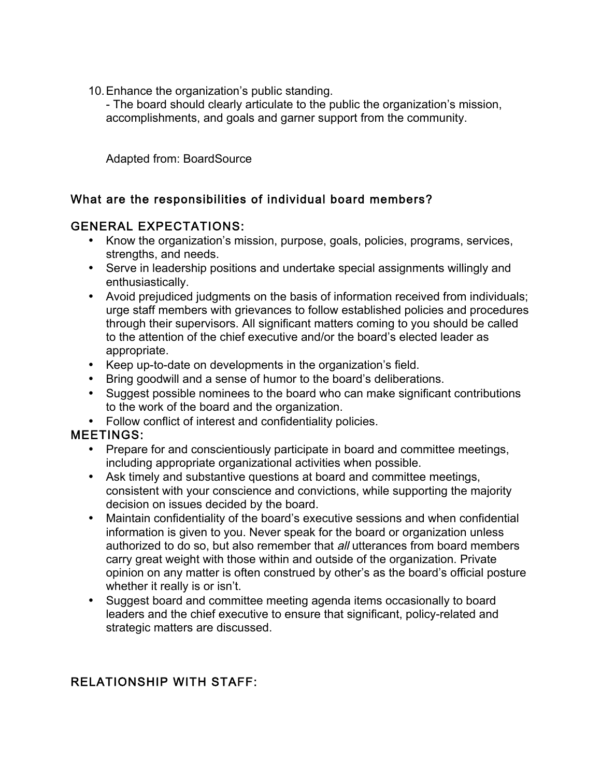10.Enhance the organization's public standing.

- The board should clearly articulate to the public the organization's mission, accomplishments, and goals and garner support from the community.

Adapted from: BoardSource

## What are the responsibilities of individual board members?

#### GENERAL EXPECTATIONS:

- Know the organization's mission, purpose, goals, policies, programs, services, strengths, and needs.
- Serve in leadership positions and undertake special assignments willingly and enthusiastically.
- Avoid prejudiced judgments on the basis of information received from individuals; urge staff members with grievances to follow established policies and procedures through their supervisors. All significant matters coming to you should be called to the attention of the chief executive and/or the board's elected leader as appropriate.
- Keep up-to-date on developments in the organization's field.
- Bring goodwill and a sense of humor to the board's deliberations.
- Suggest possible nominees to the board who can make significant contributions to the work of the board and the organization.
- Follow conflict of interest and confidentiality policies.

### MEETINGS:

- Prepare for and conscientiously participate in board and committee meetings, including appropriate organizational activities when possible.
- Ask timely and substantive questions at board and committee meetings, consistent with your conscience and convictions, while supporting the majority decision on issues decided by the board.
- Maintain confidentiality of the board's executive sessions and when confidential information is given to you. Never speak for the board or organization unless authorized to do so, but also remember that all utterances from board members carry great weight with those within and outside of the organization. Private opinion on any matter is often construed by other's as the board's official posture whether it really is or isn't.
- Suggest board and committee meeting agenda items occasionally to board leaders and the chief executive to ensure that significant, policy-related and strategic matters are discussed.

## RELATIONSHIP WITH STAFF: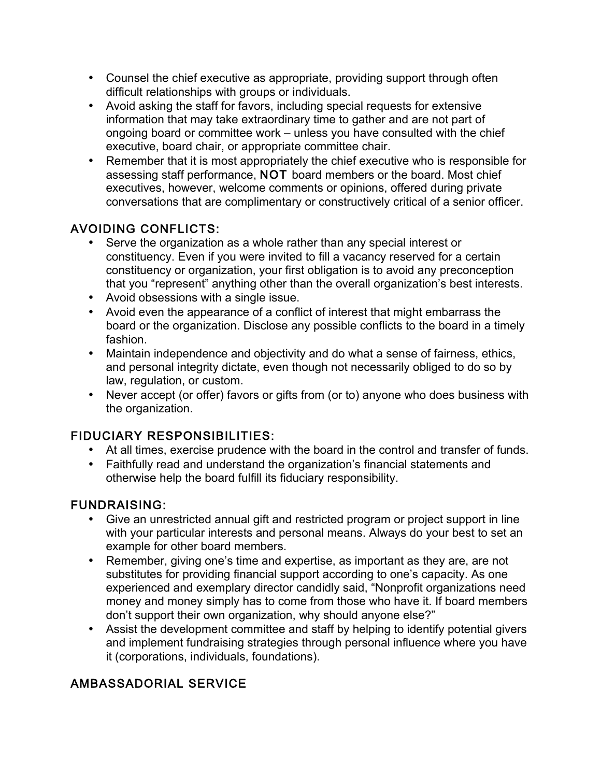- Counsel the chief executive as appropriate, providing support through often difficult relationships with groups or individuals.
- Avoid asking the staff for favors, including special requests for extensive information that may take extraordinary time to gather and are not part of ongoing board or committee work – unless you have consulted with the chief executive, board chair, or appropriate committee chair.
- Remember that it is most appropriately the chief executive who is responsible for assessing staff performance, NOT board members or the board. Most chief executives, however, welcome comments or opinions, offered during private conversations that are complimentary or constructively critical of a senior officer.

# AVOIDING CONFLICTS:

- Serve the organization as a whole rather than any special interest or constituency. Even if you were invited to fill a vacancy reserved for a certain constituency or organization, your first obligation is to avoid any preconception that you "represent" anything other than the overall organization's best interests.
- Avoid obsessions with a single issue.
- Avoid even the appearance of a conflict of interest that might embarrass the board or the organization. Disclose any possible conflicts to the board in a timely fashion.
- Maintain independence and objectivity and do what a sense of fairness, ethics, and personal integrity dictate, even though not necessarily obliged to do so by law, regulation, or custom.
- Never accept (or offer) favors or gifts from (or to) anyone who does business with the organization.

## FIDUCIARY RESPONSIBILITIES:

- At all times, exercise prudence with the board in the control and transfer of funds.
- Faithfully read and understand the organization's financial statements and otherwise help the board fulfill its fiduciary responsibility.

### FUNDRAISING:

- Give an unrestricted annual gift and restricted program or project support in line with your particular interests and personal means. Always do your best to set an example for other board members.
- Remember, giving one's time and expertise, as important as they are, are not substitutes for providing financial support according to one's capacity. As one experienced and exemplary director candidly said, "Nonprofit organizations need money and money simply has to come from those who have it. If board members don't support their own organization, why should anyone else?"
- Assist the development committee and staff by helping to identify potential givers and implement fundraising strategies through personal influence where you have it (corporations, individuals, foundations).

# AMBASSADORIAL SERVICE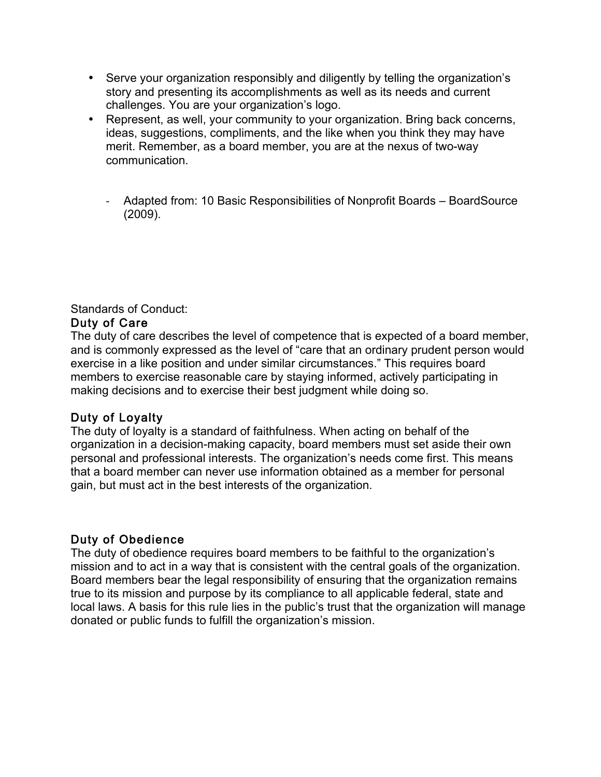- Serve your organization responsibly and diligently by telling the organization's story and presenting its accomplishments as well as its needs and current challenges. You are your organization's logo.
- Represent, as well, your community to your organization. Bring back concerns, ideas, suggestions, compliments, and the like when you think they may have merit. Remember, as a board member, you are at the nexus of two-way communication.
	- *-* Adapted from: 10 Basic Responsibilities of Nonprofit Boards BoardSource (2009).

### Standards of Conduct:

#### Duty of Care

The duty of care describes the level of competence that is expected of a board member, and is commonly expressed as the level of "care that an ordinary prudent person would exercise in a like position and under similar circumstances." This requires board members to exercise reasonable care by staying informed, actively participating in making decisions and to exercise their best judgment while doing so.

### Duty of Loyalty

The duty of loyalty is a standard of faithfulness. When acting on behalf of the organization in a decision-making capacity, board members must set aside their own personal and professional interests. The organization's needs come first. This means that a board member can never use information obtained as a member for personal gain, but must act in the best interests of the organization.

### Duty of Obedience

The duty of obedience requires board members to be faithful to the organization's mission and to act in a way that is consistent with the central goals of the organization. Board members bear the legal responsibility of ensuring that the organization remains true to its mission and purpose by its compliance to all applicable federal, state and local laws. A basis for this rule lies in the public's trust that the organization will manage donated or public funds to fulfill the organization's mission.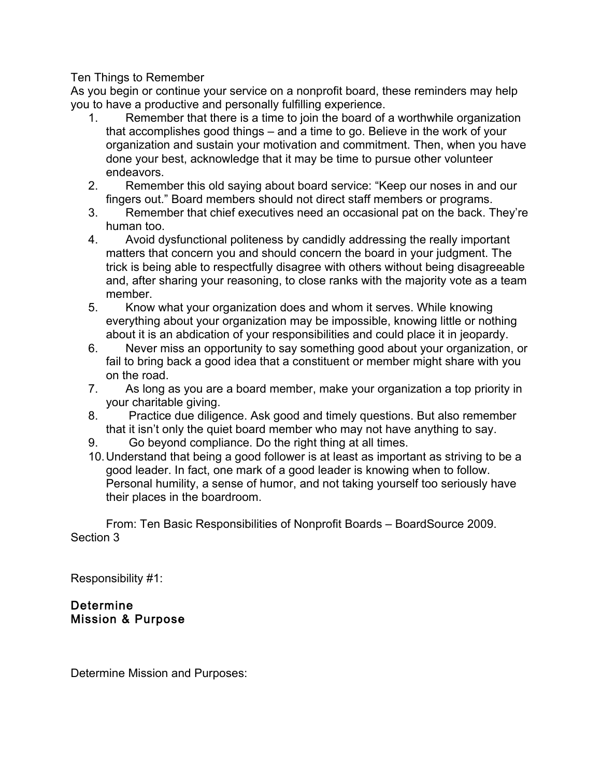#### Ten Things to Remember

As you begin or continue your service on a nonprofit board, these reminders may help you to have a productive and personally fulfilling experience.

- 1. Remember that there is a time to join the board of a worthwhile organization that accomplishes good things – and a time to go. Believe in the work of your organization and sustain your motivation and commitment. Then, when you have done your best, acknowledge that it may be time to pursue other volunteer endeavors.
- 2. Remember this old saying about board service: "Keep our noses in and our fingers out." Board members should not direct staff members or programs.
- 3. Remember that chief executives need an occasional pat on the back. They're human too.
- 4. Avoid dysfunctional politeness by candidly addressing the really important matters that concern you and should concern the board in your judgment. The trick is being able to respectfully disagree with others without being disagreeable and, after sharing your reasoning, to close ranks with the majority vote as a team member.
- 5. Know what your organization does and whom it serves. While knowing everything about your organization may be impossible, knowing little or nothing about it is an abdication of your responsibilities and could place it in jeopardy.
- 6. Never miss an opportunity to say something good about your organization, or fail to bring back a good idea that a constituent or member might share with you on the road.
- 7. As long as you are a board member, make your organization a top priority in your charitable giving.
- 8. Practice due diligence. Ask good and timely questions. But also remember that it isn't only the quiet board member who may not have anything to say.
- 9. Go beyond compliance. Do the right thing at all times.
- 10.Understand that being a good follower is at least as important as striving to be a good leader. In fact, one mark of a good leader is knowing when to follow. Personal humility, a sense of humor, and not taking yourself too seriously have their places in the boardroom.

From: Ten Basic Responsibilities of Nonprofit Boards – BoardSource 2009. Section 3

Responsibility #1:

#### Determine Mission & Purpose

Determine Mission and Purposes: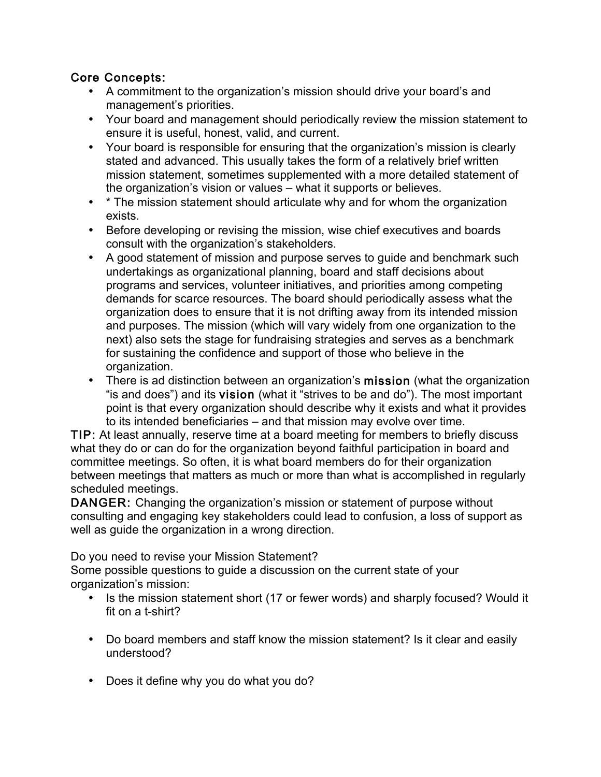## Core Concepts:

- A commitment to the organization's mission should drive your board's and management's priorities.
- Your board and management should periodically review the mission statement to ensure it is useful, honest, valid, and current.
- Your board is responsible for ensuring that the organization's mission is clearly stated and advanced. This usually takes the form of a relatively brief written mission statement, sometimes supplemented with a more detailed statement of the organization's vision or values – what it supports or believes.
- \* The mission statement should articulate why and for whom the organization exists.
- Before developing or revising the mission, wise chief executives and boards consult with the organization's stakeholders.
- A good statement of mission and purpose serves to guide and benchmark such undertakings as organizational planning, board and staff decisions about programs and services, volunteer initiatives, and priorities among competing demands for scarce resources. The board should periodically assess what the organization does to ensure that it is not drifting away from its intended mission and purposes. The mission (which will vary widely from one organization to the next) also sets the stage for fundraising strategies and serves as a benchmark for sustaining the confidence and support of those who believe in the organization.
- There is ad distinction between an organization's mission (what the organization "is and does") and its vision (what it "strives to be and do"). The most important point is that every organization should describe why it exists and what it provides to its intended beneficiaries – and that mission may evolve over time.

TIP: At least annually, reserve time at a board meeting for members to briefly discuss what they do or can do for the organization beyond faithful participation in board and committee meetings. So often, it is what board members do for their organization between meetings that matters as much or more than what is accomplished in regularly scheduled meetings.

DANGER: Changing the organization's mission or statement of purpose without consulting and engaging key stakeholders could lead to confusion, a loss of support as well as guide the organization in a wrong direction.

Do you need to revise your Mission Statement?

Some possible questions to guide a discussion on the current state of your organization's mission:

- Is the mission statement short (17 or fewer words) and sharply focused? Would it fit on a t-shirt?
- Do board members and staff know the mission statement? Is it clear and easily understood?
- Does it define why you do what you do?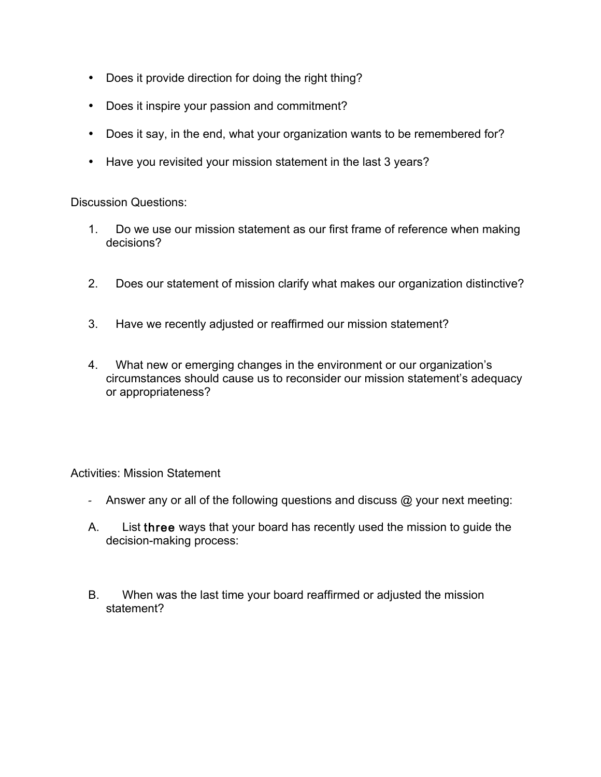- Does it provide direction for doing the right thing?
- Does it inspire your passion and commitment?
- Does it say, in the end, what your organization wants to be remembered for?
- Have you revisited your mission statement in the last 3 years?

Discussion Questions:

- 1. Do we use our mission statement as our first frame of reference when making decisions?
- 2. Does our statement of mission clarify what makes our organization distinctive?
- 3. Have we recently adjusted or reaffirmed our mission statement?
- 4. What new or emerging changes in the environment or our organization's circumstances should cause us to reconsider our mission statement's adequacy or appropriateness?

Activities: Mission Statement

- *-* Answer any or all of the following questions and discuss @ your next meeting:
- A. List three ways that your board has recently used the mission to guide the decision-making process:
- B. When was the last time your board reaffirmed or adjusted the mission statement?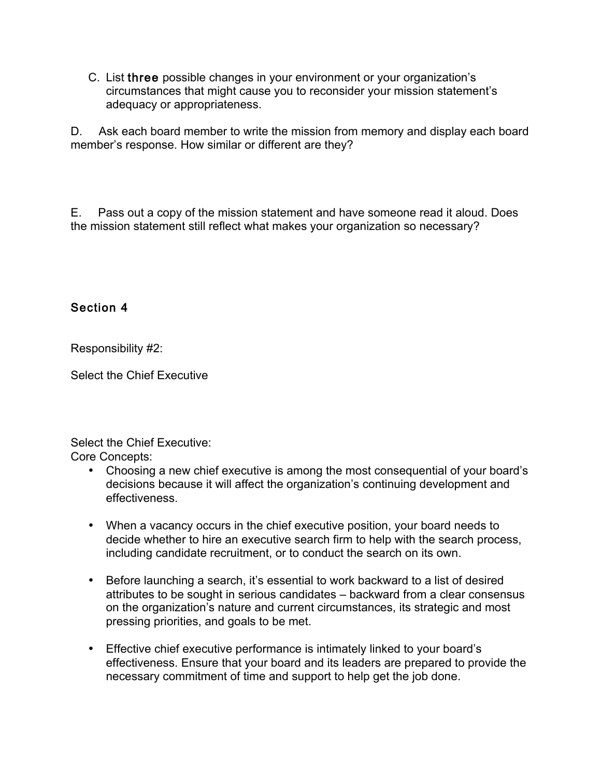C. List three possible changes in your environment or your organization's circumstances that might cause you to reconsider your mission statement's adequacy or appropriateness.

D. Ask each board member to write the mission from memory and display each board member's response. How similar or different are they?

E. Pass out a copy of the mission statement and have someone read it aloud. Does the mission statement still reflect what makes your organization so necessary?

## Section 4

Responsibility #2:

Select the Chief Executive

Select the Chief Executive:

Core Concepts:

- Choosing a new chief executive is among the most consequential of your board's decisions because it will affect the organization's continuing development and effectiveness.
- When a vacancy occurs in the chief executive position, your board needs to decide whether to hire an executive search firm to help with the search process, including candidate recruitment, or to conduct the search on its own.
- Before launching a search, it's essential to work backward to a list of desired attributes to be sought in serious candidates – backward from a clear consensus on the organization's nature and current circumstances, its strategic and most pressing priorities, and goals to be met.
- Effective chief executive performance is intimately linked to your board's effectiveness. Ensure that your board and its leaders are prepared to provide the necessary commitment of time and support to help get the job done.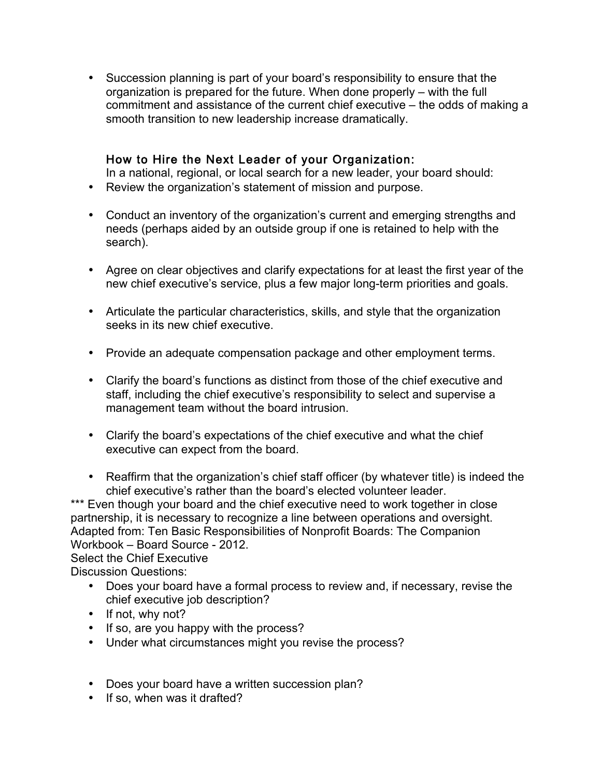• Succession planning is part of your board's responsibility to ensure that the organization is prepared for the future. When done properly – with the full commitment and assistance of the current chief executive – the odds of making a smooth transition to new leadership increase dramatically.

### How to Hire the Next Leader of your Organization:

In a national, regional, or local search for a new leader, your board should:

- Review the organization's statement of mission and purpose.
- Conduct an inventory of the organization's current and emerging strengths and needs (perhaps aided by an outside group if one is retained to help with the search).
- Agree on clear objectives and clarify expectations for at least the first year of the new chief executive's service, plus a few major long-term priorities and goals.
- Articulate the particular characteristics, skills, and style that the organization seeks in its new chief executive.
- Provide an adequate compensation package and other employment terms.
- Clarify the board's functions as distinct from those of the chief executive and staff, including the chief executive's responsibility to select and supervise a management team without the board intrusion.
- Clarify the board's expectations of the chief executive and what the chief executive can expect from the board.
- Reaffirm that the organization's chief staff officer (by whatever title) is indeed the chief executive's rather than the board's elected volunteer leader.

\*\*\* Even though your board and the chief executive need to work together in close partnership, it is necessary to recognize a line between operations and oversight. Adapted from: Ten Basic Responsibilities of Nonprofit Boards: The Companion Workbook – Board Source - 2012. Select the Chief Executive

Discussion Questions:

- Does your board have a formal process to review and, if necessary, revise the chief executive job description?
- If not, why not?
- If so, are you happy with the process?
- Under what circumstances might you revise the process?
- Does your board have a written succession plan?
- If so, when was it drafted?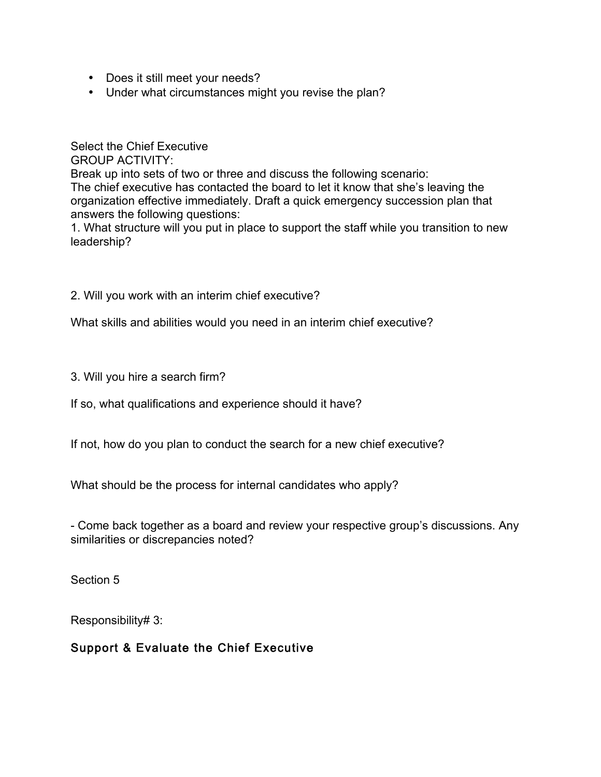- Does it still meet your needs?
- Under what circumstances might you revise the plan?

Select the Chief Executive GROUP ACTIVITY: Break up into sets of two or three and discuss the following scenario: The chief executive has contacted the board to let it know that she's leaving the organization effective immediately. Draft a quick emergency succession plan that answers the following questions:

1. What structure will you put in place to support the staff while you transition to new leadership?

2. Will you work with an interim chief executive?

What skills and abilities would you need in an interim chief executive?

3. Will you hire a search firm?

If so, what qualifications and experience should it have?

If not, how do you plan to conduct the search for a new chief executive?

What should be the process for internal candidates who apply?

- Come back together as a board and review your respective group's discussions. Any similarities or discrepancies noted?

Section 5

Responsibility# 3:

Support & Evaluate the Chief Executive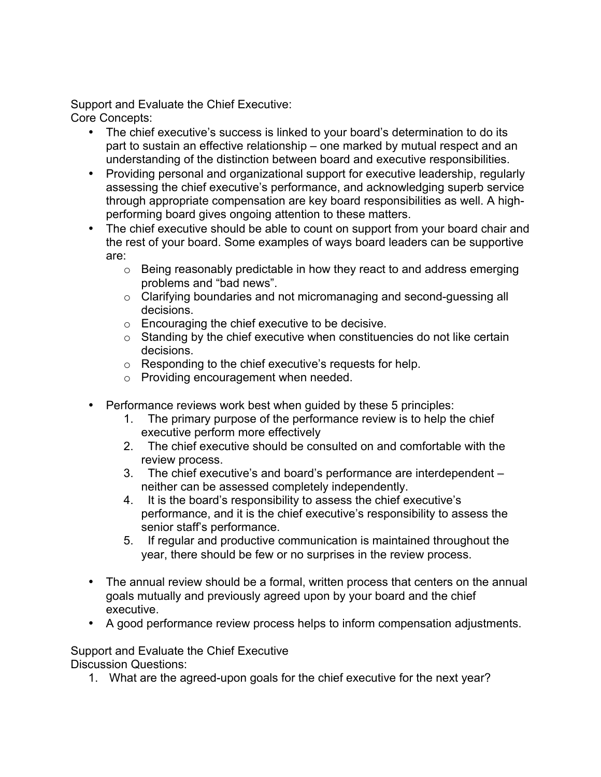Support and Evaluate the Chief Executive: Core Concepts:

- The chief executive's success is linked to your board's determination to do its part to sustain an effective relationship – one marked by mutual respect and an understanding of the distinction between board and executive responsibilities.
- Providing personal and organizational support for executive leadership, regularly assessing the chief executive's performance, and acknowledging superb service through appropriate compensation are key board responsibilities as well. A highperforming board gives ongoing attention to these matters.
- The chief executive should be able to count on support from your board chair and the rest of your board. Some examples of ways board leaders can be supportive are:
	- o Being reasonably predictable in how they react to and address emerging problems and "bad news".
	- o Clarifying boundaries and not micromanaging and second-guessing all decisions.
	- o Encouraging the chief executive to be decisive.
	- o Standing by the chief executive when constituencies do not like certain decisions.
	- o Responding to the chief executive's requests for help.
	- o Providing encouragement when needed.
- Performance reviews work best when guided by these 5 principles:
	- 1. The primary purpose of the performance review is to help the chief executive perform more effectively
	- 2. The chief executive should be consulted on and comfortable with the review process.
	- 3. The chief executive's and board's performance are interdependent neither can be assessed completely independently.
	- 4. It is the board's responsibility to assess the chief executive's performance, and it is the chief executive's responsibility to assess the senior staff's performance.
	- 5. If regular and productive communication is maintained throughout the year, there should be few or no surprises in the review process.
- The annual review should be a formal, written process that centers on the annual goals mutually and previously agreed upon by your board and the chief executive.
- A good performance review process helps to inform compensation adjustments.

Support and Evaluate the Chief Executive

Discussion Questions:

1. What are the agreed-upon goals for the chief executive for the next year?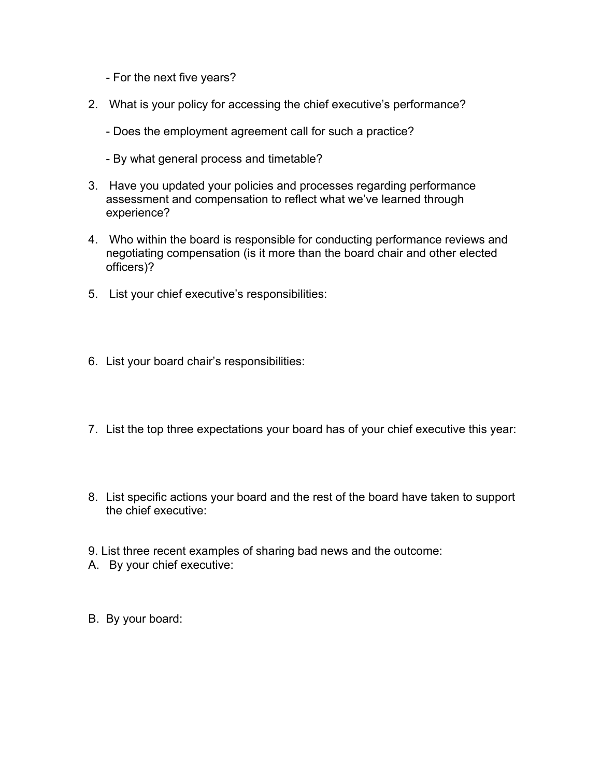- For the next five years?
- 2. What is your policy for accessing the chief executive's performance?
	- Does the employment agreement call for such a practice?
	- By what general process and timetable?
- 3. Have you updated your policies and processes regarding performance assessment and compensation to reflect what we've learned through experience?
- 4. Who within the board is responsible for conducting performance reviews and negotiating compensation (is it more than the board chair and other elected officers)?
- 5. List your chief executive's responsibilities:
- 6. List your board chair's responsibilities:
- 7. List the top three expectations your board has of your chief executive this year:
- 8. List specific actions your board and the rest of the board have taken to support the chief executive:
- 9. List three recent examples of sharing bad news and the outcome:
- A. By your chief executive:
- B. By your board: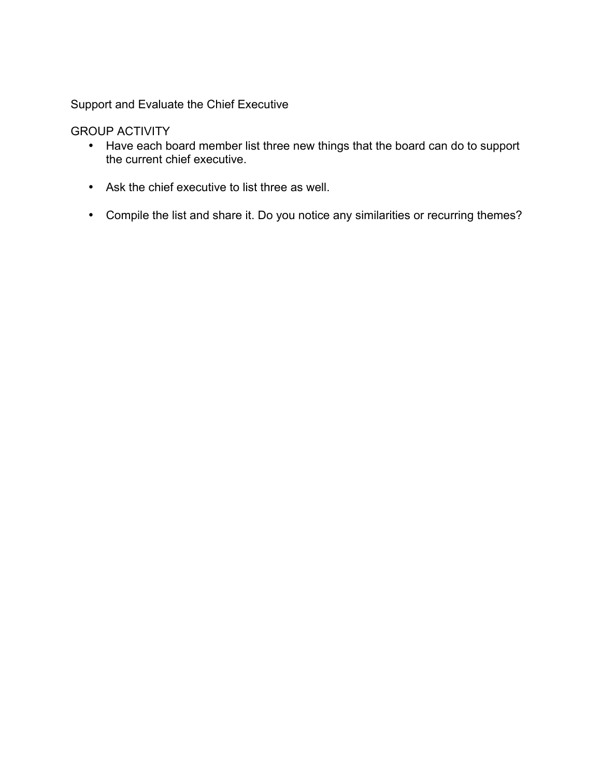Support and Evaluate the Chief Executive

GROUP ACTIVITY

- Have each board member list three new things that the board can do to support the current chief executive.
- Ask the chief executive to list three as well.
- Compile the list and share it. Do you notice any similarities or recurring themes?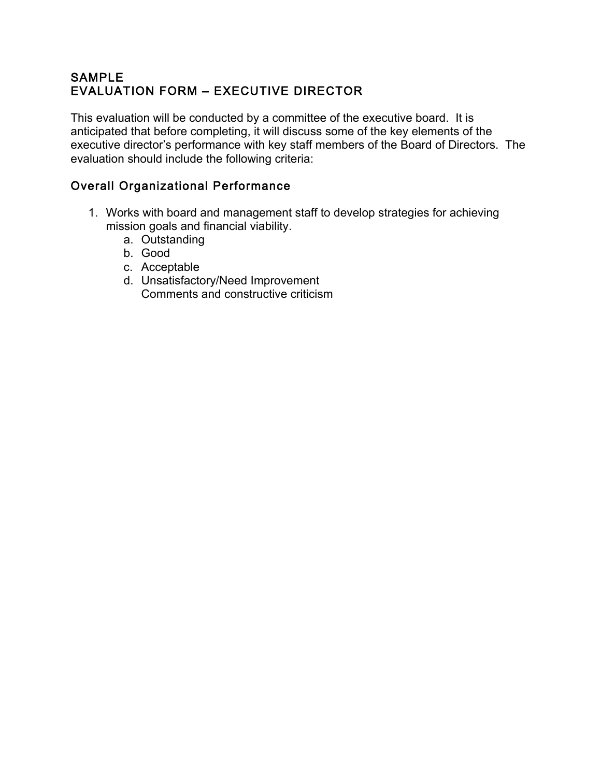## SAMPLE EVALUATION FORM – EXECUTIVE DIRECTOR

This evaluation will be conducted by a committee of the executive board. It is anticipated that before completing, it will discuss some of the key elements of the executive director's performance with key staff members of the Board of Directors. The evaluation should include the following criteria:

## Overall Organizational Performance

- 1. Works with board and management staff to develop strategies for achieving mission goals and financial viability.
	- a. Outstanding
	- b. Good
	- c. Acceptable
	- d. Unsatisfactory/Need Improvement Comments and constructive criticism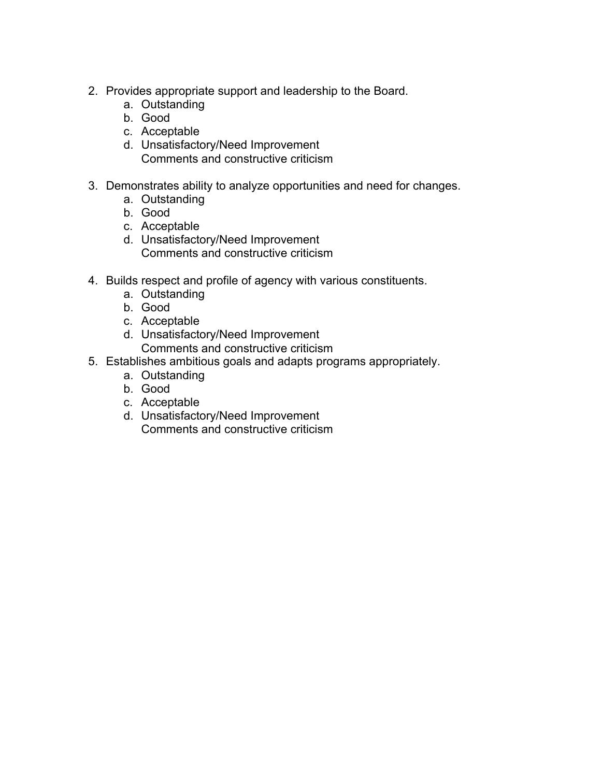- 2. Provides appropriate support and leadership to the Board.
	- a. Outstanding
	- b. Good
	- c. Acceptable
	- d. Unsatisfactory/Need Improvement Comments and constructive criticism
- 3. Demonstrates ability to analyze opportunities and need for changes.
	- a. Outstanding
	- b. Good
	- c. Acceptable
	- d. Unsatisfactory/Need Improvement Comments and constructive criticism
- 4. Builds respect and profile of agency with various constituents.
	- a. Outstanding
	- b. Good
	- c. Acceptable
	- d. Unsatisfactory/Need Improvement Comments and constructive criticism
- 5. Establishes ambitious goals and adapts programs appropriately.
	- a. Outstanding
	- b. Good
	- c. Acceptable
	- d. Unsatisfactory/Need Improvement Comments and constructive criticism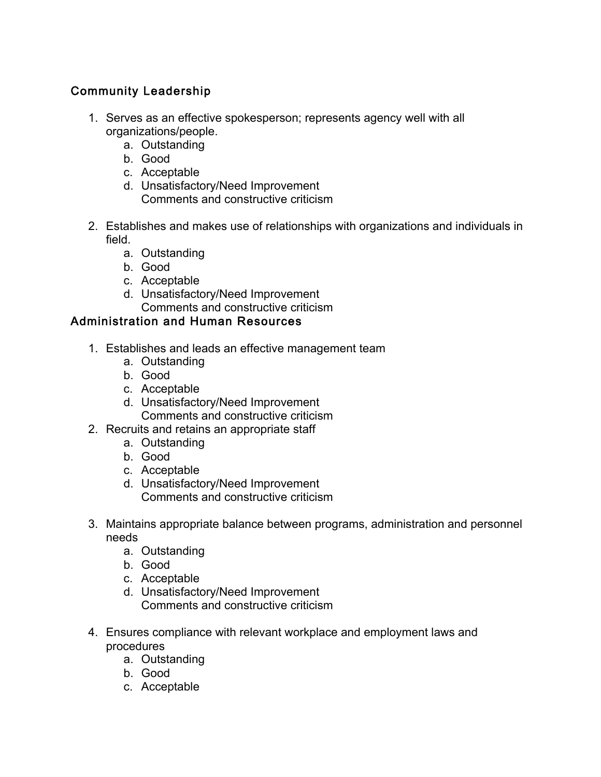# Community Leadership

- 1. Serves as an effective spokesperson; represents agency well with all organizations/people.
	- a. Outstanding
	- b. Good
	- c. Acceptable
	- d. Unsatisfactory/Need Improvement Comments and constructive criticism
- 2. Establishes and makes use of relationships with organizations and individuals in field.
	- a. Outstanding
	- b. Good
	- c. Acceptable
	- d. Unsatisfactory/Need Improvement Comments and constructive criticism

# Administration and Human Resources

- 1. Establishes and leads an effective management team
	- a. Outstanding
	- b. Good
	- c. Acceptable
	- d. Unsatisfactory/Need Improvement Comments and constructive criticism
- 2. Recruits and retains an appropriate staff
	- a. Outstanding
	- b. Good
	- c. Acceptable
	- d. Unsatisfactory/Need Improvement Comments and constructive criticism
- 3. Maintains appropriate balance between programs, administration and personnel needs
	- a. Outstanding
	- b. Good
	- c. Acceptable
	- d. Unsatisfactory/Need Improvement Comments and constructive criticism
- 4. Ensures compliance with relevant workplace and employment laws and procedures
	- a. Outstanding
	- b. Good
	- c. Acceptable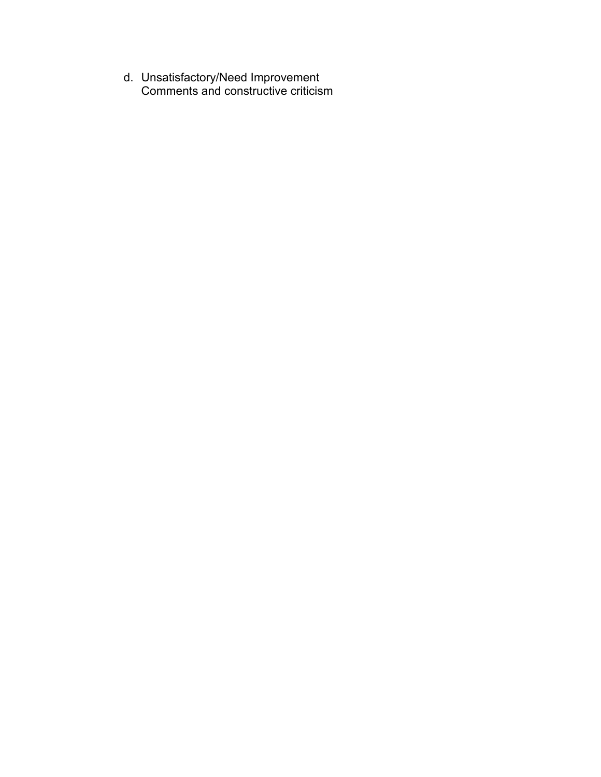d. Unsatisfactory/Need Improvement Comments and constructive criticism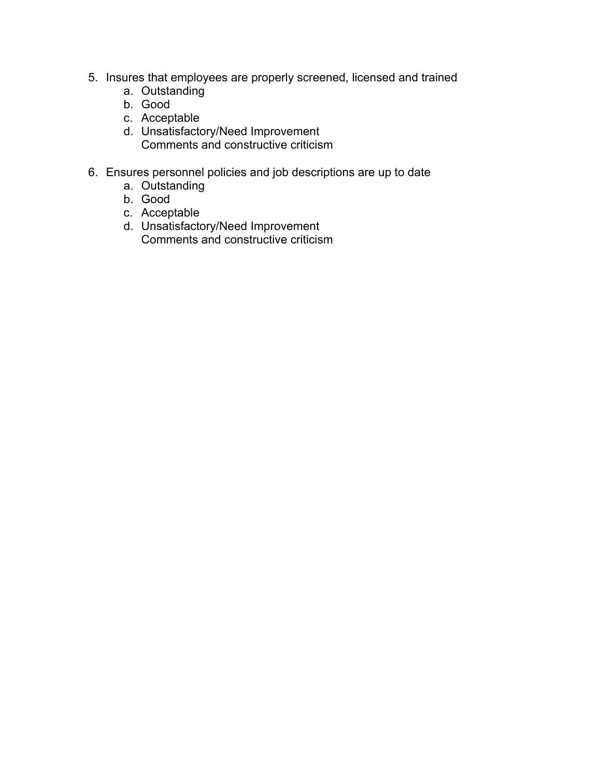- 5. Insures that employees are properly screened, licensed and trained
	- a. Outstanding
	- b. Good
	- c. Acceptable
	- d. Unsatisfactory/Need Improvement Comments and constructive criticism
- 6. Ensures personnel policies and job descriptions are up to date
	- a. Outstanding
	- b. Good
	- c. Acceptable
	- d. Unsatisfactory/Need Improvement Comments and constructive criticism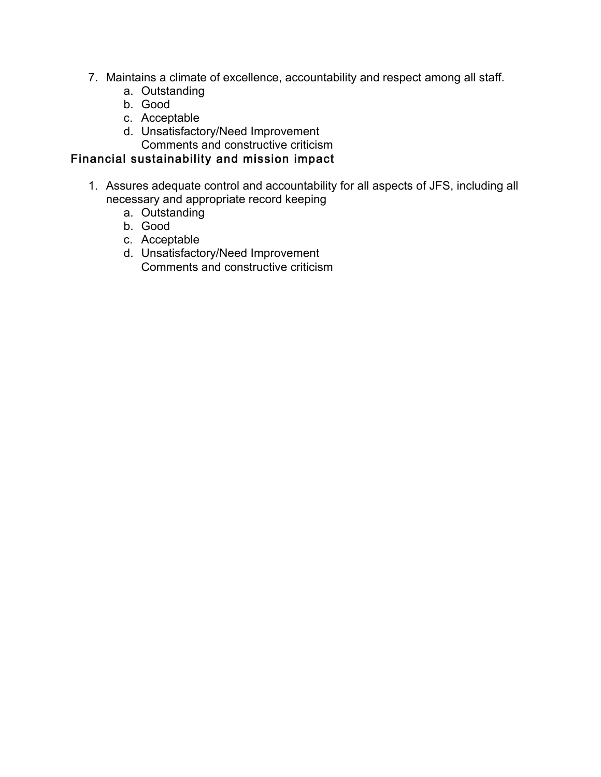- 7. Maintains a climate of excellence, accountability and respect among all staff.
	- a. Outstanding
	- b. Good
	- c. Acceptable
	- d. Unsatisfactory/Need Improvement Comments and constructive criticism
- Financial sustainability and mission impact
	- 1. Assures adequate control and accountability for all aspects of JFS, including all necessary and appropriate record keeping
		- a. Outstanding
		- b. Good
		- c. Acceptable
		- d. Unsatisfactory/Need Improvement Comments and constructive criticism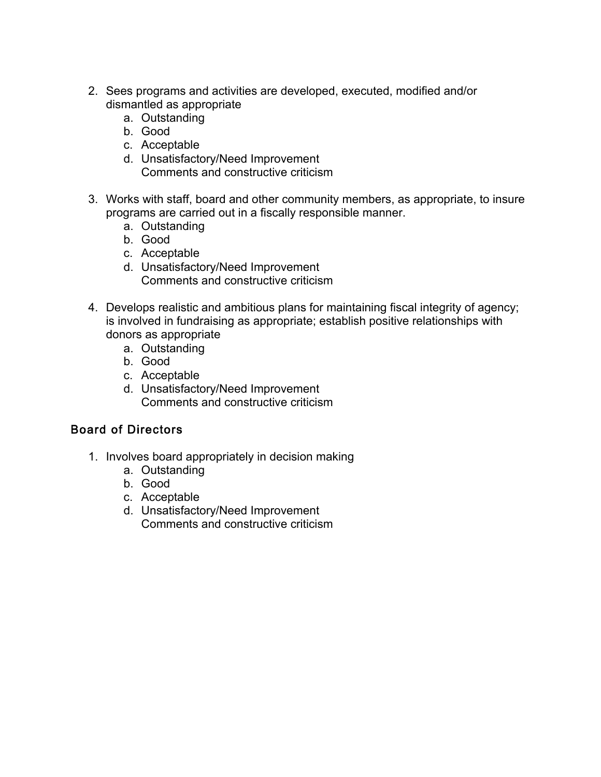- 2. Sees programs and activities are developed, executed, modified and/or dismantled as appropriate
	- a. Outstanding
	- b. Good
	- c. Acceptable
	- d. Unsatisfactory/Need Improvement Comments and constructive criticism
- 3. Works with staff, board and other community members, as appropriate, to insure programs are carried out in a fiscally responsible manner.
	- a. Outstanding
	- b. Good
	- c. Acceptable
	- d. Unsatisfactory/Need Improvement Comments and constructive criticism
- 4. Develops realistic and ambitious plans for maintaining fiscal integrity of agency; is involved in fundraising as appropriate; establish positive relationships with donors as appropriate
	- a. Outstanding
	- b. Good
	- c. Acceptable
	- d. Unsatisfactory/Need Improvement Comments and constructive criticism

# Board of Directors

- 1. Involves board appropriately in decision making
	- a. Outstanding
	- b. Good
	- c. Acceptable
	- d. Unsatisfactory/Need Improvement Comments and constructive criticism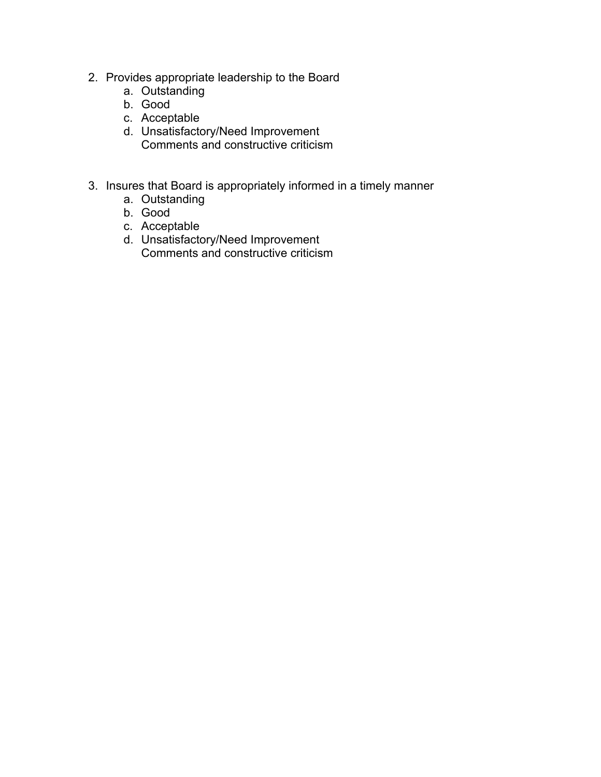- 2. Provides appropriate leadership to the Board
	- a. Outstanding
	- b. Good
	- c. Acceptable
	- d. Unsatisfactory/Need Improvement Comments and constructive criticism
- 3. Insures that Board is appropriately informed in a timely manner
	- a. Outstanding
	- b. Good
	- c. Acceptable
	- d. Unsatisfactory/Need Improvement Comments and constructive criticism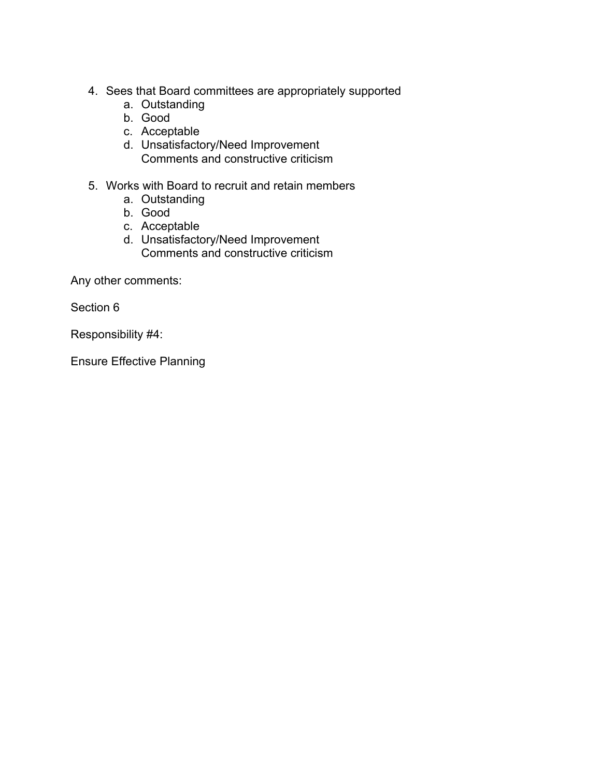- 4. Sees that Board committees are appropriately supported
	- a. Outstanding
	- b. Good
	- c. Acceptable
	- d. Unsatisfactory/Need Improvement Comments and constructive criticism
- 5. Works with Board to recruit and retain members
	- a. Outstanding
	- b. Good
	- c. Acceptable
	- d. Unsatisfactory/Need Improvement Comments and constructive criticism

Any other comments:

Section 6

Responsibility #4:

Ensure Effective Planning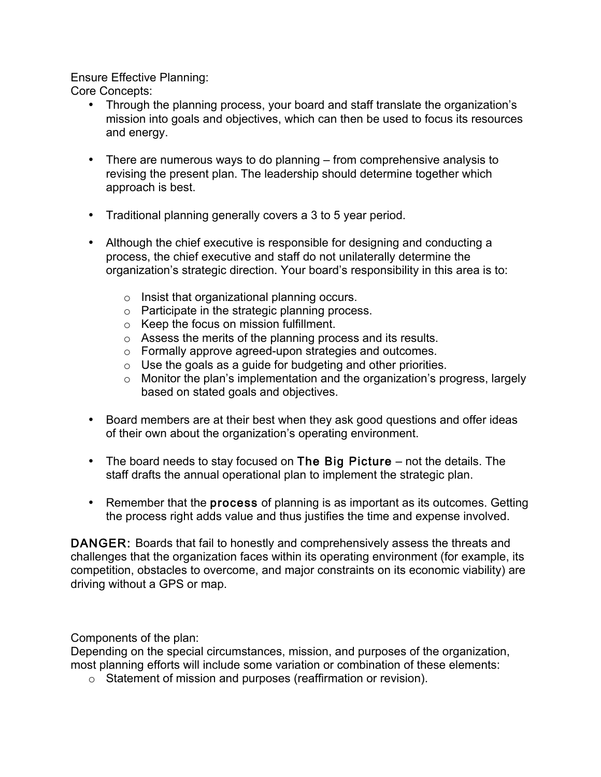Ensure Effective Planning:

Core Concepts:

- Through the planning process, your board and staff translate the organization's mission into goals and objectives, which can then be used to focus its resources and energy.
- There are numerous ways to do planning from comprehensive analysis to revising the present plan. The leadership should determine together which approach is best.
- Traditional planning generally covers a 3 to 5 year period.
- Although the chief executive is responsible for designing and conducting a process, the chief executive and staff do not unilaterally determine the organization's strategic direction. Your board's responsibility in this area is to:
	- o Insist that organizational planning occurs.
	- o Participate in the strategic planning process.
	- o Keep the focus on mission fulfillment.
	- o Assess the merits of the planning process and its results.
	- o Formally approve agreed-upon strategies and outcomes.
	- $\circ$  Use the goals as a guide for budgeting and other priorities.
	- o Monitor the plan's implementation and the organization's progress, largely based on stated goals and objectives.
- Board members are at their best when they ask good questions and offer ideas of their own about the organization's operating environment.
- The board needs to stay focused on The Big Picture not the details. The staff drafts the annual operational plan to implement the strategic plan.
- Remember that the **process** of planning is as important as its outcomes. Getting the process right adds value and thus justifies the time and expense involved.

DANGER: Boards that fail to honestly and comprehensively assess the threats and challenges that the organization faces within its operating environment (for example, its competition, obstacles to overcome, and major constraints on its economic viability) are driving without a GPS or map.

Components of the plan:

Depending on the special circumstances, mission, and purposes of the organization, most planning efforts will include some variation or combination of these elements:

o Statement of mission and purposes (reaffirmation or revision).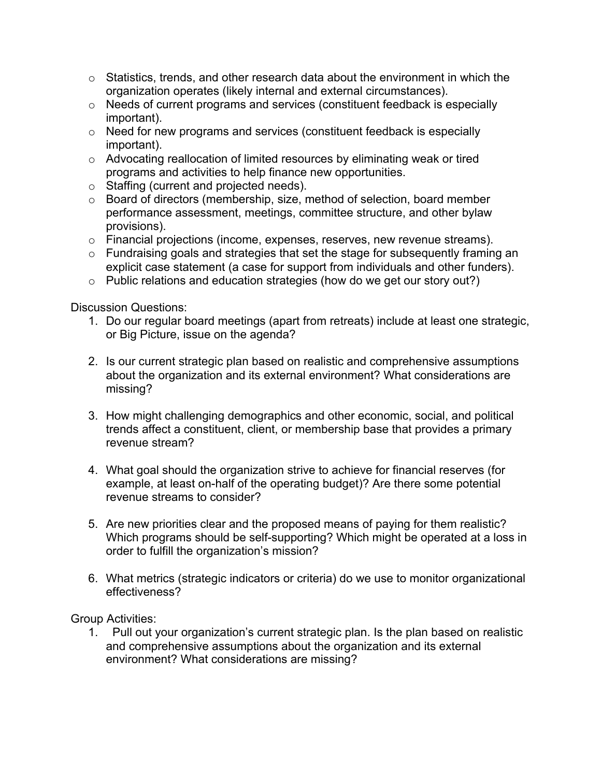- $\circ$  Statistics, trends, and other research data about the environment in which the organization operates (likely internal and external circumstances).
- o Needs of current programs and services (constituent feedback is especially important).
- o Need for new programs and services (constituent feedback is especially important).
- o Advocating reallocation of limited resources by eliminating weak or tired programs and activities to help finance new opportunities.
- o Staffing (current and projected needs).
- o Board of directors (membership, size, method of selection, board member performance assessment, meetings, committee structure, and other bylaw provisions).
- o Financial projections (income, expenses, reserves, new revenue streams).
- o Fundraising goals and strategies that set the stage for subsequently framing an explicit case statement (a case for support from individuals and other funders).
- o Public relations and education strategies (how do we get our story out?)

Discussion Questions:

- 1. Do our regular board meetings (apart from retreats) include at least one strategic, or Big Picture, issue on the agenda?
- 2. Is our current strategic plan based on realistic and comprehensive assumptions about the organization and its external environment? What considerations are missing?
- 3. How might challenging demographics and other economic, social, and political trends affect a constituent, client, or membership base that provides a primary revenue stream?
- 4. What goal should the organization strive to achieve for financial reserves (for example, at least on-half of the operating budget)? Are there some potential revenue streams to consider?
- 5. Are new priorities clear and the proposed means of paying for them realistic? Which programs should be self-supporting? Which might be operated at a loss in order to fulfill the organization's mission?
- 6. What metrics (strategic indicators or criteria) do we use to monitor organizational effectiveness?

Group Activities:

1. Pull out your organization's current strategic plan. Is the plan based on realistic and comprehensive assumptions about the organization and its external environment? What considerations are missing?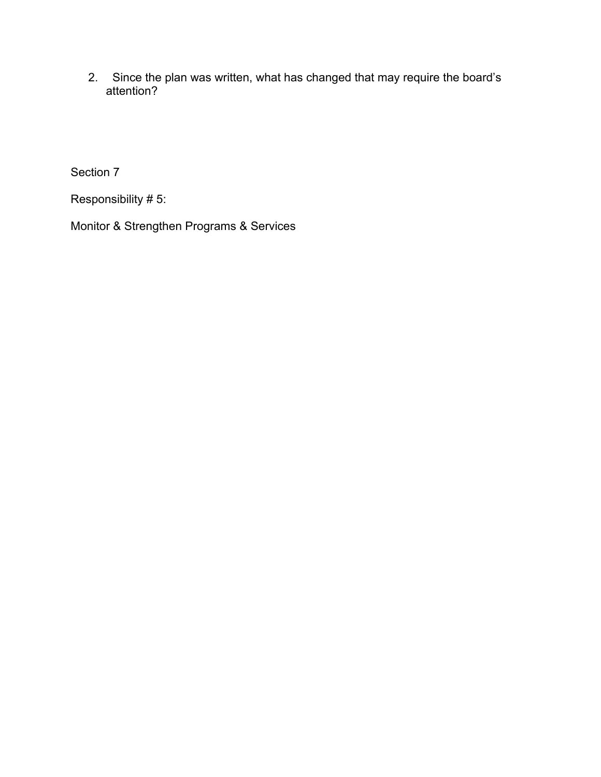2. Since the plan was written, what has changed that may require the board's attention?

Section 7

Responsibility # 5:

Monitor & Strengthen Programs & Services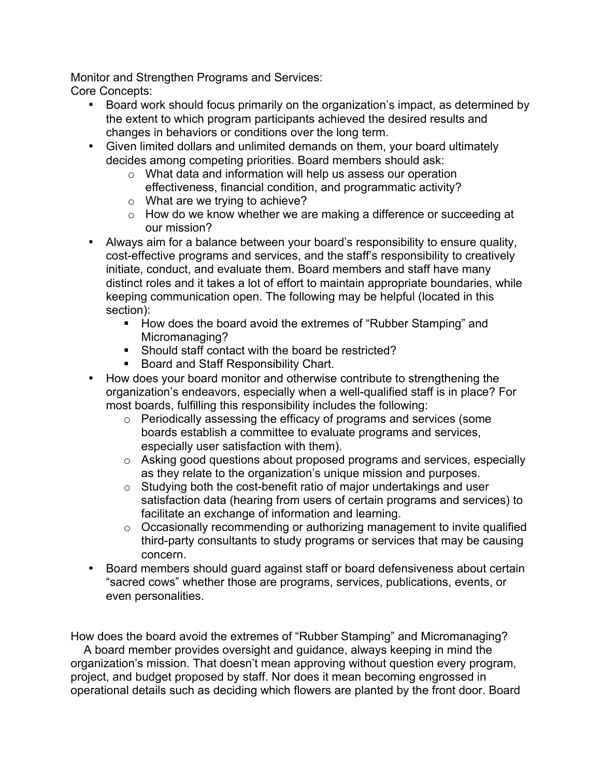Monitor and Strengthen Programs and Services: Core Concepts:

- Board work should focus primarily on the organization's impact, as determined by the extent to which program participants achieved the desired results and changes in behaviors or conditions over the long term.
- Given limited dollars and unlimited demands on them, your board ultimately decides among competing priorities. Board members should ask:
	- o What data and information will help us assess our operation effectiveness, financial condition, and programmatic activity?
	- o What are we trying to achieve?
	- o How do we know whether we are making a difference or succeeding at our mission?
- Always aim for a balance between your board's responsibility to ensure quality, cost-effective programs and services, and the staff's responsibility to creatively initiate, conduct, and evaluate them. Board members and staff have many distinct roles and it takes a lot of effort to maintain appropriate boundaries, while keeping communication open. The following may be helpful (located in this section):
	- ! How does the board avoid the extremes of "Rubber Stamping" and Micromanaging?
	- ! Should staff contact with the board be restricted?
	- **Board and Staff Responsibility Chart.**
- How does your board monitor and otherwise contribute to strengthening the organization's endeavors, especially when a well-qualified staff is in place? For most boards, fulfilling this responsibility includes the following:
	- o Periodically assessing the efficacy of programs and services (some boards establish a committee to evaluate programs and services, especially user satisfaction with them).
	- o Asking good questions about proposed programs and services, especially as they relate to the organization's unique mission and purposes.
	- o Studying both the cost-benefit ratio of major undertakings and user satisfaction data (hearing from users of certain programs and services) to facilitate an exchange of information and learning.
	- o Occasionally recommending or authorizing management to invite qualified third-party consultants to study programs or services that may be causing concern.
- Board members should guard against staff or board defensiveness about certain "sacred cows" whether those are programs, services, publications, events, or even personalities.

How does the board avoid the extremes of "Rubber Stamping" and Micromanaging?

 A board member provides oversight and guidance, always keeping in mind the organization's mission. That doesn't mean approving without question every program, project, and budget proposed by staff. Nor does it mean becoming engrossed in operational details such as deciding which flowers are planted by the front door. Board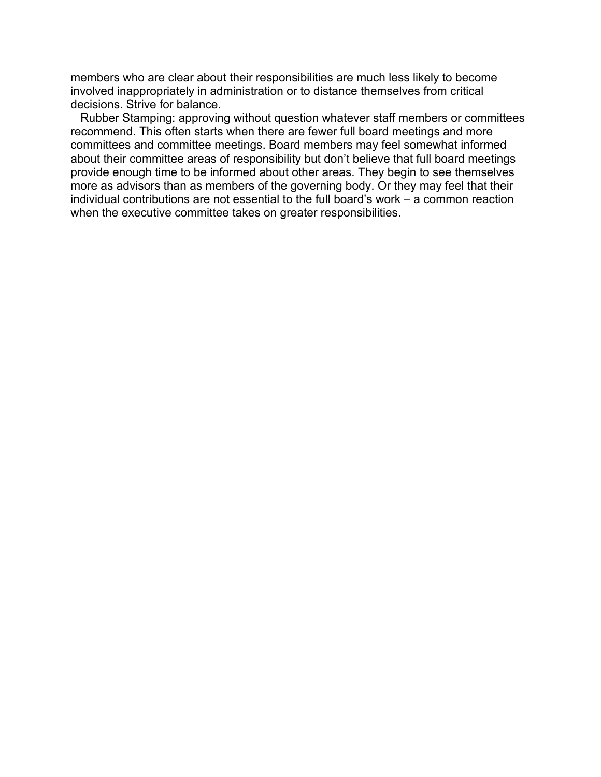members who are clear about their responsibilities are much less likely to become involved inappropriately in administration or to distance themselves from critical decisions. Strive for balance.

 Rubber Stamping: approving without question whatever staff members or committees recommend. This often starts when there are fewer full board meetings and more committees and committee meetings. Board members may feel somewhat informed about their committee areas of responsibility but don't believe that full board meetings provide enough time to be informed about other areas. They begin to see themselves more as advisors than as members of the governing body. Or they may feel that their individual contributions are not essential to the full board's work – a common reaction when the executive committee takes on greater responsibilities.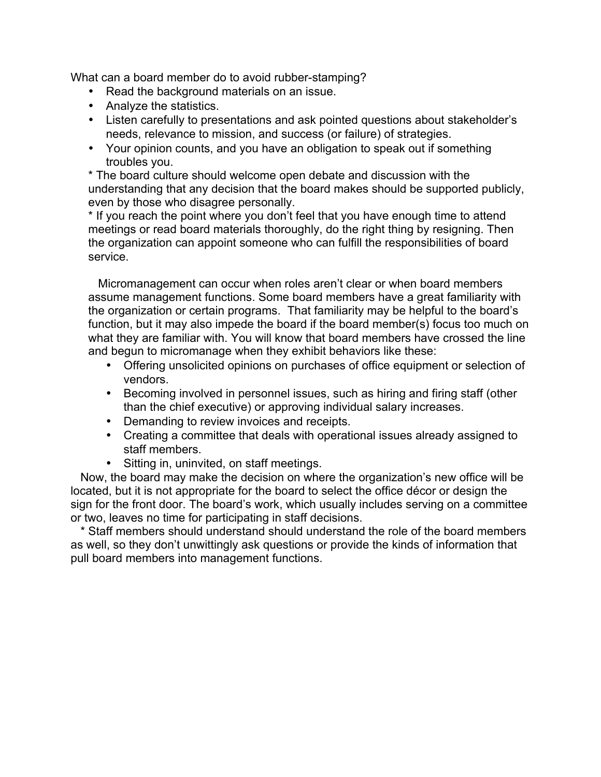What can a board member do to avoid rubber-stamping?

- Read the background materials on an issue.
- Analyze the statistics.
- Listen carefully to presentations and ask pointed questions about stakeholder's needs, relevance to mission, and success (or failure) of strategies.
- Your opinion counts, and you have an obligation to speak out if something troubles you.

\* The board culture should welcome open debate and discussion with the understanding that any decision that the board makes should be supported publicly, even by those who disagree personally.

\* If you reach the point where you don't feel that you have enough time to attend meetings or read board materials thoroughly, do the right thing by resigning. Then the organization can appoint someone who can fulfill the responsibilities of board service.

 Micromanagement can occur when roles aren't clear or when board members assume management functions. Some board members have a great familiarity with the organization or certain programs. That familiarity may be helpful to the board's function, but it may also impede the board if the board member(s) focus too much on what they are familiar with. You will know that board members have crossed the line and begun to micromanage when they exhibit behaviors like these:

- Offering unsolicited opinions on purchases of office equipment or selection of vendors.
- Becoming involved in personnel issues, such as hiring and firing staff (other than the chief executive) or approving individual salary increases.
- Demanding to review invoices and receipts.
- Creating a committee that deals with operational issues already assigned to staff members.
- Sitting in, uninvited, on staff meetings.

 Now, the board may make the decision on where the organization's new office will be located, but it is not appropriate for the board to select the office décor or design the sign for the front door. The board's work, which usually includes serving on a committee or two, leaves no time for participating in staff decisions.

 \* Staff members should understand should understand the role of the board members as well, so they don't unwittingly ask questions or provide the kinds of information that pull board members into management functions.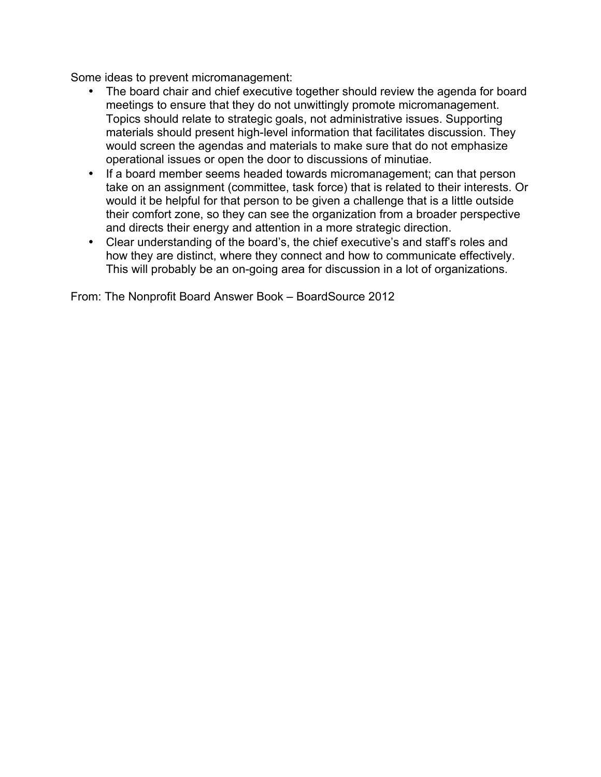Some ideas to prevent micromanagement:

- The board chair and chief executive together should review the agenda for board meetings to ensure that they do not unwittingly promote micromanagement. Topics should relate to strategic goals, not administrative issues. Supporting materials should present high-level information that facilitates discussion. They would screen the agendas and materials to make sure that do not emphasize operational issues or open the door to discussions of minutiae.
- If a board member seems headed towards micromanagement; can that person take on an assignment (committee, task force) that is related to their interests. Or would it be helpful for that person to be given a challenge that is a little outside their comfort zone, so they can see the organization from a broader perspective and directs their energy and attention in a more strategic direction.
- Clear understanding of the board's, the chief executive's and staff's roles and how they are distinct, where they connect and how to communicate effectively. This will probably be an on-going area for discussion in a lot of organizations.

From: The Nonprofit Board Answer Book – BoardSource 2012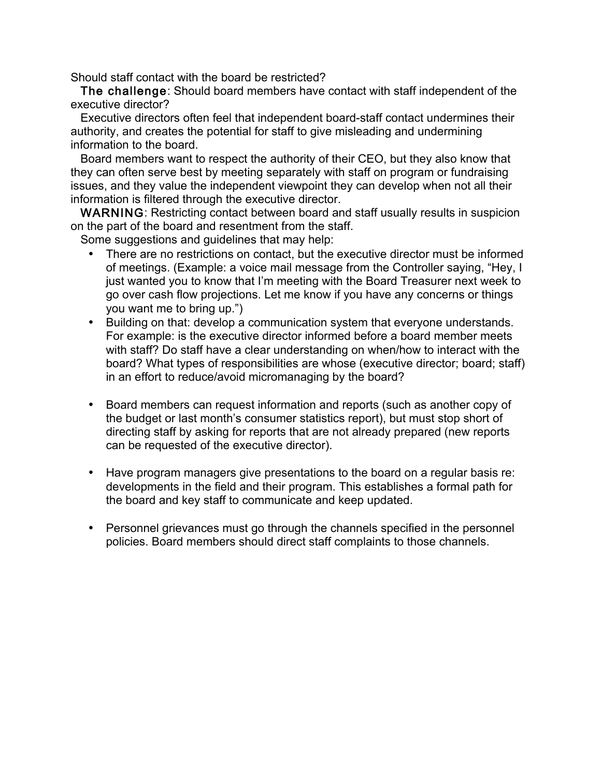Should staff contact with the board be restricted?

 The challenge: Should board members have contact with staff independent of the executive director?

 Executive directors often feel that independent board-staff contact undermines their authority, and creates the potential for staff to give misleading and undermining information to the board.

 Board members want to respect the authority of their CEO, but they also know that they can often serve best by meeting separately with staff on program or fundraising issues, and they value the independent viewpoint they can develop when not all their information is filtered through the executive director.

 WARNING: Restricting contact between board and staff usually results in suspicion on the part of the board and resentment from the staff.

Some suggestions and guidelines that may help:

- There are no restrictions on contact, but the executive director must be informed of meetings. (Example: a voice mail message from the Controller saying, "Hey, I just wanted you to know that I'm meeting with the Board Treasurer next week to go over cash flow projections. Let me know if you have any concerns or things you want me to bring up.")
- Building on that: develop a communication system that everyone understands. For example: is the executive director informed before a board member meets with staff? Do staff have a clear understanding on when/how to interact with the board? What types of responsibilities are whose (executive director; board; staff) in an effort to reduce/avoid micromanaging by the board?
- Board members can request information and reports (such as another copy of the budget or last month's consumer statistics report), but must stop short of directing staff by asking for reports that are not already prepared (new reports can be requested of the executive director).
- Have program managers give presentations to the board on a regular basis re: developments in the field and their program. This establishes a formal path for the board and key staff to communicate and keep updated.
- Personnel grievances must go through the channels specified in the personnel policies. Board members should direct staff complaints to those channels.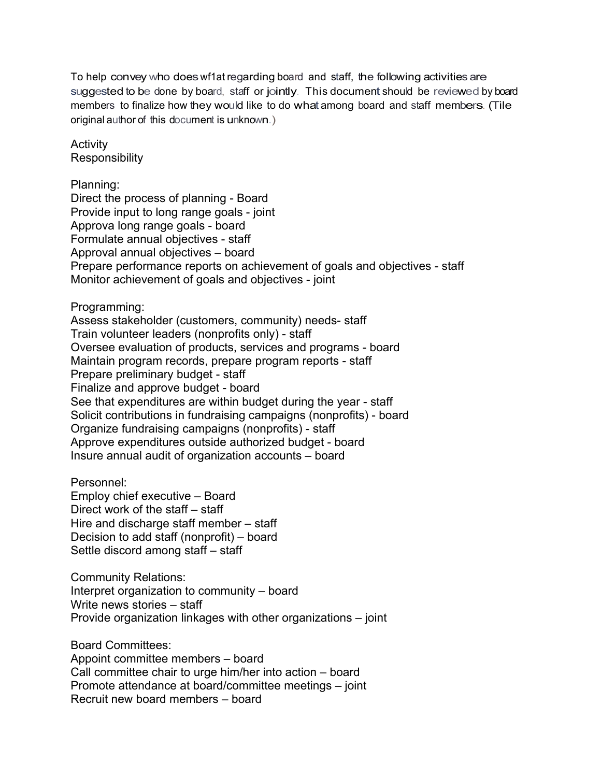To help convey who doeswf1at regarding board and staff, the following activities are suggested to be done by board, staff or jointly. This document should be reviewed by board members to finalize how they would like to do what among board and staff members. (Tile original author of this document is unknown.)

Activity **Responsibility** 

Planning:

Direct the process of planning - Board Provide input to long range goals - joint Approva long range goals - board Formulate annual objectives - staff Approval annual objectives – board Prepare performance reports on achievement of goals and objectives - staff Monitor achievement of goals and objectives - joint

#### Programming:

Assess stakeholder (customers, community) needs- staff Train volunteer leaders (nonprofits only) - staff Oversee evaluation of products, services and programs - board Maintain program records, prepare program reports - staff Prepare preliminary budget - staff Finalize and approve budget - board See that expenditures are within budget during the year - staff Solicit contributions in fundraising campaigns (nonprofits) - board Organize fundraising campaigns (nonprofits) - staff Approve expenditures outside authorized budget - board Insure annual audit of organization accounts – board

Personnel: Employ chief executive – Board Direct work of the staff – staff Hire and discharge staff member – staff Decision to add staff (nonprofit) – board Settle discord among staff – staff

Community Relations: Interpret organization to community – board Write news stories – staff Provide organization linkages with other organizations – joint

Board Committees: Appoint committee members – board Call committee chair to urge him/her into action – board Promote attendance at board/committee meetings – joint Recruit new board members – board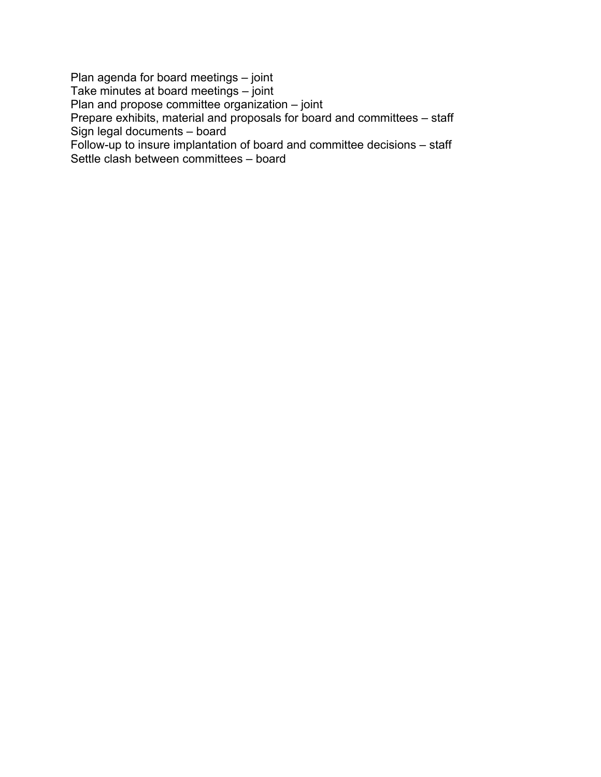Plan agenda for board meetings – joint Take minutes at board meetings – joint Plan and propose committee organization – joint Prepare exhibits, material and proposals for board and committees – staff Sign legal documents – board Follow-up to insure implantation of board and committee decisions – staff Settle clash between committees – board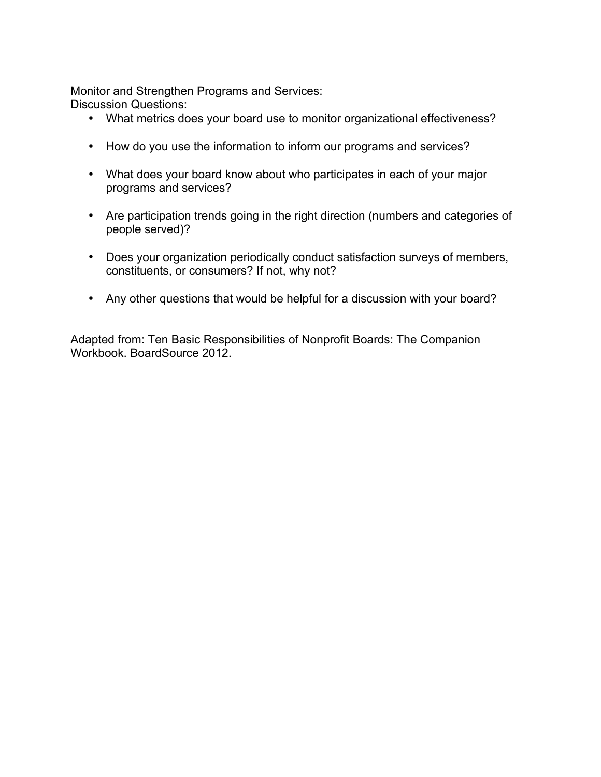Monitor and Strengthen Programs and Services:

Discussion Questions:

- What metrics does your board use to monitor organizational effectiveness?
- How do you use the information to inform our programs and services?
- What does your board know about who participates in each of your major programs and services?
- Are participation trends going in the right direction (numbers and categories of people served)?
- Does your organization periodically conduct satisfaction surveys of members, constituents, or consumers? If not, why not?
- Any other questions that would be helpful for a discussion with your board?

Adapted from: Ten Basic Responsibilities of Nonprofit Boards: The Companion Workbook. BoardSource 2012.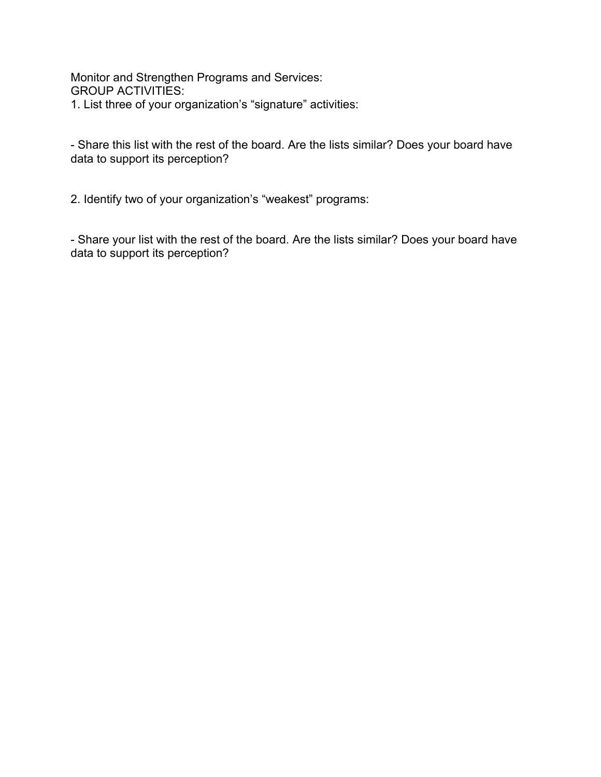Monitor and Strengthen Programs and Services: GROUP ACTIVITIES: 1. List three of your organization's "signature" activities:

- Share this list with the rest of the board. Are the lists similar? Does your board have data to support its perception?

2. Identify two of your organization's "weakest" programs:

- Share your list with the rest of the board. Are the lists similar? Does your board have data to support its perception?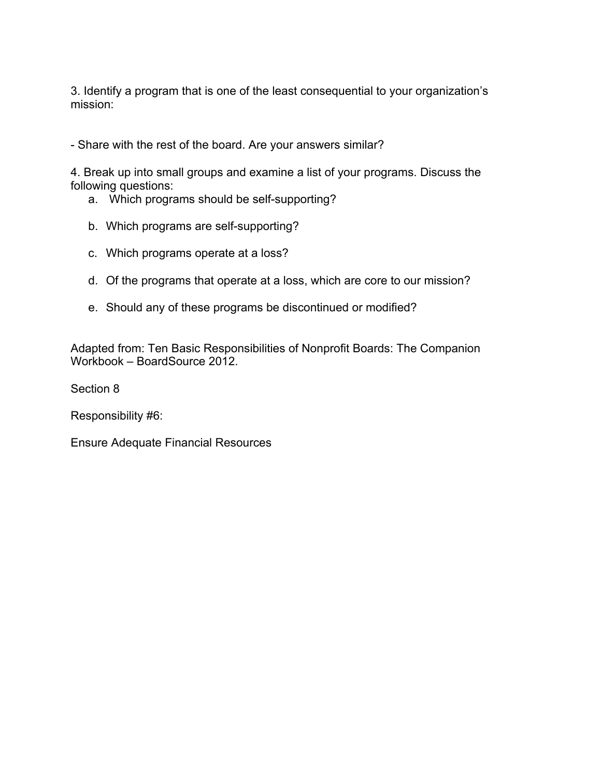3. Identify a program that is one of the least consequential to your organization's mission:

- Share with the rest of the board. Are your answers similar?

4. Break up into small groups and examine a list of your programs. Discuss the following questions:

- a. Which programs should be self-supporting?
- b. Which programs are self-supporting?
- c. Which programs operate at a loss?
- d. Of the programs that operate at a loss, which are core to our mission?
- e. Should any of these programs be discontinued or modified?

Adapted from: Ten Basic Responsibilities of Nonprofit Boards: The Companion Workbook – BoardSource 2012.

Section 8

Responsibility #6:

Ensure Adequate Financial Resources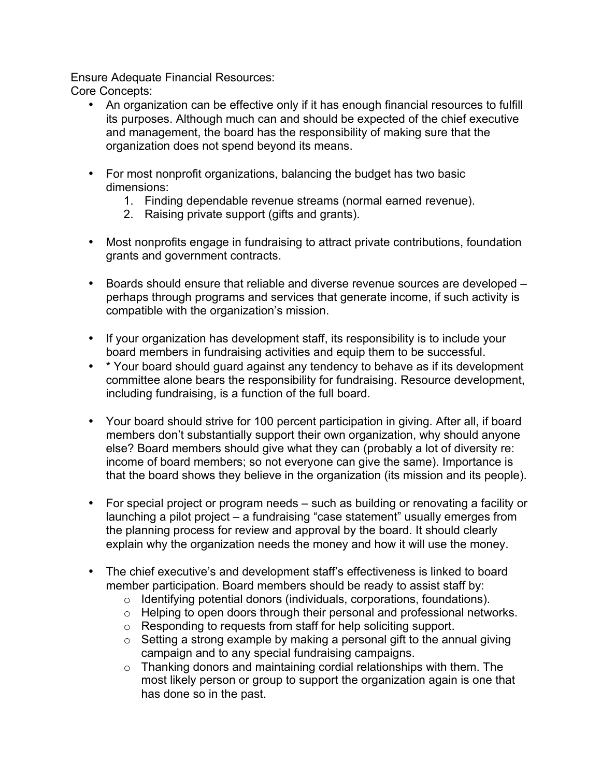Ensure Adequate Financial Resources: Core Concepts:

- An organization can be effective only if it has enough financial resources to fulfill its purposes. Although much can and should be expected of the chief executive and management, the board has the responsibility of making sure that the organization does not spend beyond its means.
- For most nonprofit organizations, balancing the budget has two basic dimensions:
	- 1. Finding dependable revenue streams (normal earned revenue).
	- 2. Raising private support (gifts and grants).
- Most nonprofits engage in fundraising to attract private contributions, foundation grants and government contracts.
- Boards should ensure that reliable and diverse revenue sources are developed perhaps through programs and services that generate income, if such activity is compatible with the organization's mission.
- If your organization has development staff, its responsibility is to include your board members in fundraising activities and equip them to be successful.
- \* Your board should guard against any tendency to behave as if its development committee alone bears the responsibility for fundraising. Resource development, including fundraising, is a function of the full board.
- Your board should strive for 100 percent participation in giving. After all, if board members don't substantially support their own organization, why should anyone else? Board members should give what they can (probably a lot of diversity re: income of board members; so not everyone can give the same). Importance is that the board shows they believe in the organization (its mission and its people).
- For special project or program needs such as building or renovating a facility or launching a pilot project – a fundraising "case statement" usually emerges from the planning process for review and approval by the board. It should clearly explain why the organization needs the money and how it will use the money.
- The chief executive's and development staff's effectiveness is linked to board member participation. Board members should be ready to assist staff by:
	- o Identifying potential donors (individuals, corporations, foundations).
	- o Helping to open doors through their personal and professional networks.
	- o Responding to requests from staff for help soliciting support.
	- $\circ$  Setting a strong example by making a personal gift to the annual giving campaign and to any special fundraising campaigns.
	- o Thanking donors and maintaining cordial relationships with them. The most likely person or group to support the organization again is one that has done so in the past.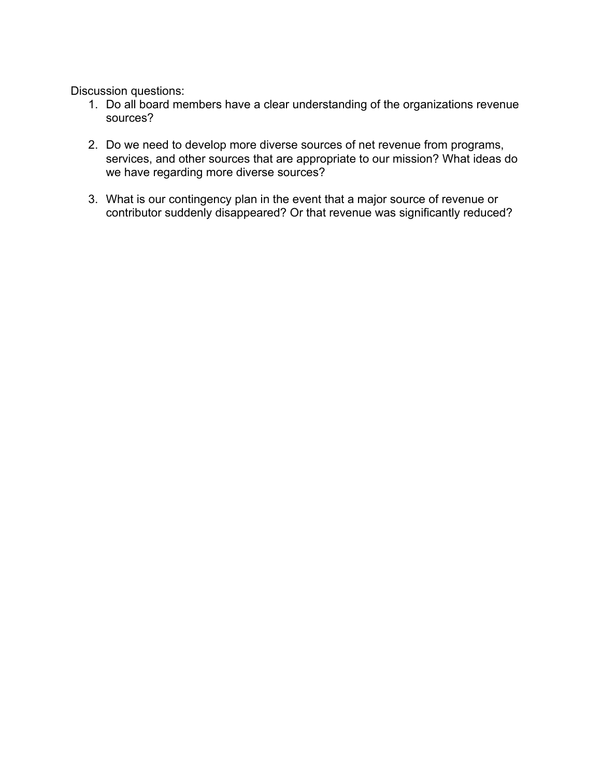Discussion questions:

- 1. Do all board members have a clear understanding of the organizations revenue sources?
- 2. Do we need to develop more diverse sources of net revenue from programs, services, and other sources that are appropriate to our mission? What ideas do we have regarding more diverse sources?
- 3. What is our contingency plan in the event that a major source of revenue or contributor suddenly disappeared? Or that revenue was significantly reduced?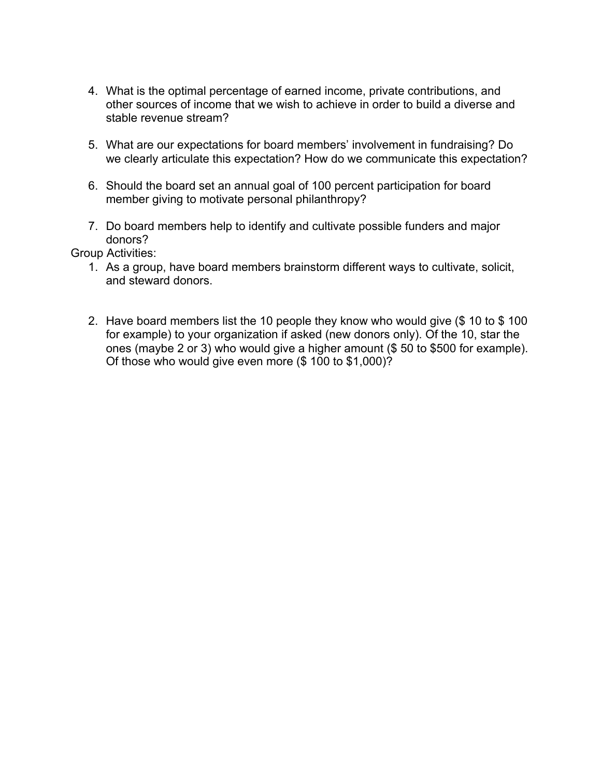- 4. What is the optimal percentage of earned income, private contributions, and other sources of income that we wish to achieve in order to build a diverse and stable revenue stream?
- 5. What are our expectations for board members' involvement in fundraising? Do we clearly articulate this expectation? How do we communicate this expectation?
- 6. Should the board set an annual goal of 100 percent participation for board member giving to motivate personal philanthropy?
- 7. Do board members help to identify and cultivate possible funders and major donors?

Group Activities:

- 1. As a group, have board members brainstorm different ways to cultivate, solicit, and steward donors.
- 2. Have board members list the 10 people they know who would give (\$ 10 to \$ 100 for example) to your organization if asked (new donors only). Of the 10, star the ones (maybe 2 or 3) who would give a higher amount (\$ 50 to \$500 for example). Of those who would give even more (\$ 100 to \$1,000)?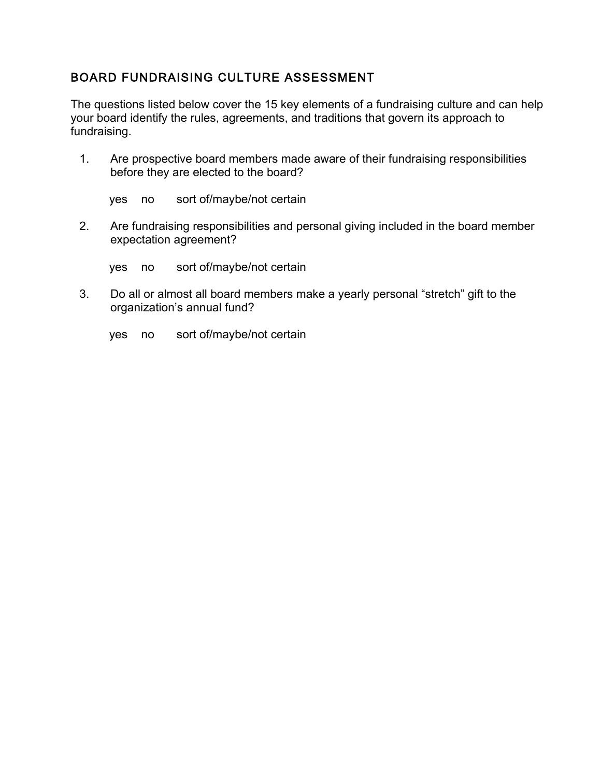### BOARD FUNDRAISING CULTURE ASSESSMENT

The questions listed below cover the 15 key elements of a fundraising culture and can help your board identify the rules, agreements, and traditions that govern its approach to fundraising.

1. Are prospective board members made aware of their fundraising responsibilities before they are elected to the board?

yes no sort of/maybe/not certain

2. Are fundraising responsibilities and personal giving included in the board member expectation agreement?

yes no sort of/maybe/not certain

- 3. Do all or almost all board members make a yearly personal "stretch" gift to the organization's annual fund?
	- yes no sort of/maybe/not certain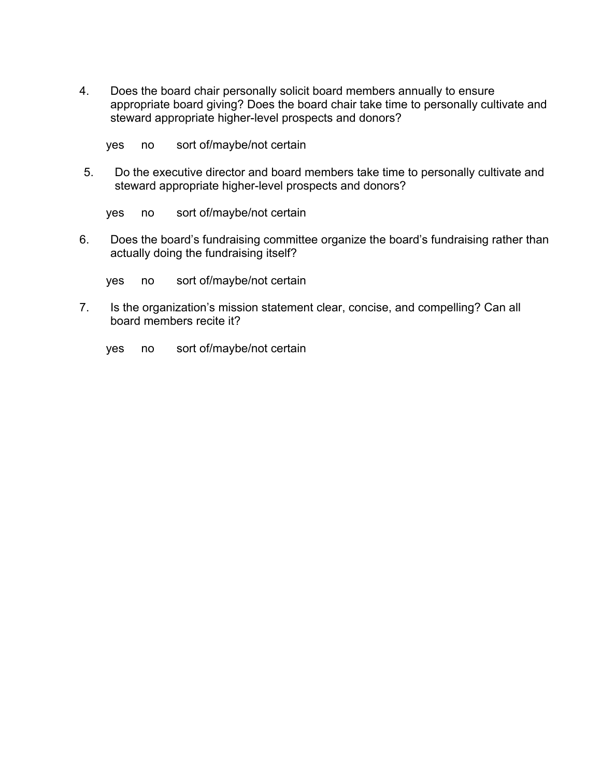- 4. Does the board chair personally solicit board members annually to ensure appropriate board giving? Does the board chair take time to personally cultivate and steward appropriate higher-level prospects and donors?
	- yes no sort of/maybe/not certain
- 5. Do the executive director and board members take time to personally cultivate and steward appropriate higher-level prospects and donors?

yes no sort of/maybe/not certain

6. Does the board's fundraising committee organize the board's fundraising rather than actually doing the fundraising itself?

yes no sort of/maybe/not certain

7. Is the organization's mission statement clear, concise, and compelling? Can all board members recite it?

yes no sort of/maybe/not certain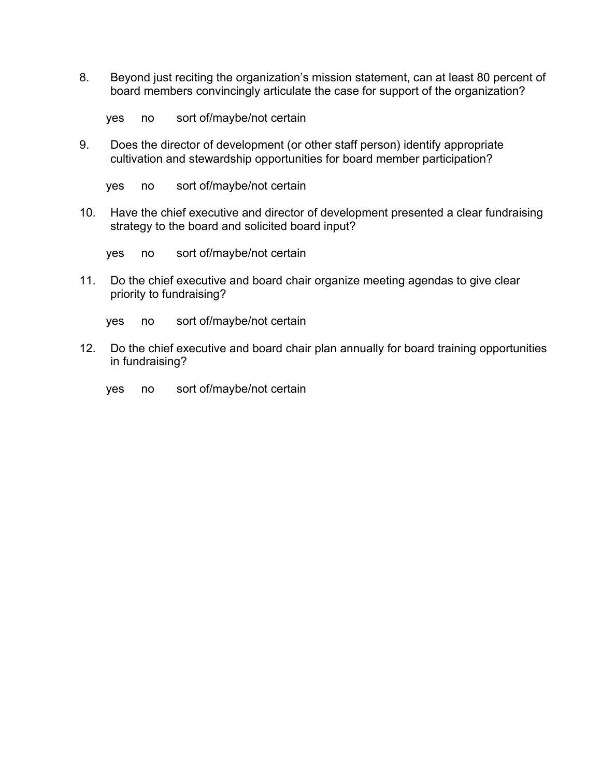8. Beyond just reciting the organization's mission statement, can at least 80 percent of board members convincingly articulate the case for support of the organization?

yes no sort of/maybe/not certain

9. Does the director of development (or other staff person) identify appropriate cultivation and stewardship opportunities for board member participation?

yes no sort of/maybe/not certain

10. Have the chief executive and director of development presented a clear fundraising strategy to the board and solicited board input?

yes no sort of/maybe/not certain

- 11. Do the chief executive and board chair organize meeting agendas to give clear priority to fundraising?
	- yes no sort of/maybe/not certain
- 12. Do the chief executive and board chair plan annually for board training opportunities in fundraising?
	- yes no sort of/maybe/not certain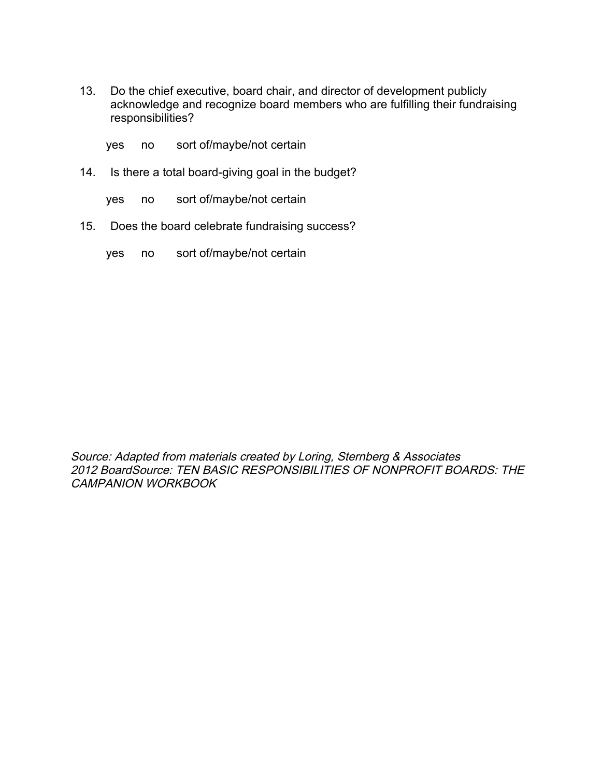- 13. Do the chief executive, board chair, and director of development publicly acknowledge and recognize board members who are fulfilling their fundraising responsibilities?
	- yes no sort of/maybe/not certain
- 14. Is there a total board-giving goal in the budget?
	- yes no sort of/maybe/not certain
- 15. Does the board celebrate fundraising success?
	- yes no sort of/maybe/not certain

Source: Adapted from materials created by Loring, Sternberg & Associates 2012 BoardSource: TEN BASIC RESPONSIBILITIES OF NONPROFIT BOARDS: THE CAMPANION WORKBOOK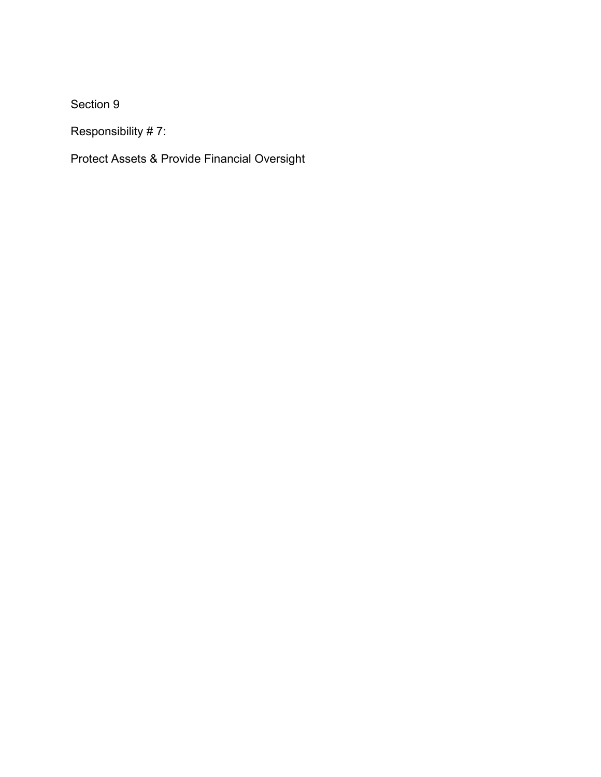Section 9

Responsibility # 7:

Protect Assets & Provide Financial Oversight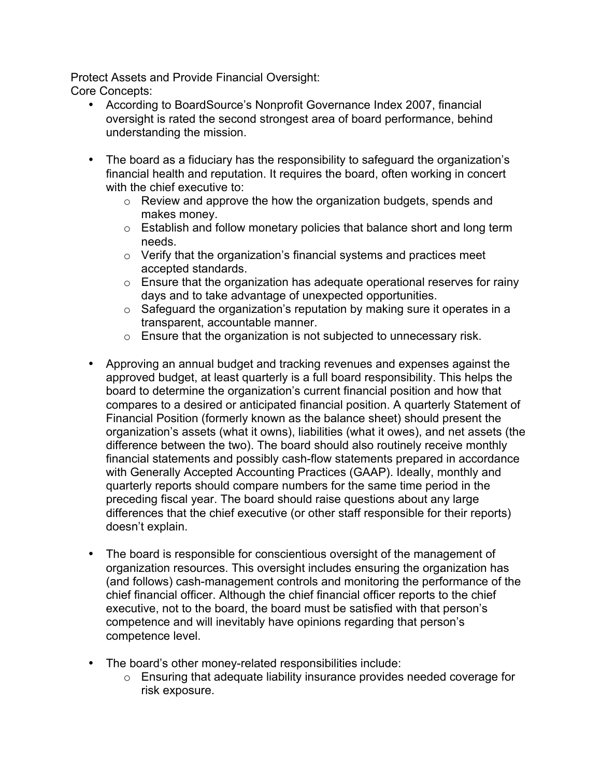Protect Assets and Provide Financial Oversight: Core Concepts:

- According to BoardSource's Nonprofit Governance Index 2007, financial oversight is rated the second strongest area of board performance, behind understanding the mission.
- The board as a fiduciary has the responsibility to safeguard the organization's financial health and reputation. It requires the board, often working in concert with the chief executive to:
	- o Review and approve the how the organization budgets, spends and makes money.
	- $\circ$  Establish and follow monetary policies that balance short and long term needs.
	- $\circ$  Verify that the organization's financial systems and practices meet accepted standards.
	- $\circ$  Ensure that the organization has adequate operational reserves for rainy days and to take advantage of unexpected opportunities.
	- $\circ$  Safeguard the organization's reputation by making sure it operates in a transparent, accountable manner.
	- $\circ$  Ensure that the organization is not subjected to unnecessary risk.
- Approving an annual budget and tracking revenues and expenses against the approved budget, at least quarterly is a full board responsibility. This helps the board to determine the organization's current financial position and how that compares to a desired or anticipated financial position. A quarterly Statement of Financial Position (formerly known as the balance sheet) should present the organization's assets (what it owns), liabilities (what it owes), and net assets (the difference between the two). The board should also routinely receive monthly financial statements and possibly cash-flow statements prepared in accordance with Generally Accepted Accounting Practices (GAAP). Ideally, monthly and quarterly reports should compare numbers for the same time period in the preceding fiscal year. The board should raise questions about any large differences that the chief executive (or other staff responsible for their reports) doesn't explain.
- The board is responsible for conscientious oversight of the management of organization resources. This oversight includes ensuring the organization has (and follows) cash-management controls and monitoring the performance of the chief financial officer. Although the chief financial officer reports to the chief executive, not to the board, the board must be satisfied with that person's competence and will inevitably have opinions regarding that person's competence level.
- The board's other money-related responsibilities include:
	- o Ensuring that adequate liability insurance provides needed coverage for risk exposure.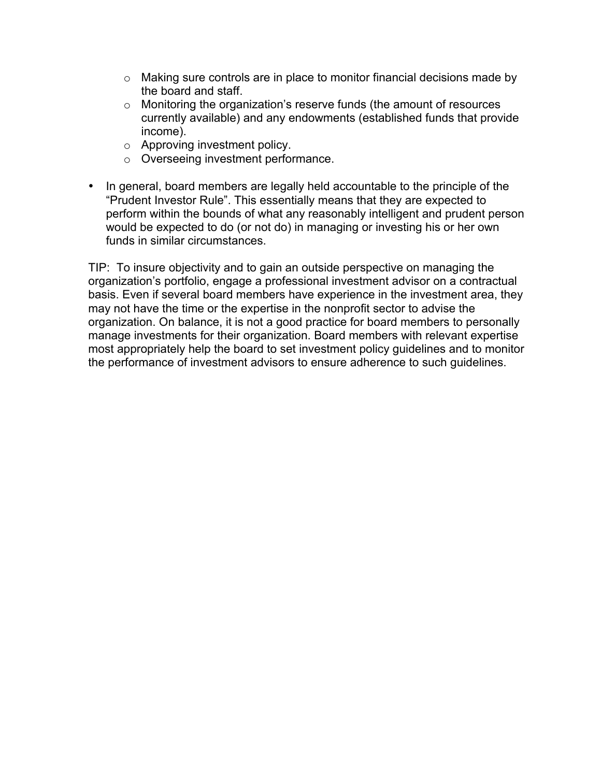- $\circ$  Making sure controls are in place to monitor financial decisions made by the board and staff.
- o Monitoring the organization's reserve funds (the amount of resources currently available) and any endowments (established funds that provide income).
- o Approving investment policy.
- o Overseeing investment performance.
- In general, board members are legally held accountable to the principle of the "Prudent Investor Rule". This essentially means that they are expected to perform within the bounds of what any reasonably intelligent and prudent person would be expected to do (or not do) in managing or investing his or her own funds in similar circumstances.

TIP: To insure objectivity and to gain an outside perspective on managing the organization's portfolio, engage a professional investment advisor on a contractual basis. Even if several board members have experience in the investment area, they may not have the time or the expertise in the nonprofit sector to advise the organization. On balance, it is not a good practice for board members to personally manage investments for their organization. Board members with relevant expertise most appropriately help the board to set investment policy guidelines and to monitor the performance of investment advisors to ensure adherence to such guidelines.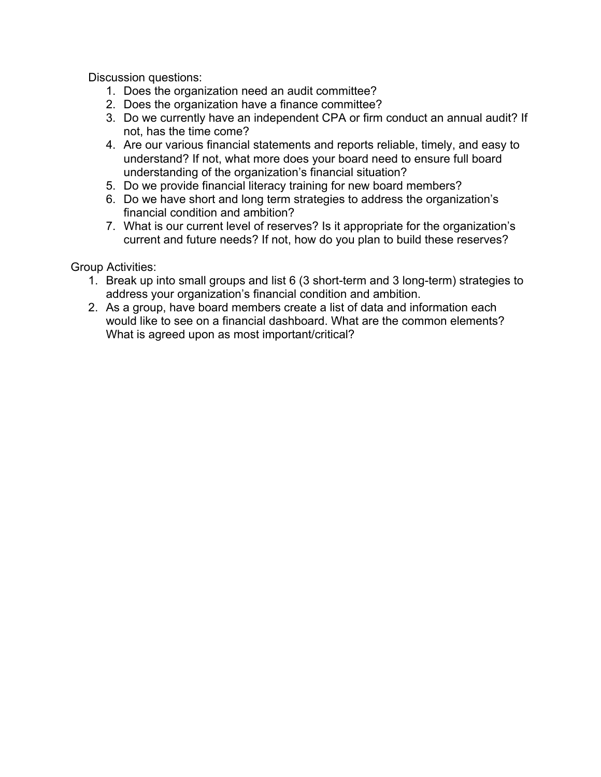Discussion questions:

- 1. Does the organization need an audit committee?
- 2. Does the organization have a finance committee?
- 3. Do we currently have an independent CPA or firm conduct an annual audit? If not, has the time come?
- 4. Are our various financial statements and reports reliable, timely, and easy to understand? If not, what more does your board need to ensure full board understanding of the organization's financial situation?
- 5. Do we provide financial literacy training for new board members?
- 6. Do we have short and long term strategies to address the organization's financial condition and ambition?
- 7. What is our current level of reserves? Is it appropriate for the organization's current and future needs? If not, how do you plan to build these reserves?

Group Activities:

- 1. Break up into small groups and list 6 (3 short-term and 3 long-term) strategies to address your organization's financial condition and ambition.
- 2. As a group, have board members create a list of data and information each would like to see on a financial dashboard. What are the common elements? What is agreed upon as most important/critical?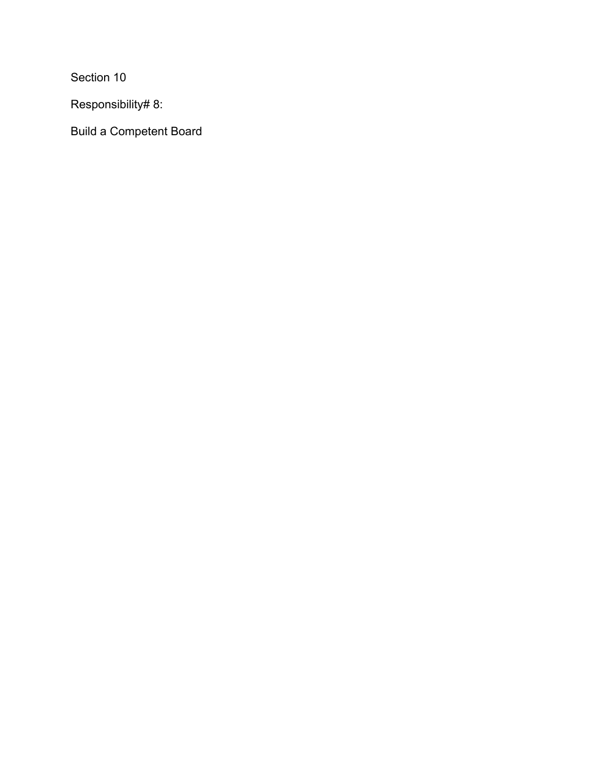Section 10

Responsibility# 8:

Build a Competent Board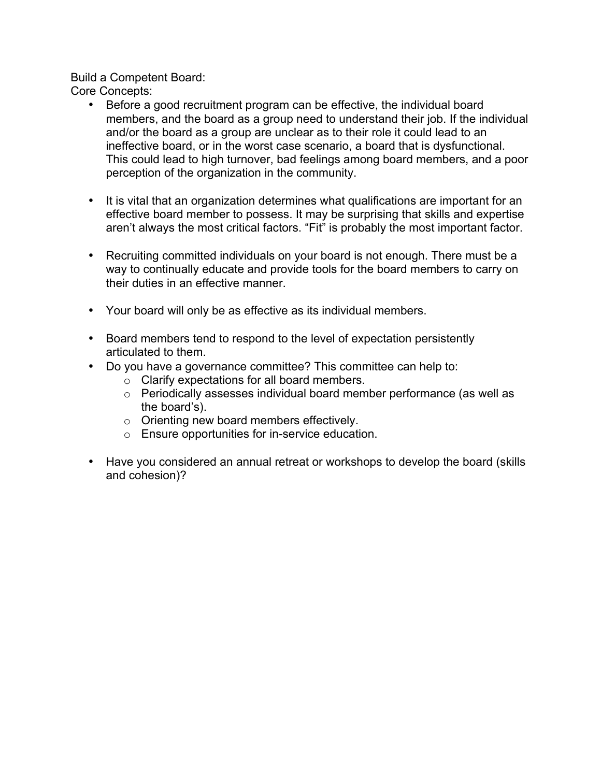Build a Competent Board:

Core Concepts:

- Before a good recruitment program can be effective, the individual board members, and the board as a group need to understand their job. If the individual and/or the board as a group are unclear as to their role it could lead to an ineffective board, or in the worst case scenario, a board that is dysfunctional. This could lead to high turnover, bad feelings among board members, and a poor perception of the organization in the community.
- It is vital that an organization determines what qualifications are important for an effective board member to possess. It may be surprising that skills and expertise aren't always the most critical factors. "Fit" is probably the most important factor.
- Recruiting committed individuals on your board is not enough. There must be a way to continually educate and provide tools for the board members to carry on their duties in an effective manner.
- Your board will only be as effective as its individual members.
- Board members tend to respond to the level of expectation persistently articulated to them.
- Do you have a governance committee? This committee can help to:
	- o Clarify expectations for all board members.
	- o Periodically assesses individual board member performance (as well as the board's).
	- o Orienting new board members effectively.
	- o Ensure opportunities for in-service education.
- Have you considered an annual retreat or workshops to develop the board (skills and cohesion)?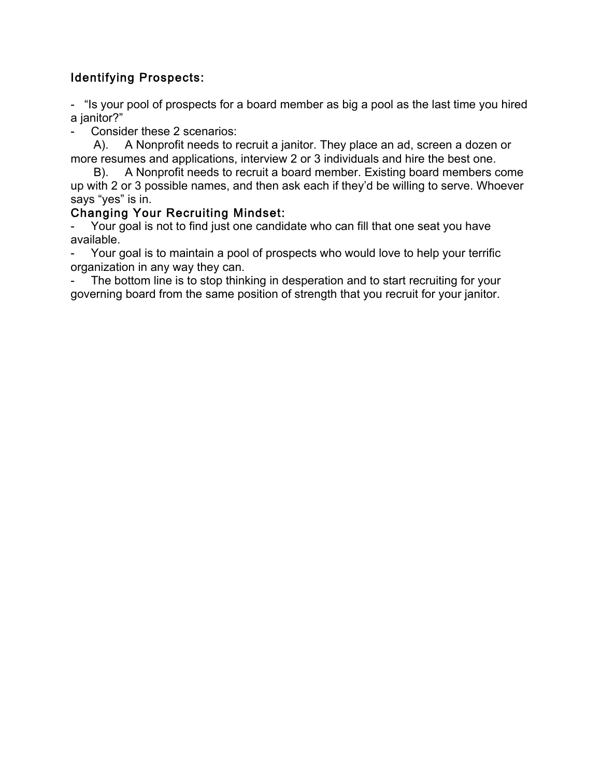## Identifying Prospects:

- "Is your pool of prospects for a board member as big a pool as the last time you hired a janitor?"

Consider these 2 scenarios:

 A). A Nonprofit needs to recruit a janitor. They place an ad, screen a dozen or more resumes and applications, interview 2 or 3 individuals and hire the best one.

 B). A Nonprofit needs to recruit a board member. Existing board members come up with 2 or 3 possible names, and then ask each if they'd be willing to serve. Whoever says "yes" is in.

### Changing Your Recruiting Mindset:

Your goal is not to find just one candidate who can fill that one seat you have available.

Your goal is to maintain a pool of prospects who would love to help your terrific organization in any way they can.

The bottom line is to stop thinking in desperation and to start recruiting for your governing board from the same position of strength that you recruit for your janitor.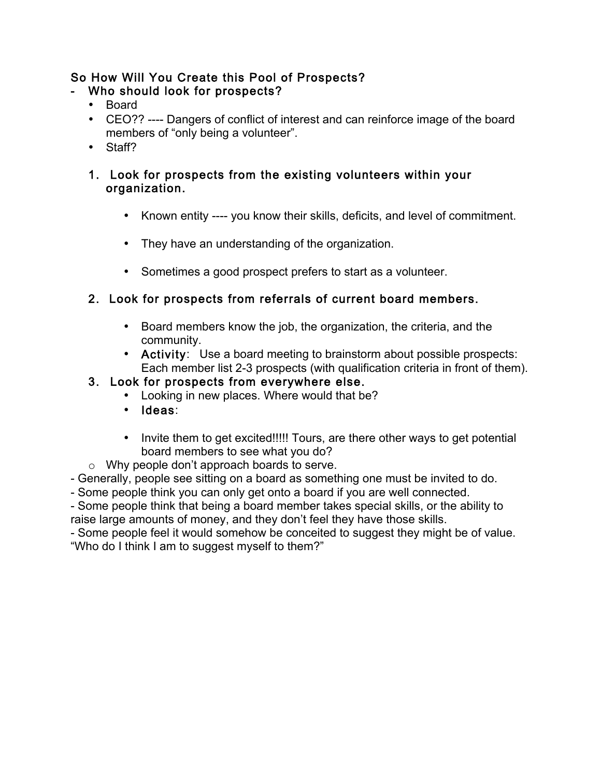## So How Will You Create this Pool of Prospects?

## Who should look for prospects?

- Board
- CEO?? ---- Dangers of conflict of interest and can reinforce image of the board members of "only being a volunteer".
- Staff?

### 1. Look for prospects from the existing volunteers within your organization.

- Known entity ---- you know their skills, deficits, and level of commitment.
- They have an understanding of the organization.
- Sometimes a good prospect prefers to start as a volunteer.

# 2. Look for prospects from referrals of current board members.

- Board members know the job, the organization, the criteria, and the community.
- Activity: Use a board meeting to brainstorm about possible prospects: Each member list 2-3 prospects (with qualification criteria in front of them).

## 3. Look for prospects from everywhere else.

- Looking in new places. Where would that be?
- Ideas:
- Invite them to get excited!!!!! Tours, are there other ways to get potential board members to see what you do?
- o Why people don't approach boards to serve.

- Generally, people see sitting on a board as something one must be invited to do.

- Some people think you can only get onto a board if you are well connected.

- Some people think that being a board member takes special skills, or the ability to raise large amounts of money, and they don't feel they have those skills.

- Some people feel it would somehow be conceited to suggest they might be of value. "Who do I think I am to suggest myself to them?"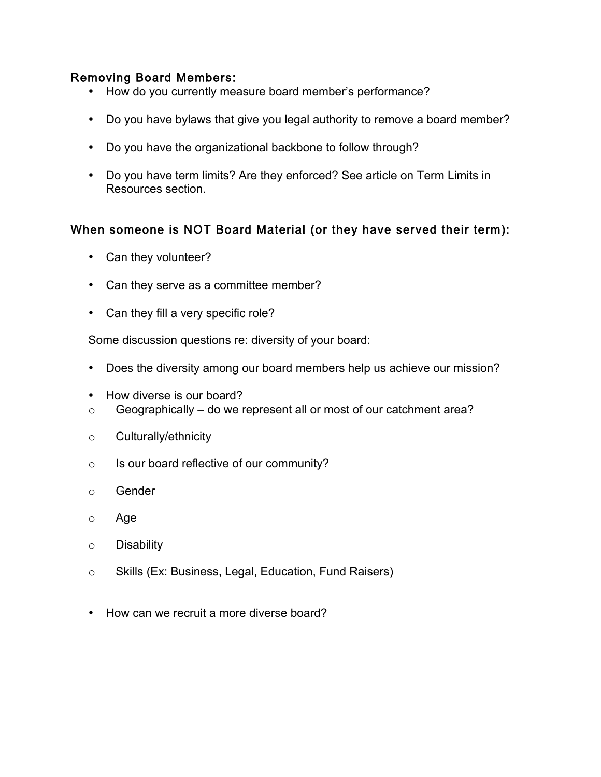#### Removing Board Members:

- How do you currently measure board member's performance?
- Do you have bylaws that give you legal authority to remove a board member?
- Do you have the organizational backbone to follow through?
- Do you have term limits? Are they enforced? See article on Term Limits in Resources section.

#### When someone is NOT Board Material (or they have served their term):

- Can they volunteer?
- Can they serve as a committee member?
- Can they fill a very specific role?

Some discussion questions re: diversity of your board:

- Does the diversity among our board members help us achieve our mission?
- How diverse is our board?
- $\circ$  Geographically do we represent all or most of our catchment area?
- o Culturally/ethnicity
- o Is our board reflective of our community?
- o Gender
- o Age
- o Disability
- o Skills (Ex: Business, Legal, Education, Fund Raisers)
- How can we recruit a more diverse board?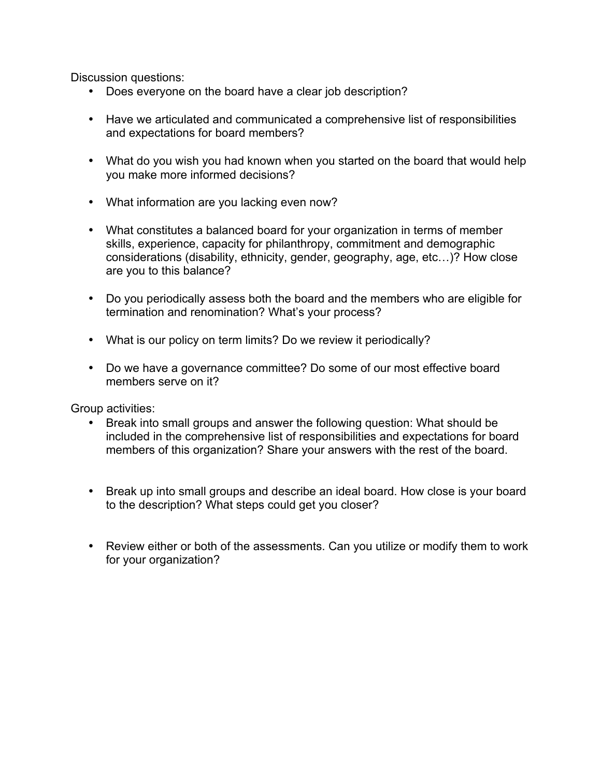Discussion questions:

- Does everyone on the board have a clear job description?
- Have we articulated and communicated a comprehensive list of responsibilities and expectations for board members?
- What do you wish you had known when you started on the board that would help you make more informed decisions?
- What information are you lacking even now?
- What constitutes a balanced board for your organization in terms of member skills, experience, capacity for philanthropy, commitment and demographic considerations (disability, ethnicity, gender, geography, age, etc…)? How close are you to this balance?
- Do you periodically assess both the board and the members who are eligible for termination and renomination? What's your process?
- What is our policy on term limits? Do we review it periodically?
- Do we have a governance committee? Do some of our most effective board members serve on it?

Group activities:

- Break into small groups and answer the following question: What should be included in the comprehensive list of responsibilities and expectations for board members of this organization? Share your answers with the rest of the board.
- Break up into small groups and describe an ideal board. How close is your board to the description? What steps could get you closer?
- Review either or both of the assessments. Can you utilize or modify them to work for your organization?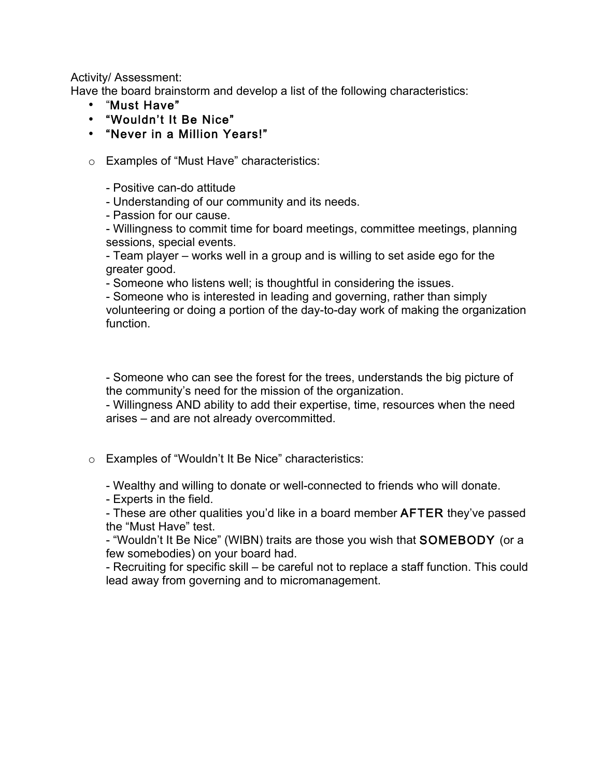Activity/ Assessment:

Have the board brainstorm and develop a list of the following characteristics:

- "Must Have"
- "Wouldn't It Be Nice"
- "Never in a Million Years!"
- o Examples of "Must Have" characteristics:
	- Positive can-do attitude
	- Understanding of our community and its needs.
	- Passion for our cause.
	- Willingness to commit time for board meetings, committee meetings, planning sessions, special events.
	- Team player works well in a group and is willing to set aside ego for the greater good.
	- Someone who listens well; is thoughtful in considering the issues.
	- Someone who is interested in leading and governing, rather than simply volunteering or doing a portion of the day-to-day work of making the organization function.

- Someone who can see the forest for the trees, understands the big picture of the community's need for the mission of the organization.

- Willingness AND ability to add their expertise, time, resources when the need arises – and are not already overcommitted.

- o Examples of "Wouldn't It Be Nice" characteristics:
	- Wealthy and willing to donate or well-connected to friends who will donate.
	- Experts in the field.

- These are other qualities you'd like in a board member AFTER they've passed the "Must Have" test.

- "Wouldn't It Be Nice" (WIBN) traits are those you wish that SOMEBODY (or a few somebodies) on your board had.

- Recruiting for specific skill – be careful not to replace a staff function. This could lead away from governing and to micromanagement.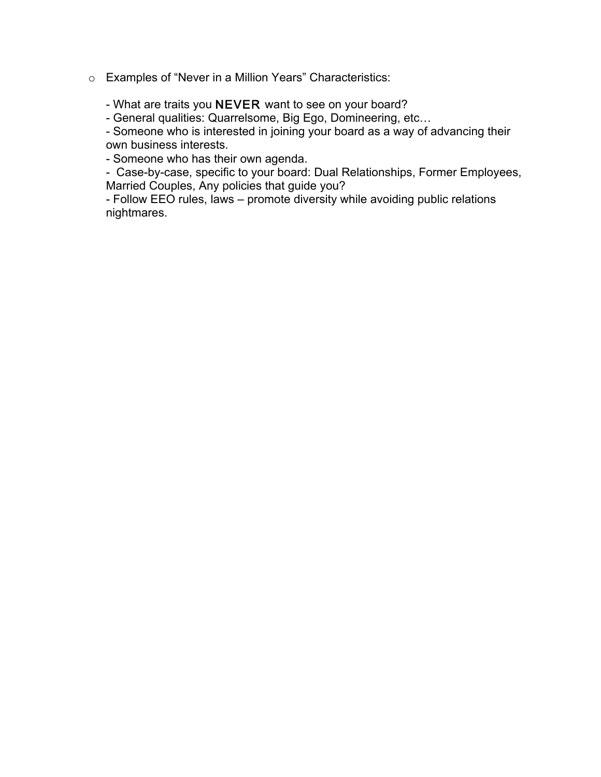o Examples of "Never in a Million Years" Characteristics:

- What are traits you NEVER want to see on your board?

- General qualities: Quarrelsome, Big Ego, Domineering, etc…

- Someone who is interested in joining your board as a way of advancing their own business interests.

- Someone who has their own agenda.

- Case-by-case, specific to your board: Dual Relationships, Former Employees, Married Couples, Any policies that guide you?

- Follow EEO rules, laws – promote diversity while avoiding public relations nightmares.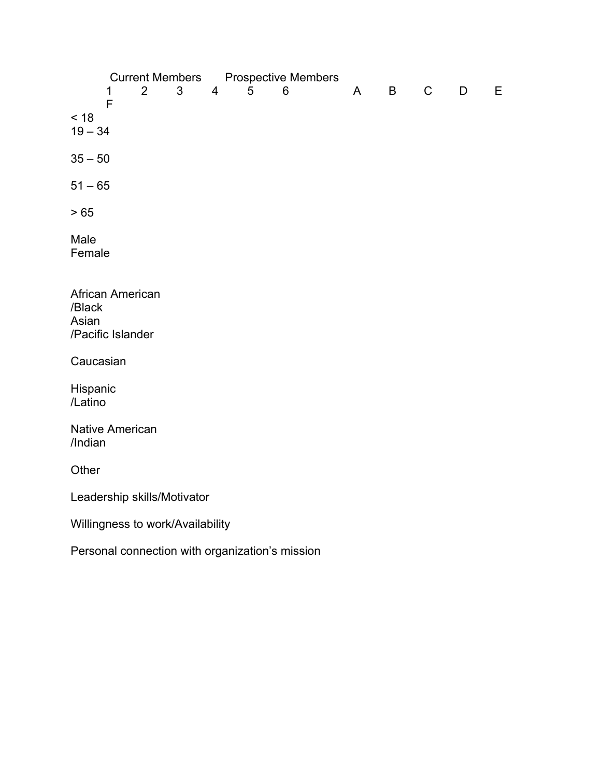Current Members<br>
1 2 3 4 5 6 1 2 3 4 5 6 A B C D E F < 18  $19 - 34$  $35 - 50$  $51 - 65$ > 65 Male Female African American /Black Asian /Pacific Islander Caucasian Hispanic /Latino Native American /Indian **Other** Leadership skills/Motivator Willingness to work/Availability Personal connection with organization's mission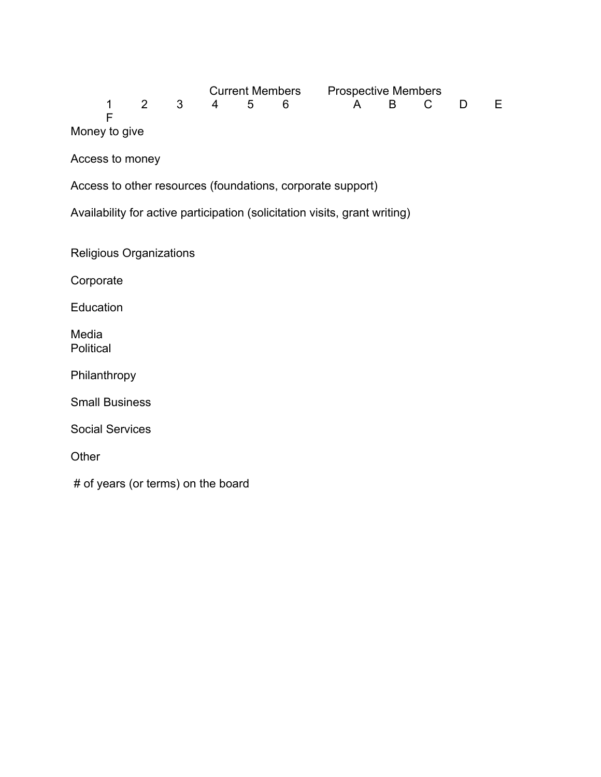|  |  |  | Current Members Prospective Members |  |  |
|--|--|--|-------------------------------------|--|--|
|  |  |  | 1 2 3 4 5 6 A B C D E               |  |  |
|  |  |  |                                     |  |  |

Money to give

Access to money

Access to other resources (foundations, corporate support)

Availability for active participation (solicitation visits, grant writing)

Religious Organizations

Corporate

**Education** 

Media **Political** 

Philanthropy

Small Business

Social Services

**Other** 

# of years (or terms) on the board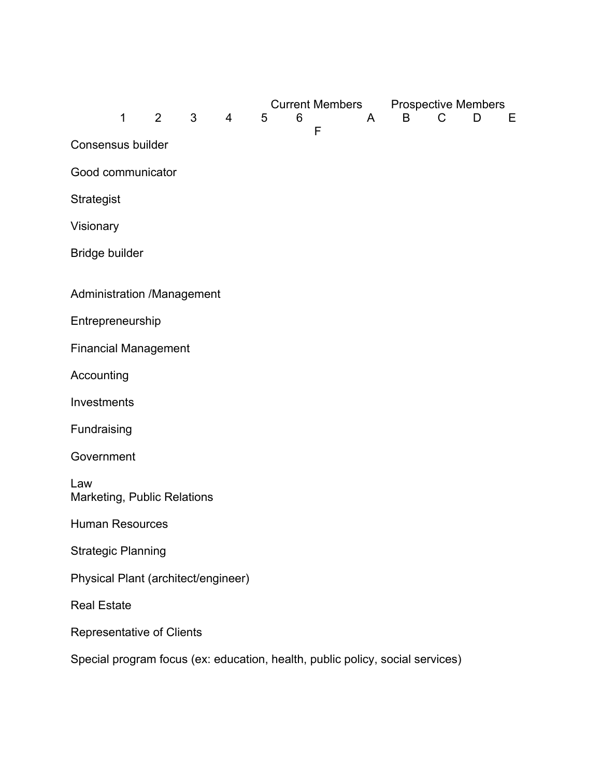|                                                                               | 1           | $2^{\circ}$ | 3 | $\overline{4}$ | 5 | 6 | <b>Current Members Prospective Members</b><br>F | A | B | C | D | Е |
|-------------------------------------------------------------------------------|-------------|-------------|---|----------------|---|---|-------------------------------------------------|---|---|---|---|---|
| Consensus builder                                                             |             |             |   |                |   |   |                                                 |   |   |   |   |   |
| Good communicator                                                             |             |             |   |                |   |   |                                                 |   |   |   |   |   |
| Strategist                                                                    |             |             |   |                |   |   |                                                 |   |   |   |   |   |
| Visionary                                                                     |             |             |   |                |   |   |                                                 |   |   |   |   |   |
| Bridge builder                                                                |             |             |   |                |   |   |                                                 |   |   |   |   |   |
| Administration /Management                                                    |             |             |   |                |   |   |                                                 |   |   |   |   |   |
| Entrepreneurship                                                              |             |             |   |                |   |   |                                                 |   |   |   |   |   |
| <b>Financial Management</b>                                                   |             |             |   |                |   |   |                                                 |   |   |   |   |   |
| Accounting                                                                    |             |             |   |                |   |   |                                                 |   |   |   |   |   |
| Investments                                                                   |             |             |   |                |   |   |                                                 |   |   |   |   |   |
|                                                                               | Fundraising |             |   |                |   |   |                                                 |   |   |   |   |   |
| Government                                                                    |             |             |   |                |   |   |                                                 |   |   |   |   |   |
| Law<br>Marketing, Public Relations                                            |             |             |   |                |   |   |                                                 |   |   |   |   |   |
| <b>Human Resources</b>                                                        |             |             |   |                |   |   |                                                 |   |   |   |   |   |
| <b>Strategic Planning</b>                                                     |             |             |   |                |   |   |                                                 |   |   |   |   |   |
| Physical Plant (architect/engineer)                                           |             |             |   |                |   |   |                                                 |   |   |   |   |   |
| <b>Real Estate</b>                                                            |             |             |   |                |   |   |                                                 |   |   |   |   |   |
| Representative of Clients                                                     |             |             |   |                |   |   |                                                 |   |   |   |   |   |
| Special program focus (ex: education, health, public policy, social services) |             |             |   |                |   |   |                                                 |   |   |   |   |   |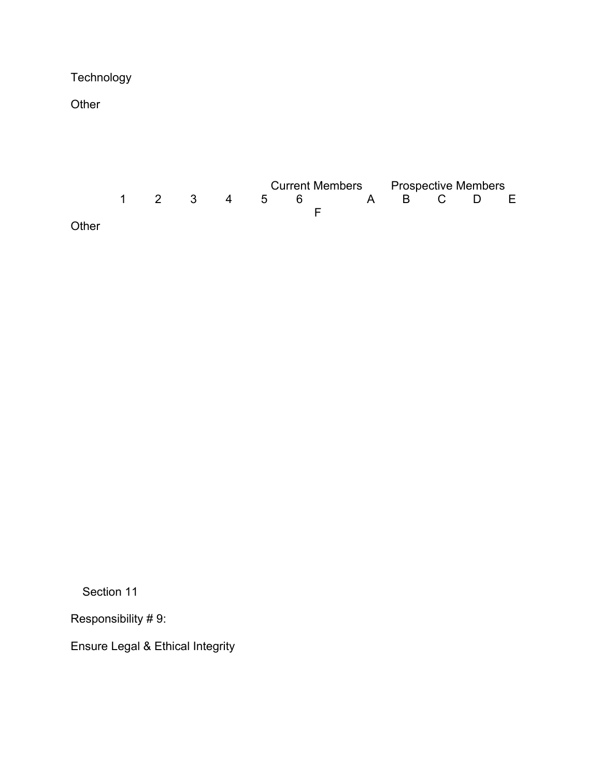**Technology** 

**Other** 



Section 11

Responsibility # 9:

Ensure Legal & Ethical Integrity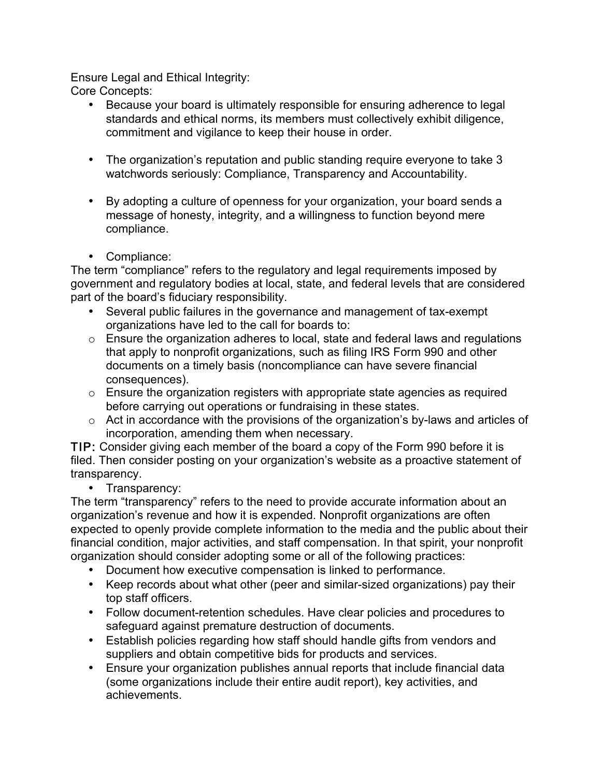Ensure Legal and Ethical Integrity: Core Concepts:

- Because your board is ultimately responsible for ensuring adherence to legal standards and ethical norms, its members must collectively exhibit diligence, commitment and vigilance to keep their house in order.
- The organization's reputation and public standing require everyone to take 3 watchwords seriously: Compliance, Transparency and Accountability.
- By adopting a culture of openness for your organization, your board sends a message of honesty, integrity, and a willingness to function beyond mere compliance.
- Compliance:

The term "compliance" refers to the regulatory and legal requirements imposed by government and regulatory bodies at local, state, and federal levels that are considered part of the board's fiduciary responsibility.

- Several public failures in the governance and management of tax-exempt organizations have led to the call for boards to:
- o Ensure the organization adheres to local, state and federal laws and regulations that apply to nonprofit organizations, such as filing IRS Form 990 and other documents on a timely basis (noncompliance can have severe financial consequences).
- o Ensure the organization registers with appropriate state agencies as required before carrying out operations or fundraising in these states.
- o Act in accordance with the provisions of the organization's by-laws and articles of incorporation, amending them when necessary.

TIP: Consider giving each member of the board a copy of the Form 990 before it is filed. Then consider posting on your organization's website as a proactive statement of transparency.

• Transparency:

The term "transparency" refers to the need to provide accurate information about an organization's revenue and how it is expended. Nonprofit organizations are often expected to openly provide complete information to the media and the public about their financial condition, major activities, and staff compensation. In that spirit, your nonprofit organization should consider adopting some or all of the following practices:

- Document how executive compensation is linked to performance.
- Keep records about what other (peer and similar-sized organizations) pay their top staff officers.
- Follow document-retention schedules. Have clear policies and procedures to safeguard against premature destruction of documents.
- Establish policies regarding how staff should handle gifts from vendors and suppliers and obtain competitive bids for products and services.
- Ensure your organization publishes annual reports that include financial data (some organizations include their entire audit report), key activities, and achievements.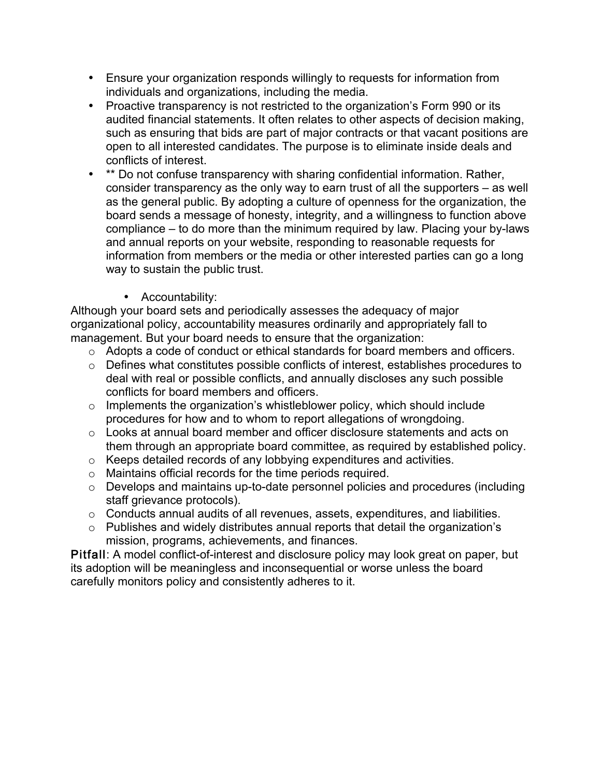- Ensure your organization responds willingly to requests for information from individuals and organizations, including the media.
- Proactive transparency is not restricted to the organization's Form 990 or its audited financial statements. It often relates to other aspects of decision making, such as ensuring that bids are part of major contracts or that vacant positions are open to all interested candidates. The purpose is to eliminate inside deals and conflicts of interest.
- \*\* Do not confuse transparency with sharing confidential information. Rather, consider transparency as the only way to earn trust of all the supporters – as well as the general public. By adopting a culture of openness for the organization, the board sends a message of honesty, integrity, and a willingness to function above compliance – to do more than the minimum required by law. Placing your by-laws and annual reports on your website, responding to reasonable requests for information from members or the media or other interested parties can go a long way to sustain the public trust.
	- Accountability:

Although your board sets and periodically assesses the adequacy of major organizational policy, accountability measures ordinarily and appropriately fall to management. But your board needs to ensure that the organization:

- o Adopts a code of conduct or ethical standards for board members and officers.
- o Defines what constitutes possible conflicts of interest, establishes procedures to deal with real or possible conflicts, and annually discloses any such possible conflicts for board members and officers.
- $\circ$  Implements the organization's whistleblower policy, which should include procedures for how and to whom to report allegations of wrongdoing.
- o Looks at annual board member and officer disclosure statements and acts on them through an appropriate board committee, as required by established policy.
- o Keeps detailed records of any lobbying expenditures and activities.
- o Maintains official records for the time periods required.
- o Develops and maintains up-to-date personnel policies and procedures (including staff grievance protocols).
- o Conducts annual audits of all revenues, assets, expenditures, and liabilities.
- o Publishes and widely distributes annual reports that detail the organization's mission, programs, achievements, and finances.

Pitfall: A model conflict-of-interest and disclosure policy may look great on paper, but its adoption will be meaningless and inconsequential or worse unless the board carefully monitors policy and consistently adheres to it.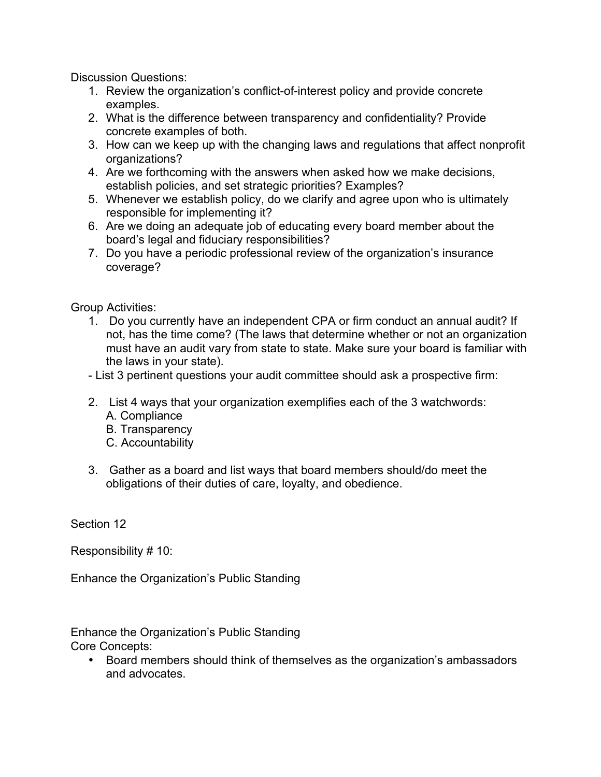Discussion Questions:

- 1. Review the organization's conflict-of-interest policy and provide concrete examples.
- 2. What is the difference between transparency and confidentiality? Provide concrete examples of both.
- 3. How can we keep up with the changing laws and regulations that affect nonprofit organizations?
- 4. Are we forthcoming with the answers when asked how we make decisions, establish policies, and set strategic priorities? Examples?
- 5. Whenever we establish policy, do we clarify and agree upon who is ultimately responsible for implementing it?
- 6. Are we doing an adequate job of educating every board member about the board's legal and fiduciary responsibilities?
- 7. Do you have a periodic professional review of the organization's insurance coverage?

Group Activities:

1. Do you currently have an independent CPA or firm conduct an annual audit? If not, has the time come? (The laws that determine whether or not an organization must have an audit vary from state to state. Make sure your board is familiar with the laws in your state).

- List 3 pertinent questions your audit committee should ask a prospective firm:

- 2. List 4 ways that your organization exemplifies each of the 3 watchwords: A. Compliance
	- B. Transparency
	- C. Accountability
- 3. Gather as a board and list ways that board members should/do meet the obligations of their duties of care, loyalty, and obedience.

Section 12

Responsibility # 10:

Enhance the Organization's Public Standing

Enhance the Organization's Public Standing

- Core Concepts:
	- Board members should think of themselves as the organization's ambassadors and advocates.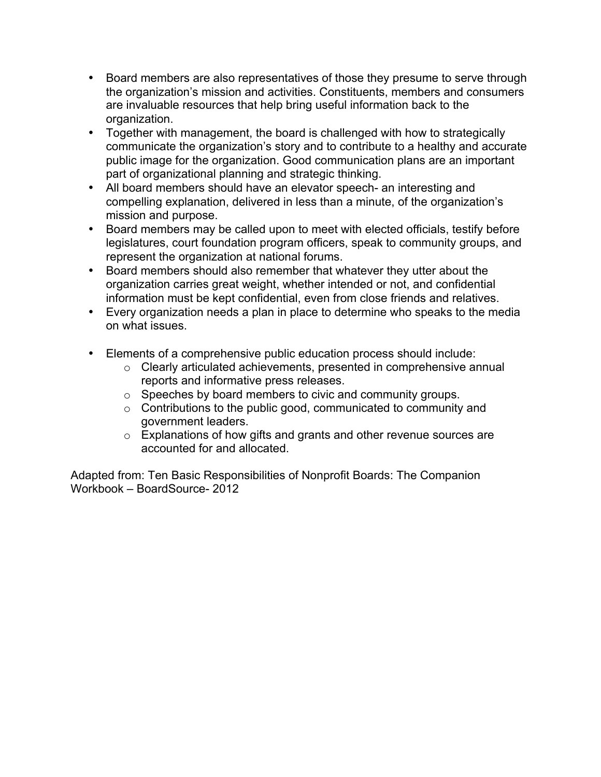- Board members are also representatives of those they presume to serve through the organization's mission and activities. Constituents, members and consumers are invaluable resources that help bring useful information back to the organization.
- Together with management, the board is challenged with how to strategically communicate the organization's story and to contribute to a healthy and accurate public image for the organization. Good communication plans are an important part of organizational planning and strategic thinking.
- All board members should have an elevator speech- an interesting and compelling explanation, delivered in less than a minute, of the organization's mission and purpose.
- Board members may be called upon to meet with elected officials, testify before legislatures, court foundation program officers, speak to community groups, and represent the organization at national forums.
- Board members should also remember that whatever they utter about the organization carries great weight, whether intended or not, and confidential information must be kept confidential, even from close friends and relatives.
- Every organization needs a plan in place to determine who speaks to the media on what issues.
- Elements of a comprehensive public education process should include:
	- o Clearly articulated achievements, presented in comprehensive annual reports and informative press releases.
	- o Speeches by board members to civic and community groups.
	- o Contributions to the public good, communicated to community and government leaders.
	- o Explanations of how gifts and grants and other revenue sources are accounted for and allocated.

Adapted from: Ten Basic Responsibilities of Nonprofit Boards: The Companion Workbook – BoardSource- 2012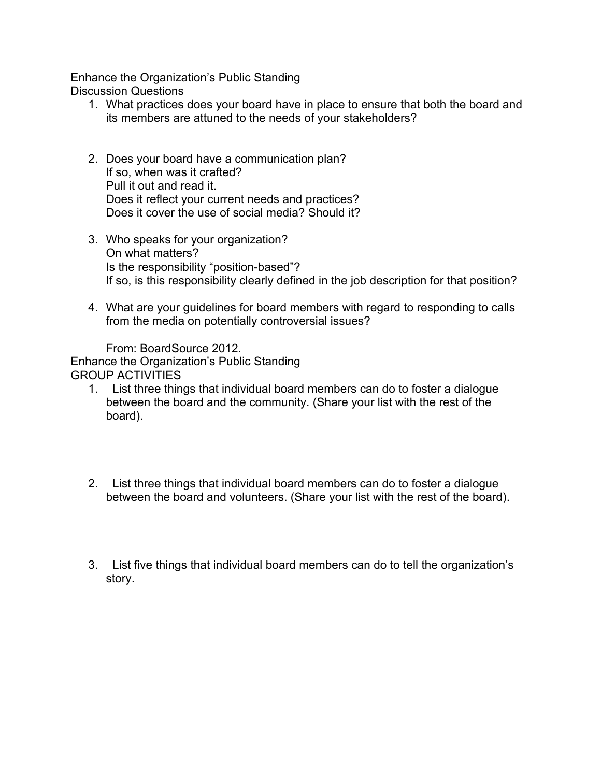Enhance the Organization's Public Standing Discussion Questions

- 1. What practices does your board have in place to ensure that both the board and its members are attuned to the needs of your stakeholders?
- 2. Does your board have a communication plan? If so, when was it crafted? Pull it out and read it. Does it reflect your current needs and practices? Does it cover the use of social media? Should it?
- 3. Who speaks for your organization? On what matters? Is the responsibility "position-based"? If so, is this responsibility clearly defined in the job description for that position?
- 4. What are your guidelines for board members with regard to responding to calls from the media on potentially controversial issues?

From: BoardSource 2012. Enhance the Organization's Public Standing GROUP ACTIVITIES

- 1. List three things that individual board members can do to foster a dialogue between the board and the community. (Share your list with the rest of the board).
- 2. List three things that individual board members can do to foster a dialogue between the board and volunteers. (Share your list with the rest of the board).
- 3. List five things that individual board members can do to tell the organization's story.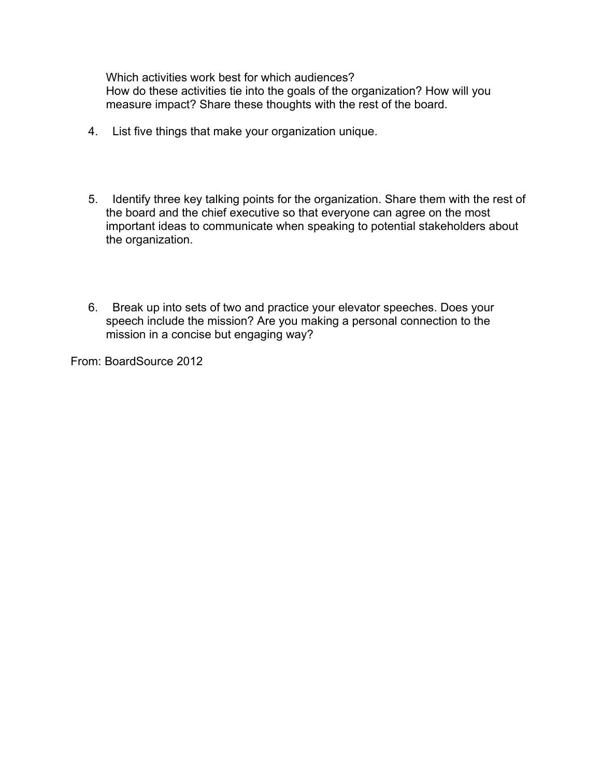Which activities work best for which audiences? How do these activities tie into the goals of the organization? How will you measure impact? Share these thoughts with the rest of the board.

- 4. List five things that make your organization unique.
- 5. Identify three key talking points for the organization. Share them with the rest of the board and the chief executive so that everyone can agree on the most important ideas to communicate when speaking to potential stakeholders about the organization.
- 6. Break up into sets of two and practice your elevator speeches. Does your speech include the mission? Are you making a personal connection to the mission in a concise but engaging way?

From: BoardSource 2012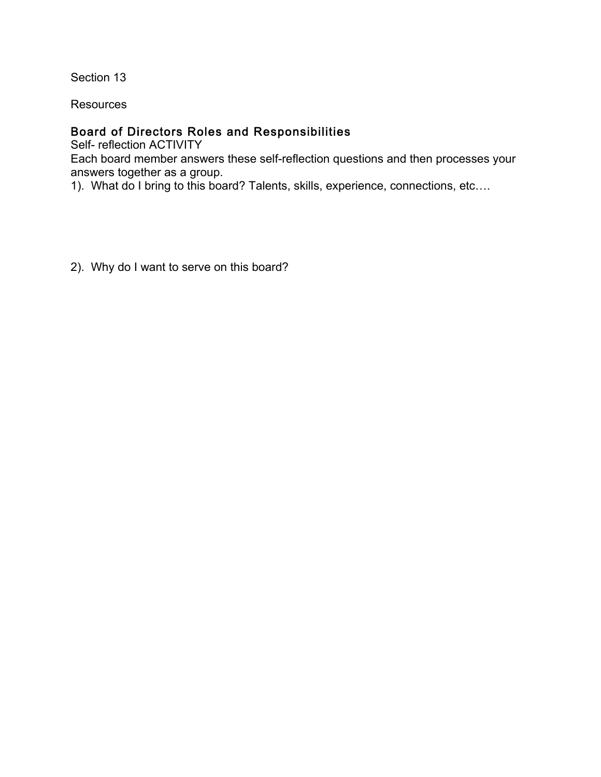Section 13

**Resources** 

### Board of Directors Roles and Responsibilities

Self- reflection ACTIVITY Each board member answers these self-reflection questions and then processes your answers together as a group.

1). What do I bring to this board? Talents, skills, experience, connections, etc….

2). Why do I want to serve on this board?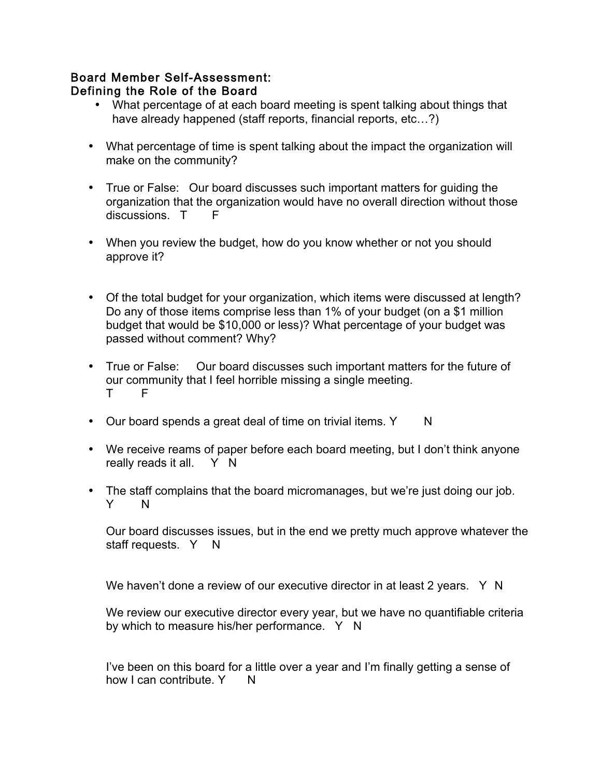#### Board Member Self-Assessment: Defining the Role of the Board

- What percentage of at each board meeting is spent talking about things that have already happened (staff reports, financial reports, etc...?)
- What percentage of time is spent talking about the impact the organization will make on the community?
- True or False: Our board discusses such important matters for guiding the organization that the organization would have no overall direction without those discussions. T F
- When you review the budget, how do you know whether or not you should approve it?
- Of the total budget for your organization, which items were discussed at length? Do any of those items comprise less than 1% of your budget (on a \$1 million budget that would be \$10,000 or less)? What percentage of your budget was passed without comment? Why?
- True or False: Our board discusses such important matters for the future of our community that I feel horrible missing a single meeting. T F
- Our board spends a great deal of time on trivial items. Y N
- We receive reams of paper before each board meeting, but I don't think anyone really reads it all. Y N
- The staff complains that the board micromanages, but we're just doing our job.<br>
Y N  $Y<sub>n</sub>$

Our board discusses issues, but in the end we pretty much approve whatever the staff requests. Y N

We haven't done a review of our executive director in at least 2 years.  $Y \ N$ 

We review our executive director every year, but we have no quantifiable criteria by which to measure his/her performance. Y N

I've been on this board for a little over a year and I'm finally getting a sense of how I can contribute. Y N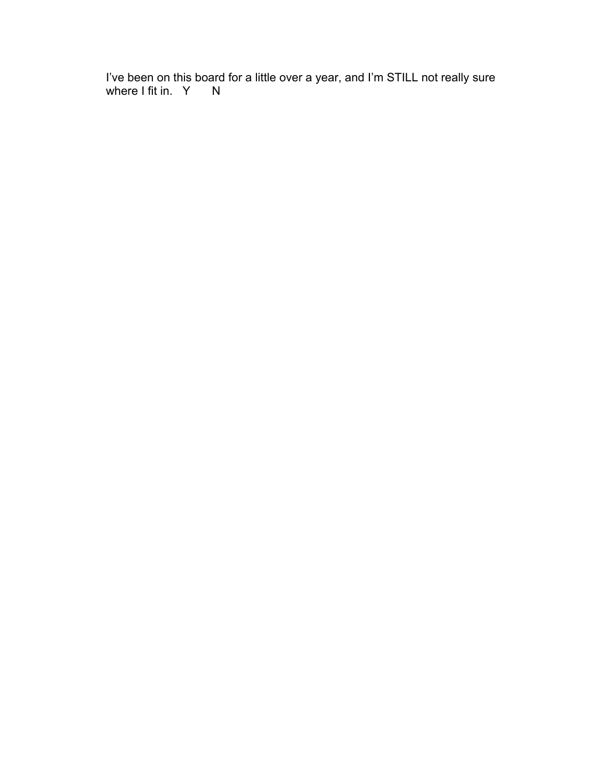I've been on this board for a little over a year, and I'm STILL not really sure where I fit in. Y N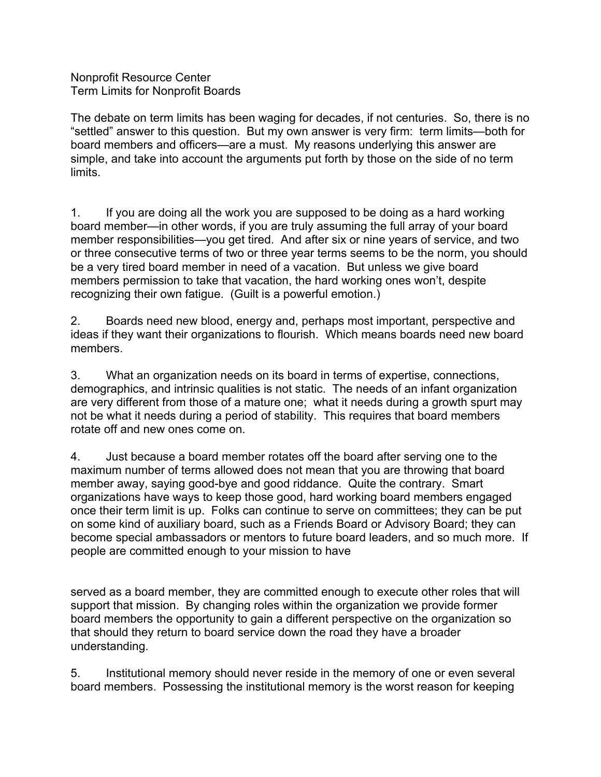Nonprofit Resource Center Term Limits for Nonprofit Boards

The debate on term limits has been waging for decades, if not centuries. So, there is no "settled" answer to this question. But my own answer is very firm: term limits—both for board members and officers—are a must. My reasons underlying this answer are simple, and take into account the arguments put forth by those on the side of no term limits.

1. If you are doing all the work you are supposed to be doing as a hard working board member—in other words, if you are truly assuming the full array of your board member responsibilities—you get tired. And after six or nine years of service, and two or three consecutive terms of two or three year terms seems to be the norm, you should be a very tired board member in need of a vacation. But unless we give board members permission to take that vacation, the hard working ones won't, despite recognizing their own fatigue. (Guilt is a powerful emotion.)

2. Boards need new blood, energy and, perhaps most important, perspective and ideas if they want their organizations to flourish. Which means boards need new board members.

3. What an organization needs on its board in terms of expertise, connections, demographics, and intrinsic qualities is not static. The needs of an infant organization are very different from those of a mature one; what it needs during a growth spurt may not be what it needs during a period of stability. This requires that board members rotate off and new ones come on.

4. Just because a board member rotates off the board after serving one to the maximum number of terms allowed does not mean that you are throwing that board member away, saying good-bye and good riddance. Quite the contrary. Smart organizations have ways to keep those good, hard working board members engaged once their term limit is up. Folks can continue to serve on committees; they can be put on some kind of auxiliary board, such as a Friends Board or Advisory Board; they can become special ambassadors or mentors to future board leaders, and so much more. If people are committed enough to your mission to have

served as a board member, they are committed enough to execute other roles that will support that mission. By changing roles within the organization we provide former board members the opportunity to gain a different perspective on the organization so that should they return to board service down the road they have a broader understanding.

5. Institutional memory should never reside in the memory of one or even several board members. Possessing the institutional memory is the worst reason for keeping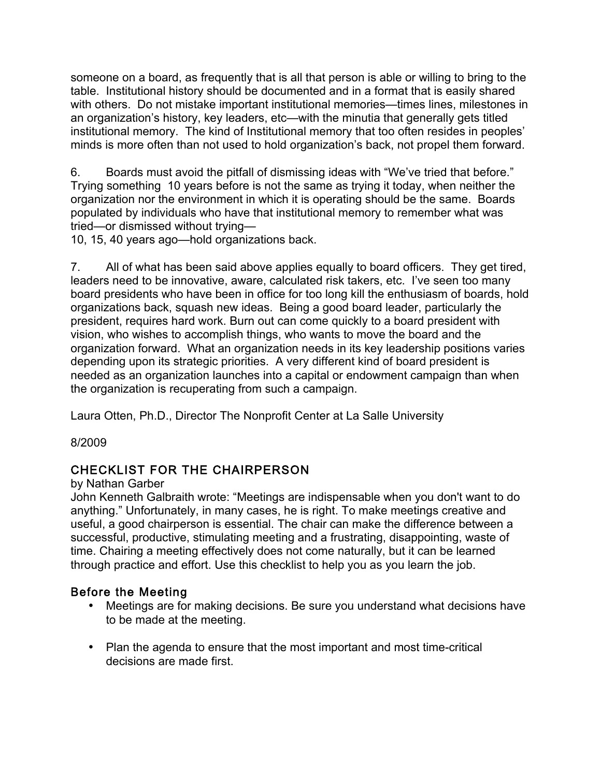someone on a board, as frequently that is all that person is able or willing to bring to the table. Institutional history should be documented and in a format that is easily shared with others. Do not mistake important institutional memories—times lines, milestones in an organization's history, key leaders, etc—with the minutia that generally gets titled institutional memory. The kind of Institutional memory that too often resides in peoples' minds is more often than not used to hold organization's back, not propel them forward.

6. Boards must avoid the pitfall of dismissing ideas with "We've tried that before." Trying something 10 years before is not the same as trying it today, when neither the organization nor the environment in which it is operating should be the same. Boards populated by individuals who have that institutional memory to remember what was tried—or dismissed without trying—

10, 15, 40 years ago—hold organizations back.

7. All of what has been said above applies equally to board officers. They get tired, leaders need to be innovative, aware, calculated risk takers, etc. I've seen too many board presidents who have been in office for too long kill the enthusiasm of boards, hold organizations back, squash new ideas. Being a good board leader, particularly the president, requires hard work. Burn out can come quickly to a board president with vision, who wishes to accomplish things, who wants to move the board and the organization forward. What an organization needs in its key leadership positions varies depending upon its strategic priorities. A very different kind of board president is needed as an organization launches into a capital or endowment campaign than when the organization is recuperating from such a campaign.

Laura Otten, Ph.D., Director The Nonprofit Center at La Salle University

8/2009

# CHECKLIST FOR THE CHAIRPERSON

#### by Nathan Garber

John Kenneth Galbraith wrote: "Meetings are indispensable when you don't want to do anything." Unfortunately, in many cases, he is right. To make meetings creative and useful, a good chairperson is essential. The chair can make the difference between a successful, productive, stimulating meeting and a frustrating, disappointing, waste of time. Chairing a meeting effectively does not come naturally, but it can be learned through practice and effort. Use this checklist to help you as you learn the job.

### Before the Meeting

- Meetings are for making decisions. Be sure you understand what decisions have to be made at the meeting.
- Plan the agenda to ensure that the most important and most time-critical decisions are made first.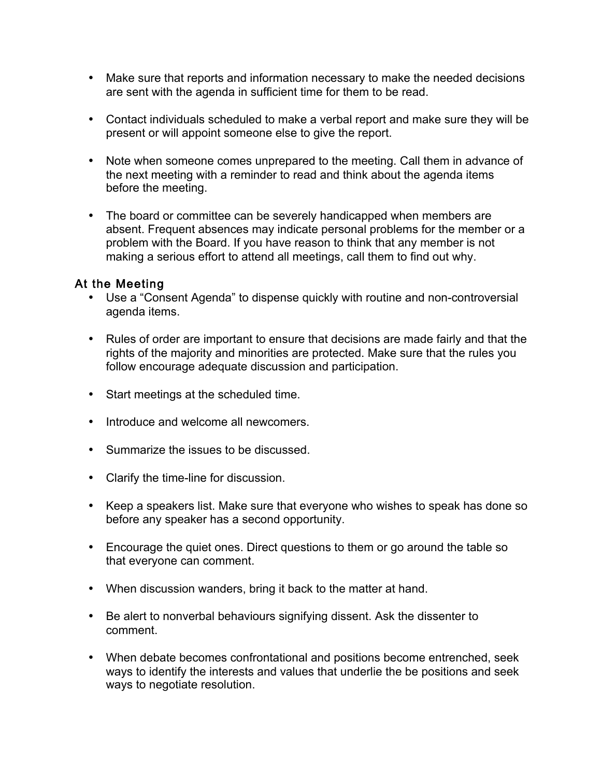- Make sure that reports and information necessary to make the needed decisions are sent with the agenda in sufficient time for them to be read.
- Contact individuals scheduled to make a verbal report and make sure they will be present or will appoint someone else to give the report.
- Note when someone comes unprepared to the meeting. Call them in advance of the next meeting with a reminder to read and think about the agenda items before the meeting.
- The board or committee can be severely handicapped when members are absent. Frequent absences may indicate personal problems for the member or a problem with the Board. If you have reason to think that any member is not making a serious effort to attend all meetings, call them to find out why.

### At the Meeting

- Use a "Consent Agenda" to dispense quickly with routine and non-controversial agenda items.
- Rules of order are important to ensure that decisions are made fairly and that the rights of the majority and minorities are protected. Make sure that the rules you follow encourage adequate discussion and participation.
- Start meetings at the scheduled time.
- Introduce and welcome all newcomers.
- Summarize the issues to be discussed.
- Clarify the time-line for discussion.
- Keep a speakers list. Make sure that everyone who wishes to speak has done so before any speaker has a second opportunity.
- Encourage the quiet ones. Direct questions to them or go around the table so that everyone can comment.
- When discussion wanders, bring it back to the matter at hand.
- Be alert to nonverbal behaviours signifying dissent. Ask the dissenter to comment.
- When debate becomes confrontational and positions become entrenched, seek ways to identify the interests and values that underlie the be positions and seek ways to negotiate resolution.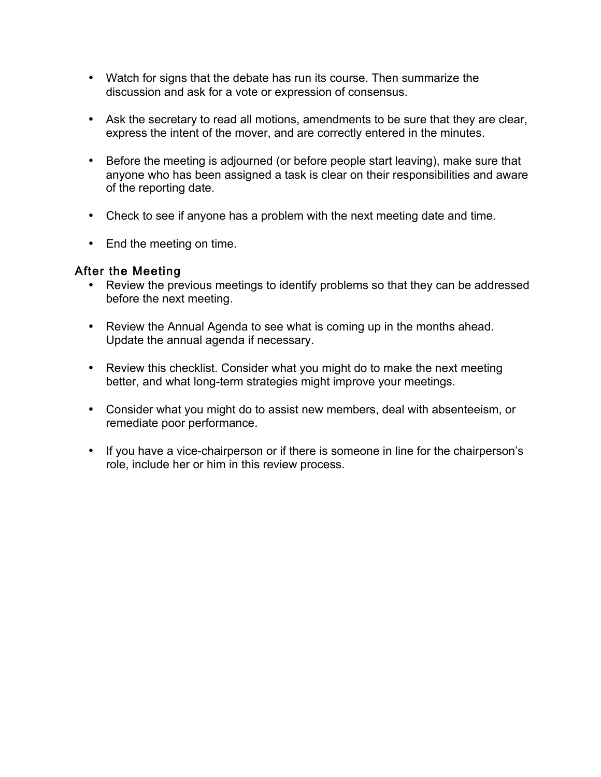- Watch for signs that the debate has run its course. Then summarize the discussion and ask for a vote or expression of consensus.
- Ask the secretary to read all motions, amendments to be sure that they are clear, express the intent of the mover, and are correctly entered in the minutes.
- Before the meeting is adjourned (or before people start leaving), make sure that anyone who has been assigned a task is clear on their responsibilities and aware of the reporting date.
- Check to see if anyone has a problem with the next meeting date and time.
- End the meeting on time.

## After the Meeting

- Review the previous meetings to identify problems so that they can be addressed before the next meeting.
- Review the Annual Agenda to see what is coming up in the months ahead. Update the annual agenda if necessary.
- Review this checklist. Consider what you might do to make the next meeting better, and what long-term strategies might improve your meetings.
- Consider what you might do to assist new members, deal with absenteeism, or remediate poor performance.
- If you have a vice-chairperson or if there is someone in line for the chairperson's role, include her or him in this review process.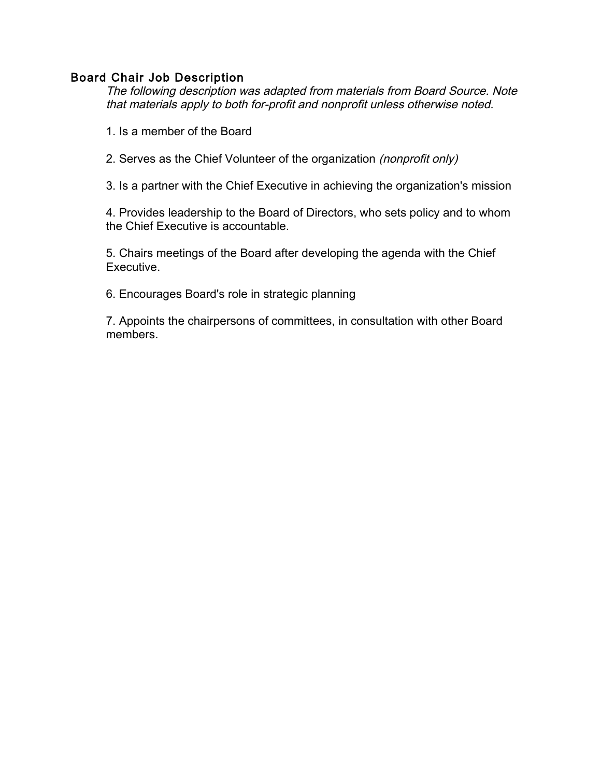### Board Chair Job Description

The following description was adapted from materials from Board Source. Note that materials apply to both for-profit and nonprofit unless otherwise noted.

- 1. Is a member of the Board
- 2. Serves as the Chief Volunteer of the organization (nonprofit only)

3. Is a partner with the Chief Executive in achieving the organization's mission

4. Provides leadership to the Board of Directors, who sets policy and to whom the Chief Executive is accountable.

5. Chairs meetings of the Board after developing the agenda with the Chief **Executive** 

6. Encourages Board's role in strategic planning

7. Appoints the chairpersons of committees, in consultation with other Board members.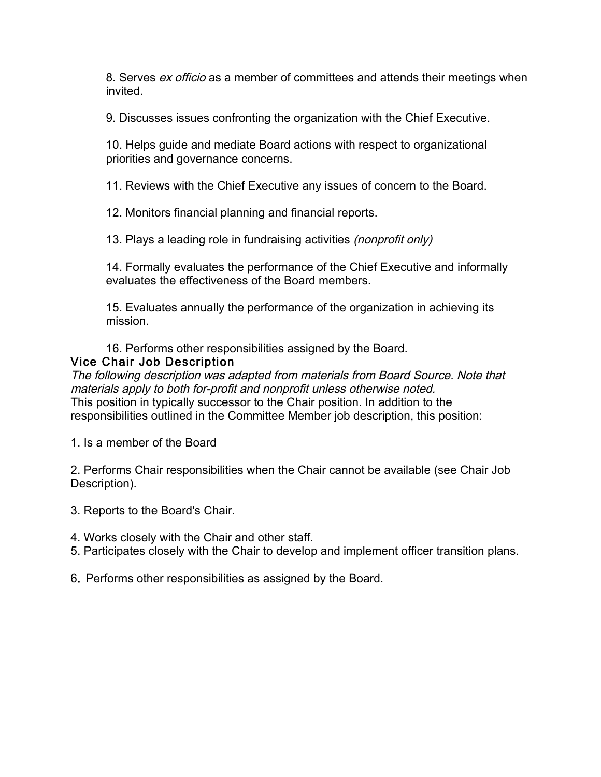8. Serves ex officio as a member of committees and attends their meetings when invited.

9. Discusses issues confronting the organization with the Chief Executive.

10. Helps guide and mediate Board actions with respect to organizational priorities and governance concerns.

11. Reviews with the Chief Executive any issues of concern to the Board.

12. Monitors financial planning and financial reports.

13. Plays a leading role in fundraising activities *(nonprofit only)* 

14. Formally evaluates the performance of the Chief Executive and informally evaluates the effectiveness of the Board members.

15. Evaluates annually the performance of the organization in achieving its mission.

16. Performs other responsibilities assigned by the Board.

## Vice Chair Job Description

The following description was adapted from materials from Board Source. Note that materials apply to both for-profit and nonprofit unless otherwise noted. This position in typically successor to the Chair position. In addition to the responsibilities outlined in the Committee Member job description, this position:

1. Is a member of the Board

2. Performs Chair responsibilities when the Chair cannot be available (see Chair Job Description).

- 3. Reports to the Board's Chair.
- 4. Works closely with the Chair and other staff.
- 5. Participates closely with the Chair to develop and implement officer transition plans.
- 6. Performs other responsibilities as assigned by the Board.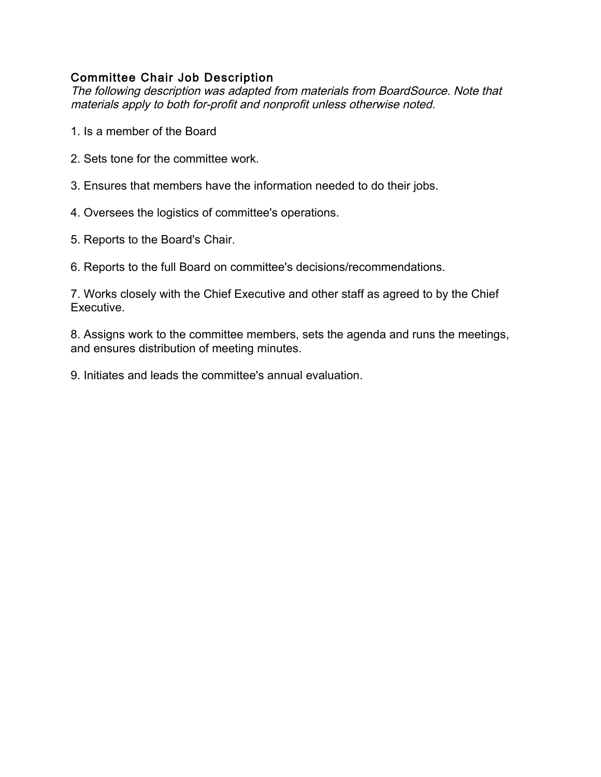## Committee Chair Job Description

The following description was adapted from materials from BoardSource. Note that materials apply to both for-profit and nonprofit unless otherwise noted.

- 1. Is a member of the Board
- 2. Sets tone for the committee work.
- 3. Ensures that members have the information needed to do their jobs.
- 4. Oversees the logistics of committee's operations.
- 5. Reports to the Board's Chair.
- 6. Reports to the full Board on committee's decisions/recommendations.

7. Works closely with the Chief Executive and other staff as agreed to by the Chief Executive.

8. Assigns work to the committee members, sets the agenda and runs the meetings, and ensures distribution of meeting minutes.

9. Initiates and leads the committee's annual evaluation.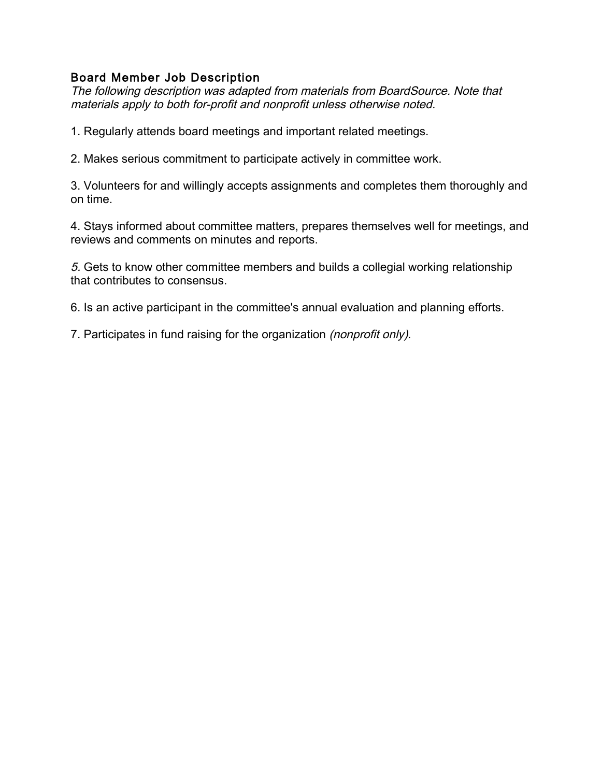## Board Member Job Description

The following description was adapted from materials from BoardSource. Note that materials apply to both for-profit and nonprofit unless otherwise noted.

1. Regularly attends board meetings and important related meetings.

2. Makes serious commitment to participate actively in committee work.

3. Volunteers for and willingly accepts assignments and completes them thoroughly and on time.

4. Stays informed about committee matters, prepares themselves well for meetings, and reviews and comments on minutes and reports.

5. Gets to know other committee members and builds a collegial working relationship that contributes to consensus.

6. Is an active participant in the committee's annual evaluation and planning efforts.

7. Participates in fund raising for the organization (nonprofit only).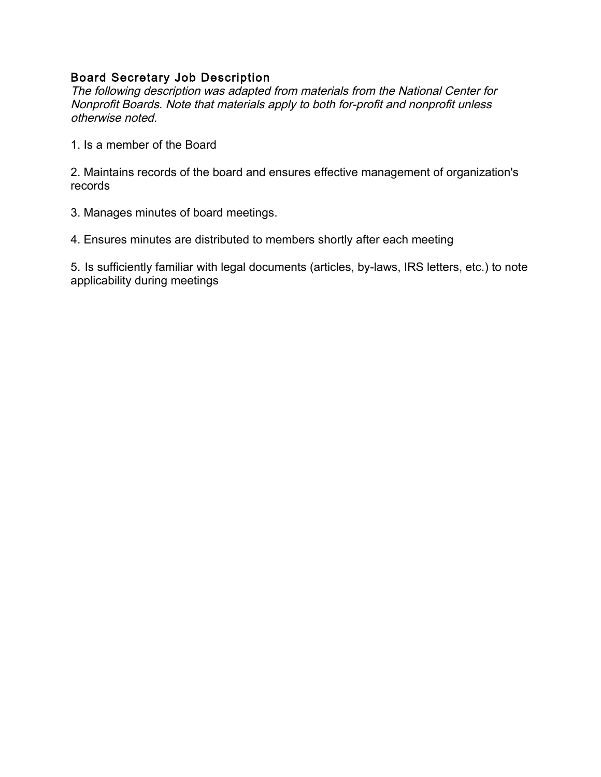## Board Secretary Job Description

The following description was adapted from materials from the National Center for Nonprofit Boards. Note that materials apply to both for-profit and nonprofit unless otherwise noted.

1. Is a member of the Board

2. Maintains records of the board and ensures effective management of organization's records

3. Manages minutes of board meetings.

4. Ensures minutes are distributed to members shortly after each meeting

5. Is sufficiently familiar with legal documents (articles, by-laws, IRS letters, etc.) to note applicability during meetings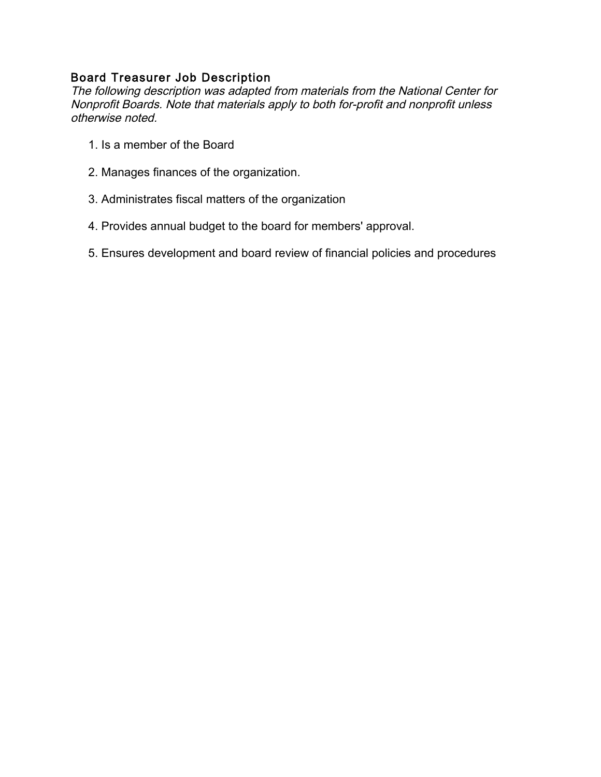## Board Treasurer Job Description

The following description was adapted from materials from the National Center for Nonprofit Boards. Note that materials apply to both for-profit and nonprofit unless otherwise noted.

- 1. Is a member of the Board
- 2. Manages finances of the organization.
- 3. Administrates fiscal matters of the organization
- 4. Provides annual budget to the board for members' approval.
- 5. Ensures development and board review of financial policies and procedures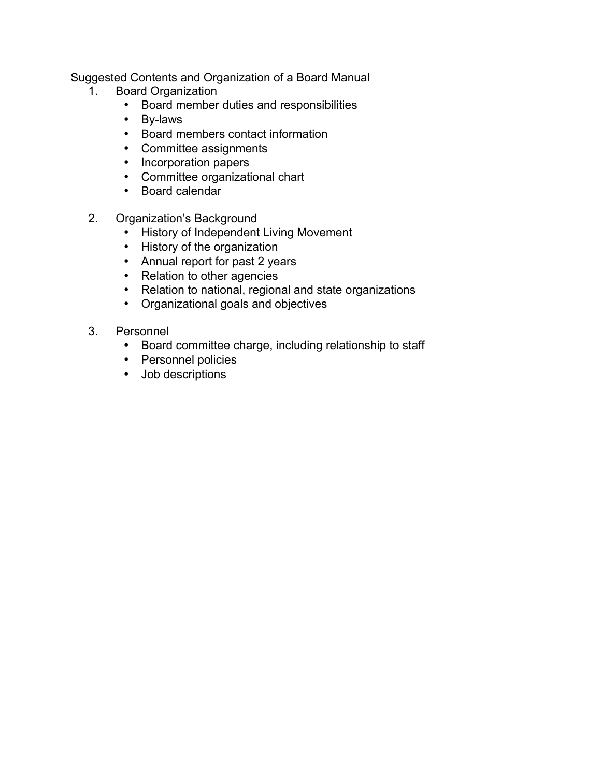Suggested Contents and Organization of a Board Manual

- 1. Board Organization
	- Board member duties and responsibilities<br>• Bv-laws
	- By-laws
	- Board members contact information
	- Committee assignments
	- Incorporation papers
	- Committee organizational chart
	- Board calendar
- 2. Organization's Background
	- History of Independent Living Movement
	- History of the organization
	- Annual report for past 2 years
	- Relation to other agencies
	- Relation to national, regional and state organizations
	- Organizational goals and objectives
- 3. Personnel
	- Board committee charge, including relationship to staff
	- Personnel policies
	- Job descriptions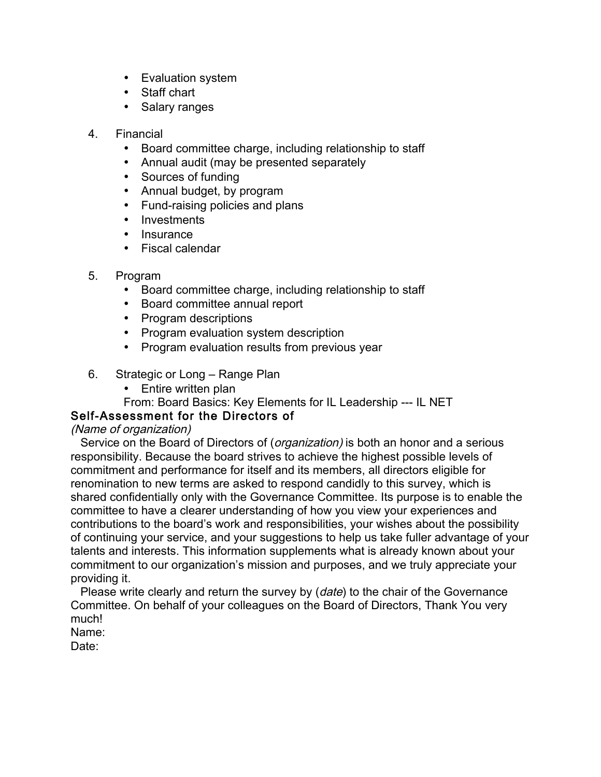- Evaluation system
- Staff chart
- Salary ranges
- 4. Financial
	- Board committee charge, including relationship to staff
	- Annual audit (may be presented separately
	- Sources of funding
	- Annual budget, by program
	- Fund-raising policies and plans
	- Investments
	- Insurance
	- Fiscal calendar
- 5. Program
	- Board committee charge, including relationship to staff
	- Board committee annual report
	- Program descriptions
	- Program evaluation system description
	- Program evaluation results from previous year
- 6. Strategic or Long Range Plan
	- Entire written plan
	- From: Board Basics: Key Elements for IL Leadership --- IL NET

## Self-Assessment for the Directors of

## (Name of organization)

Service on the Board of Directors of (*organization*) is both an honor and a serious responsibility. Because the board strives to achieve the highest possible levels of commitment and performance for itself and its members, all directors eligible for renomination to new terms are asked to respond candidly to this survey, which is shared confidentially only with the Governance Committee. Its purpose is to enable the committee to have a clearer understanding of how you view your experiences and contributions to the board's work and responsibilities, your wishes about the possibility of continuing your service, and your suggestions to help us take fuller advantage of your talents and interests. This information supplements what is already known about your commitment to our organization's mission and purposes, and we truly appreciate your providing it.

Please write clearly and return the survey by (*date*) to the chair of the Governance Committee. On behalf of your colleagues on the Board of Directors, Thank You very much!

Name:

Date: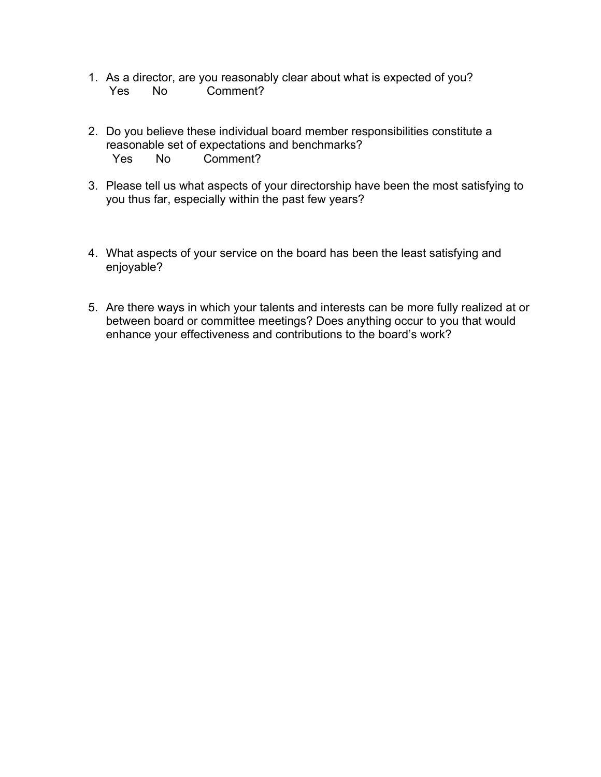- 1. As a director, are you reasonably clear about what is expected of you? Yes No Comment?
- 2. Do you believe these individual board member responsibilities constitute a reasonable set of expectations and benchmarks? Yes No Comment?
- 3. Please tell us what aspects of your directorship have been the most satisfying to you thus far, especially within the past few years?
- 4. What aspects of your service on the board has been the least satisfying and enjoyable?
- 5. Are there ways in which your talents and interests can be more fully realized at or between board or committee meetings? Does anything occur to you that would enhance your effectiveness and contributions to the board's work?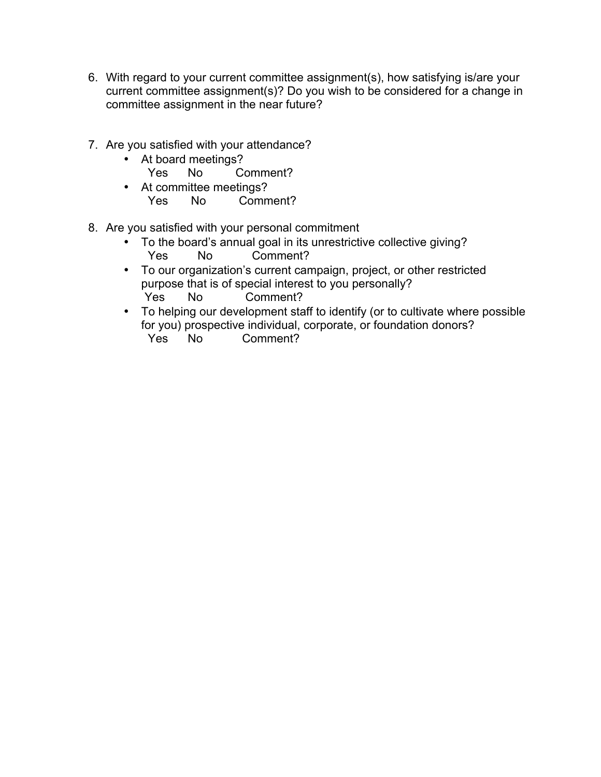- 6. With regard to your current committee assignment(s), how satisfying is/are your current committee assignment(s)? Do you wish to be considered for a change in committee assignment in the near future?
- 7. Are you satisfied with your attendance?
	- At board meetings?<br>Yes No Co
		- No Comment?
	- At committee meetings?<br>Yes No Comm No Comment?
- 8. Are you satisfied with your personal commitment
	- To the board's annual goal in its unrestrictive collective giving?<br>
	Yes Mo Comment? Comment?
	- To our organization's current campaign, project, or other restricted purpose that is of special interest to you personally? Yes No Comment?
	- To helping our development staff to identify (or to cultivate where possible for you) prospective individual, corporate, or foundation donors? No Comment?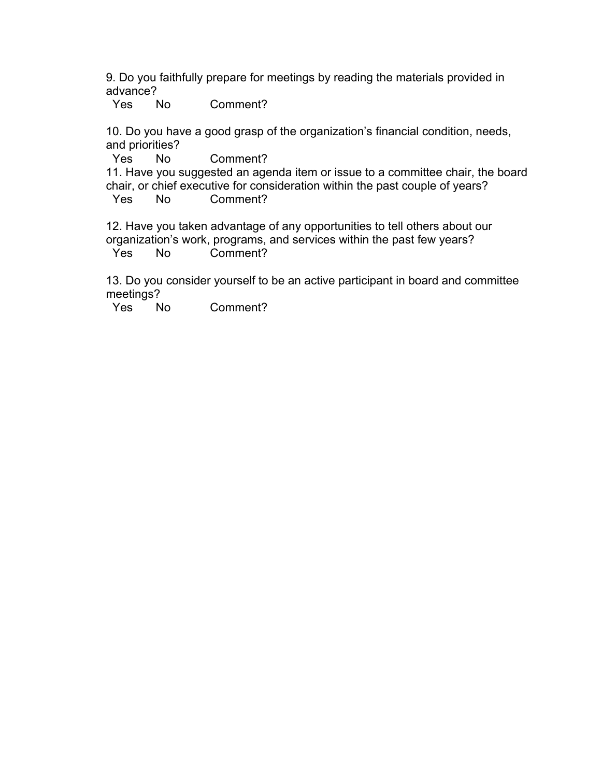9. Do you faithfully prepare for meetings by reading the materials provided in advance?

Yes No Comment?

10. Do you have a good grasp of the organization's financial condition, needs, and priorities?

Yes No Comment?

11. Have you suggested an agenda item or issue to a committee chair, the board chair, or chief executive for consideration within the past couple of years?

Yes No Comment?

12. Have you taken advantage of any opportunities to tell others about our organization's work, programs, and services within the past few years? Yes No Comment?

13. Do you consider yourself to be an active participant in board and committee meetings?

Yes No Comment?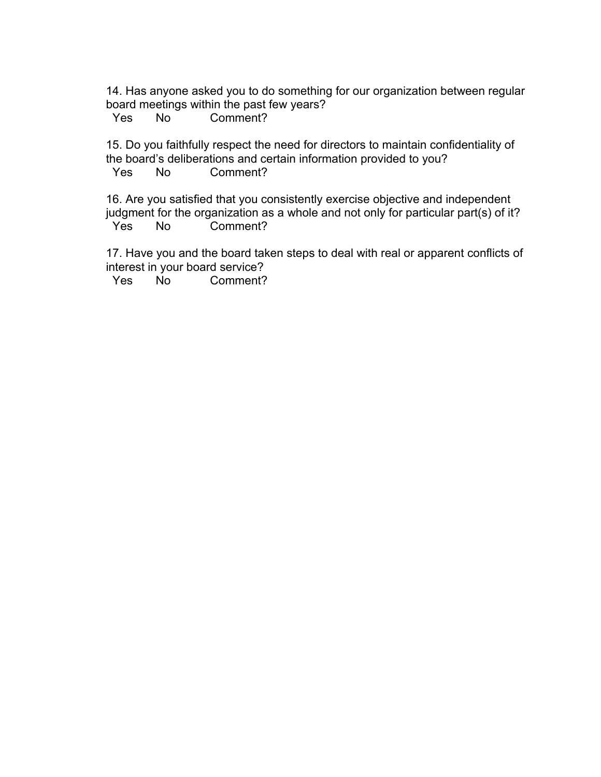14. Has anyone asked you to do something for our organization between regular board meetings within the past few years?

Yes No Comment?

15. Do you faithfully respect the need for directors to maintain confidentiality of the board's deliberations and certain information provided to you? Yes No Comment?

16. Are you satisfied that you consistently exercise objective and independent judgment for the organization as a whole and not only for particular part(s) of it? Yes No Comment?

17. Have you and the board taken steps to deal with real or apparent conflicts of interest in your board service?

Yes No Comment?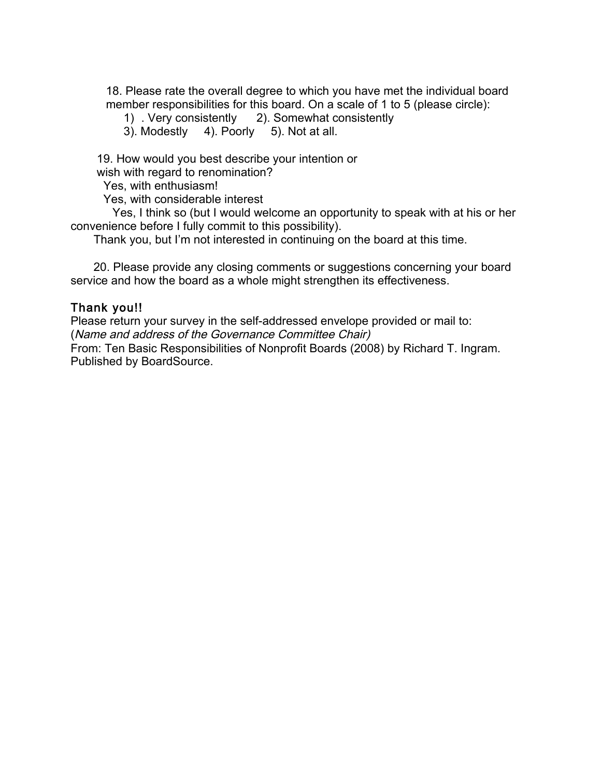18. Please rate the overall degree to which you have met the individual board member responsibilities for this board. On a scale of 1 to 5 (please circle):

1) . Very consistently 2). Somewhat consistently

3). Modestly 4). Poorly 5). Not at all.

 19. How would you best describe your intention or wish with regard to renomination?

Yes, with enthusiasm!

Yes, with considerable interest

Yes, I think so (but I would welcome an opportunity to speak with at his or her convenience before I fully commit to this possibility).

Thank you, but I'm not interested in continuing on the board at this time.

 20. Please provide any closing comments or suggestions concerning your board service and how the board as a whole might strengthen its effectiveness.

### Thank you!!

Please return your survey in the self-addressed envelope provided or mail to: (Name and address of the Governance Committee Chair) From: Ten Basic Responsibilities of Nonprofit Boards (2008) by Richard T. Ingram. Published by BoardSource.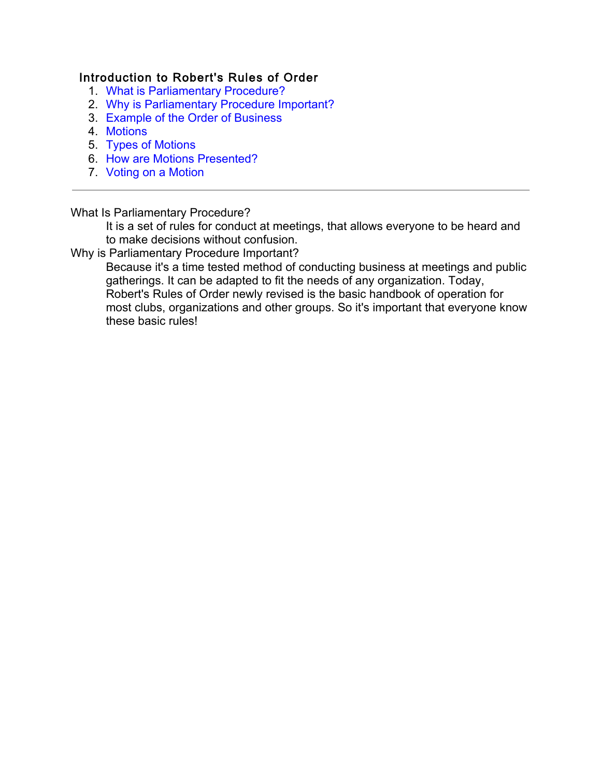## Introduction to Robert's Rules of Order

- 1. What is Parliamentary Procedure?
- 2. Why is Parliamentary Procedure Important?
- 3. Example of the Order of Business
- 4. Motions
- 5. Types of Motions
- 6. How are Motions Presented?
- 7. Voting on a Motion

#### What Is Parliamentary Procedure?

It is a set of rules for conduct at meetings, that allows everyone to be heard and to make decisions without confusion.

#### Why is Parliamentary Procedure Important?

Because it's a time tested method of conducting business at meetings and public gatherings. It can be adapted to fit the needs of any organization. Today, Robert's Rules of Order newly revised is the basic handbook of operation for most clubs, organizations and other groups. So it's important that everyone know these basic rules!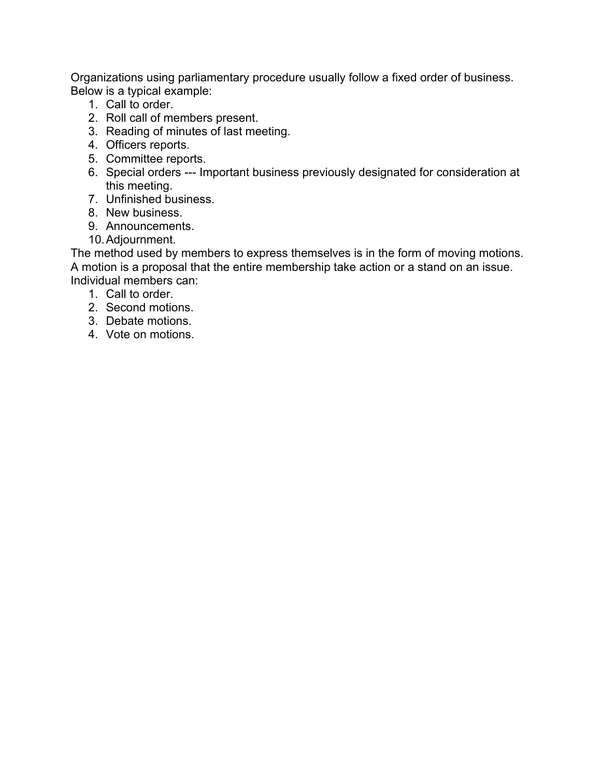Organizations using parliamentary procedure usually follow a fixed order of business. Below is a typical example:

- 1. Call to order.
- 2. Roll call of members present.
- 3. Reading of minutes of last meeting.
- 4. Officers reports.
- 5. Committee reports.
- 6. Special orders --- Important business previously designated for consideration at this meeting.
- 7. Unfinished business.
- 8. New business.
- 9. Announcements.
- 10.Adjournment.

The method used by members to express themselves is in the form of moving motions. A motion is a proposal that the entire membership take action or a stand on an issue. Individual members can:

- 1. Call to order.
- 2. Second motions.
- 3. Debate motions.
- 4. Vote on motions.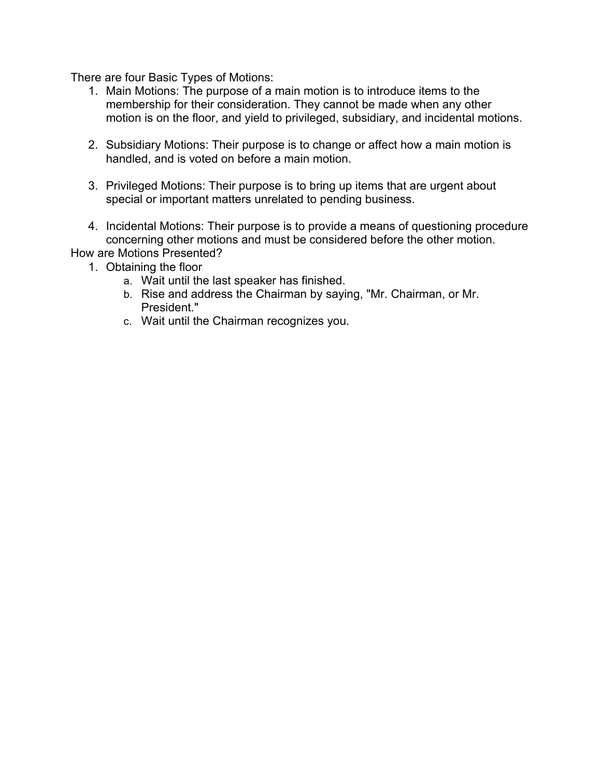There are four Basic Types of Motions:

- 1. Main Motions: The purpose of a main motion is to introduce items to the membership for their consideration. They cannot be made when any other motion is on the floor, and yield to privileged, subsidiary, and incidental motions.
- 2. Subsidiary Motions: Their purpose is to change or affect how a main motion is handled, and is voted on before a main motion.
- 3. Privileged Motions: Their purpose is to bring up items that are urgent about special or important matters unrelated to pending business.
- 4. Incidental Motions: Their purpose is to provide a means of questioning procedure concerning other motions and must be considered before the other motion.

How are Motions Presented?

- 1. Obtaining the floor
	- a. Wait until the last speaker has finished.
	- b. Rise and address the Chairman by saying, "Mr. Chairman, or Mr. President."
	- c. Wait until the Chairman recognizes you.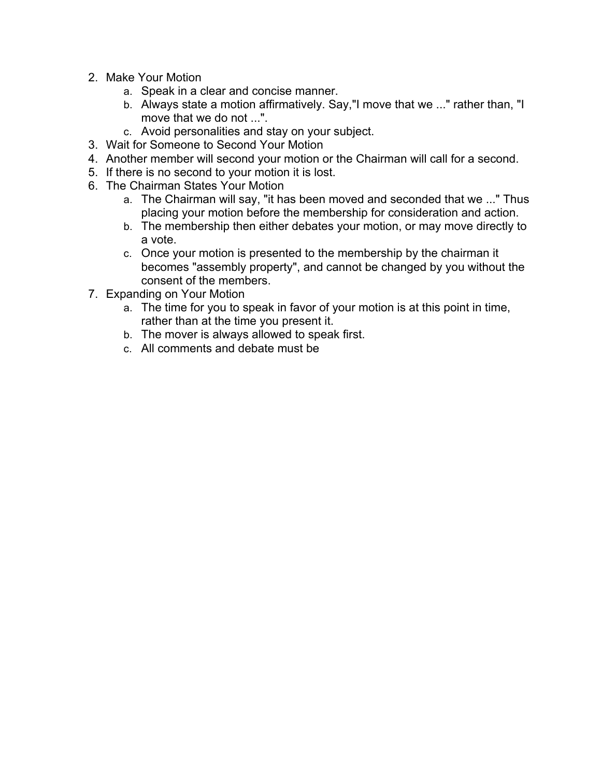- 2. Make Your Motion
	- a. Speak in a clear and concise manner.
	- b. Always state a motion affirmatively. Say,"I move that we ..." rather than, "I move that we do not ...".
	- c. Avoid personalities and stay on your subject.
- 3. Wait for Someone to Second Your Motion
- 4. Another member will second your motion or the Chairman will call for a second.
- 5. If there is no second to your motion it is lost.
- 6. The Chairman States Your Motion
	- a. The Chairman will say, "it has been moved and seconded that we ..." Thus placing your motion before the membership for consideration and action.
	- b. The membership then either debates your motion, or may move directly to a vote.
	- c. Once your motion is presented to the membership by the chairman it becomes "assembly property", and cannot be changed by you without the consent of the members.
- 7. Expanding on Your Motion
	- a. The time for you to speak in favor of your motion is at this point in time, rather than at the time you present it.
	- b. The mover is always allowed to speak first.
	- c. All comments and debate must be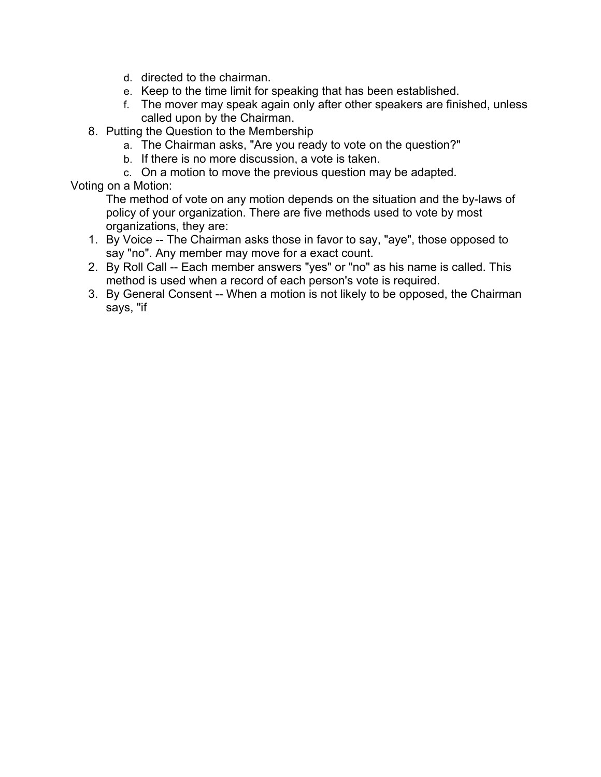- d. directed to the chairman.
- e. Keep to the time limit for speaking that has been established.
- f. The mover may speak again only after other speakers are finished, unless called upon by the Chairman.
- 8. Putting the Question to the Membership
	- a. The Chairman asks, "Are you ready to vote on the question?"
	- b. If there is no more discussion, a vote is taken.
	- c. On a motion to move the previous question may be adapted.

Voting on a Motion:

The method of vote on any motion depends on the situation and the by-laws of policy of your organization. There are five methods used to vote by most organizations, they are:

- 1. By Voice -- The Chairman asks those in favor to say, "aye", those opposed to say "no". Any member may move for a exact count.
- 2. By Roll Call -- Each member answers "yes" or "no" as his name is called. This method is used when a record of each person's vote is required.
- 3. By General Consent -- When a motion is not likely to be opposed, the Chairman says, "if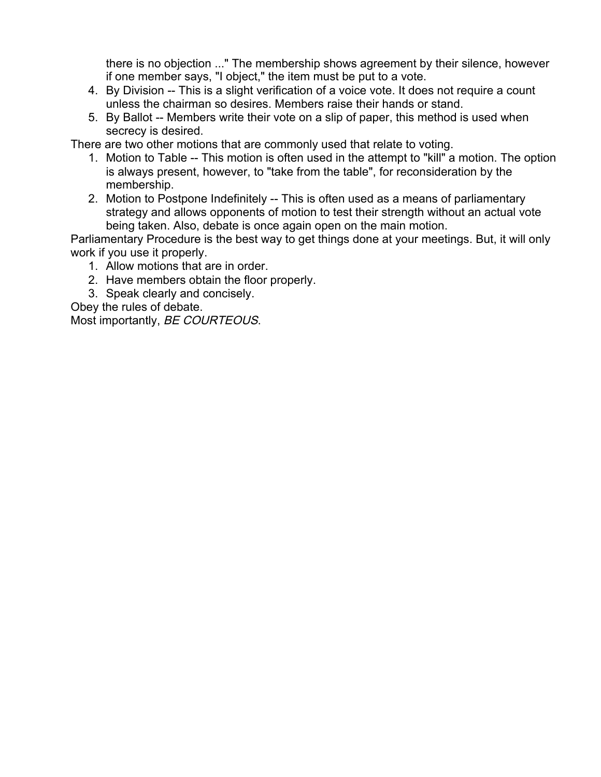there is no objection ..." The membership shows agreement by their silence, however if one member says, "I object," the item must be put to a vote.

- 4. By Division -- This is a slight verification of a voice vote. It does not require a count unless the chairman so desires. Members raise their hands or stand.
- 5. By Ballot -- Members write their vote on a slip of paper, this method is used when secrecy is desired.

There are two other motions that are commonly used that relate to voting.

- 1. Motion to Table -- This motion is often used in the attempt to "kill" a motion. The option is always present, however, to "take from the table", for reconsideration by the membership.
- 2. Motion to Postpone Indefinitely -- This is often used as a means of parliamentary strategy and allows opponents of motion to test their strength without an actual vote being taken. Also, debate is once again open on the main motion.

Parliamentary Procedure is the best way to get things done at your meetings. But, it will only work if you use it properly.

- 1. Allow motions that are in order.
- 2. Have members obtain the floor properly.
- 3. Speak clearly and concisely.

Obey the rules of debate. Most importantly, BE COURTEOUS.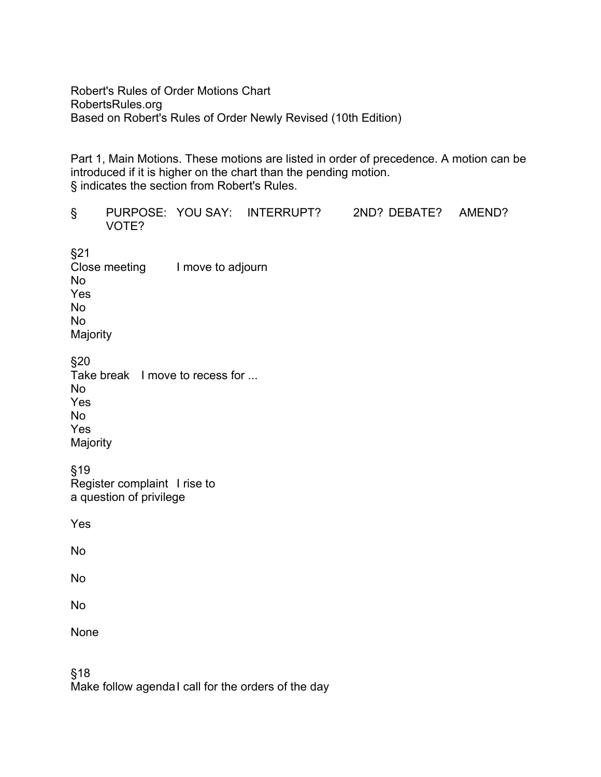Robert's Rules of Order Motions Chart RobertsRules.org Based on Robert's Rules of Order Newly Revised (10th Edition)

Part 1, Main Motions. These motions are listed in order of precedence. A motion can be introduced if it is higher on the chart than the pending motion. § indicates the section from Robert's Rules.

| $\S$                                                                                       | VOTE?                           |  |  | PURPOSE: YOU SAY: INTERRUPT? 2ND? DEBATE? AMEND? |  |  |  |
|--------------------------------------------------------------------------------------------|---------------------------------|--|--|--------------------------------------------------|--|--|--|
| §21<br><b>No</b><br>Yes<br><b>No</b><br><b>No</b><br>Majority                              | Close meeting I move to adjourn |  |  |                                                  |  |  |  |
| §20<br>Take break I move to recess for<br><b>No</b><br>Yes<br><b>No</b><br>Yes<br>Majority |                                 |  |  |                                                  |  |  |  |
| §19<br>Register complaint I rise to<br>a question of privilege                             |                                 |  |  |                                                  |  |  |  |
| Yes                                                                                        |                                 |  |  |                                                  |  |  |  |
| <b>No</b>                                                                                  |                                 |  |  |                                                  |  |  |  |
| <b>No</b>                                                                                  |                                 |  |  |                                                  |  |  |  |
| <b>No</b>                                                                                  |                                 |  |  |                                                  |  |  |  |
| None                                                                                       |                                 |  |  |                                                  |  |  |  |

§18 Make follow agendaI call for the orders of the day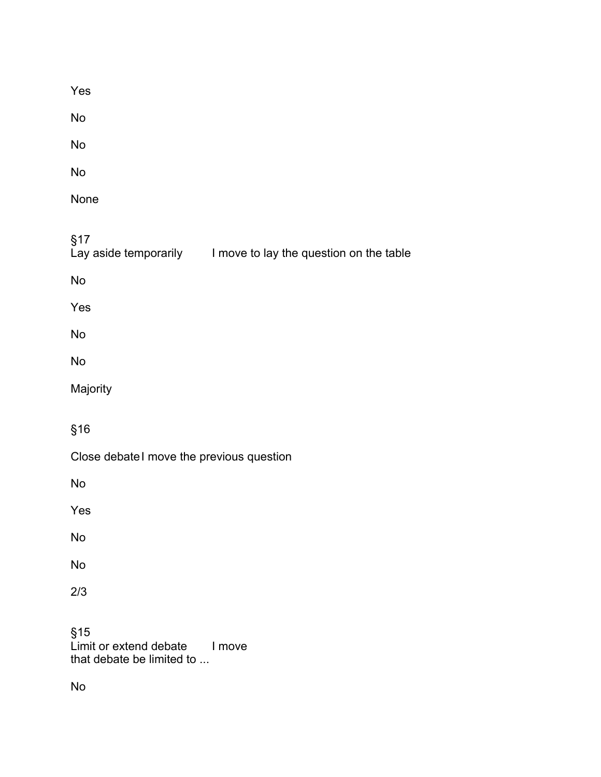| Yes                                                                  |
|----------------------------------------------------------------------|
| No                                                                   |
| No                                                                   |
| No                                                                   |
| None                                                                 |
| §17<br>Lay aside temporarily I move to lay the question on the table |
| No                                                                   |
| Yes                                                                  |
| No                                                                   |
| <b>No</b>                                                            |
| Majority                                                             |
| §16                                                                  |
| Close debate I move the previous question                            |
| <b>No</b>                                                            |
| Yes                                                                  |
| No                                                                   |
| <b>No</b>                                                            |
| 2/3                                                                  |
| §15<br>Limit or extend debate<br>I move<br>that debate be limited to |
| No                                                                   |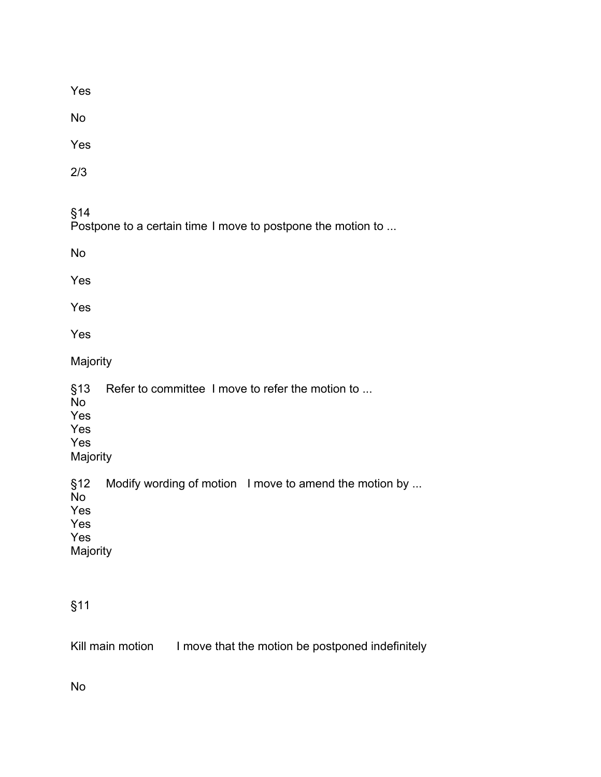Yes

No

Yes

2/3

§14

Postpone to a certain time I move to postpone the motion to ...

No

Yes

Yes

Yes

Majority

§13 Refer to committee I move to refer the motion to ...

No Yes

Yes

Yes

Majority

§12 Modify wording of motion I move to amend the motion by ...

No Yes

Yes

Yes

Majority

# §11

Kill main motion I move that the motion be postponed indefinitely

No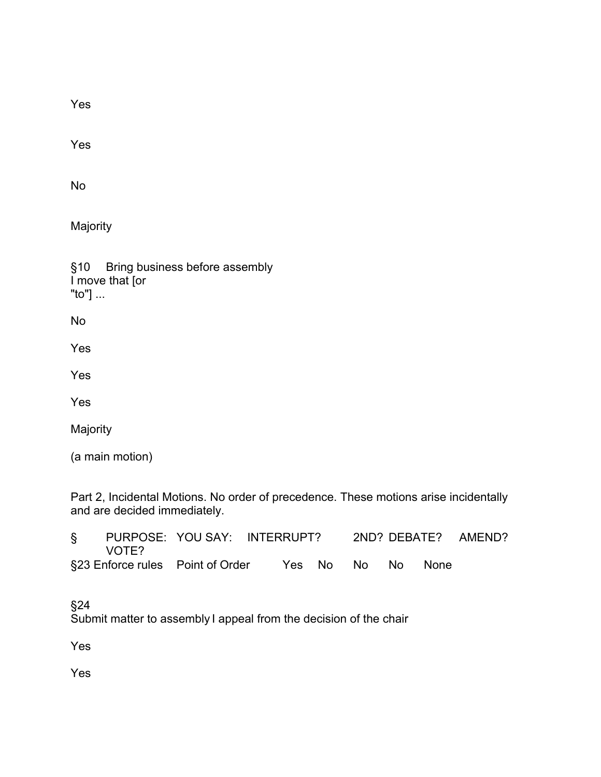Yes

Yes

No

Majority

§10 Bring business before assembly I move that [or "to"] ...

No

Yes

Yes

Yes

Majority

(a main motion)

Part 2, Incidental Motions. No order of precedence. These motions arise incidentally and are decided immediately.

| § PURPOSE: YOU SAY: INTERRUPT?<br>VOTE? |                                  |  |  |                   | 2ND? DEBATE? AMEND? |  |  |
|-----------------------------------------|----------------------------------|--|--|-------------------|---------------------|--|--|
|                                         | §23 Enforce rules Point of Order |  |  | Yes No No No None |                     |  |  |

§24

Submit matter to assembly I appeal from the decision of the chair

Yes

Yes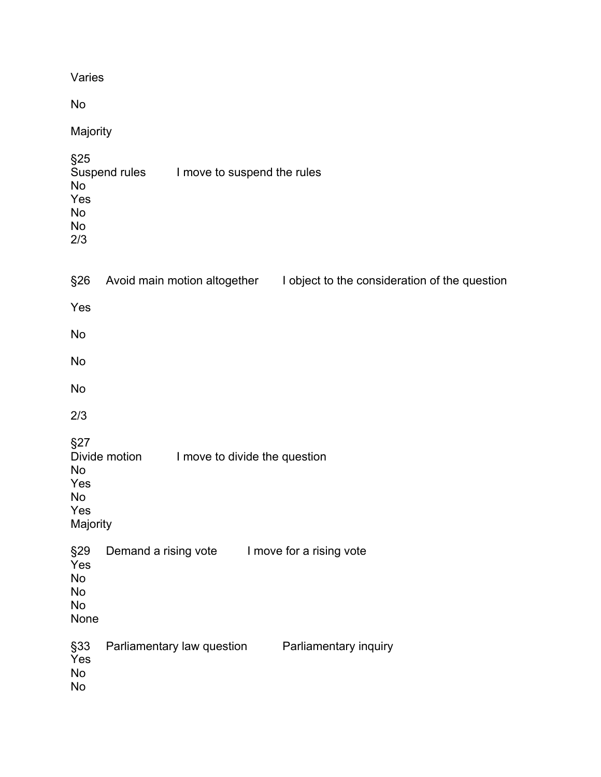| Varies                                                                                              |  |  |  |  |  |  |
|-----------------------------------------------------------------------------------------------------|--|--|--|--|--|--|
| No                                                                                                  |  |  |  |  |  |  |
| Majority                                                                                            |  |  |  |  |  |  |
| §25<br>Suspend rules<br>I move to suspend the rules<br><b>No</b><br>Yes<br>No<br><b>No</b><br>2/3   |  |  |  |  |  |  |
| §26<br>Avoid main motion altogether<br>I object to the consideration of the question                |  |  |  |  |  |  |
| Yes                                                                                                 |  |  |  |  |  |  |
| No                                                                                                  |  |  |  |  |  |  |
| No                                                                                                  |  |  |  |  |  |  |
| No                                                                                                  |  |  |  |  |  |  |
| 2/3                                                                                                 |  |  |  |  |  |  |
| §27<br>Divide motion<br>I move to divide the question<br><b>No</b><br>Yes<br>No<br>Yes<br>Majority  |  |  |  |  |  |  |
| §29<br>Demand a rising vote I move for a rising vote<br>Yes<br><b>No</b><br><b>No</b><br>No<br>None |  |  |  |  |  |  |
| §33<br>Parliamentary law question<br>Parliamentary inquiry<br>Yes<br><b>No</b><br>No                |  |  |  |  |  |  |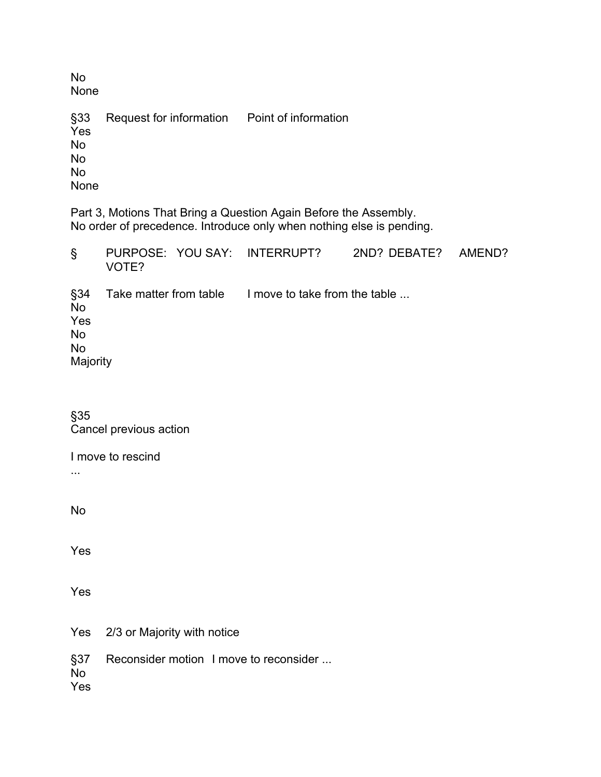No None

Request for information Point of information §33<br>Yes No No No None

Part 3, Motions That Bring a Question Again Before the Assembly. No order of precedence. Introduce only when nothing else is pending.

| S                                                             | VOTE? | PURPOSE: YOU SAY: INTERRUPT?                         | 2ND? DEBATE? | AMEND? |
|---------------------------------------------------------------|-------|------------------------------------------------------|--------------|--------|
| §34<br><b>No</b><br>Yes<br><b>No</b><br><b>No</b><br>Majority |       | Take matter from table I move to take from the table |              |        |

§35 Cancel previous action

I move to rescind

...

No

Yes

Yes

Yes 2/3 or Majority with notice

§37 Reconsider motion I move to reconsider ... No

Yes